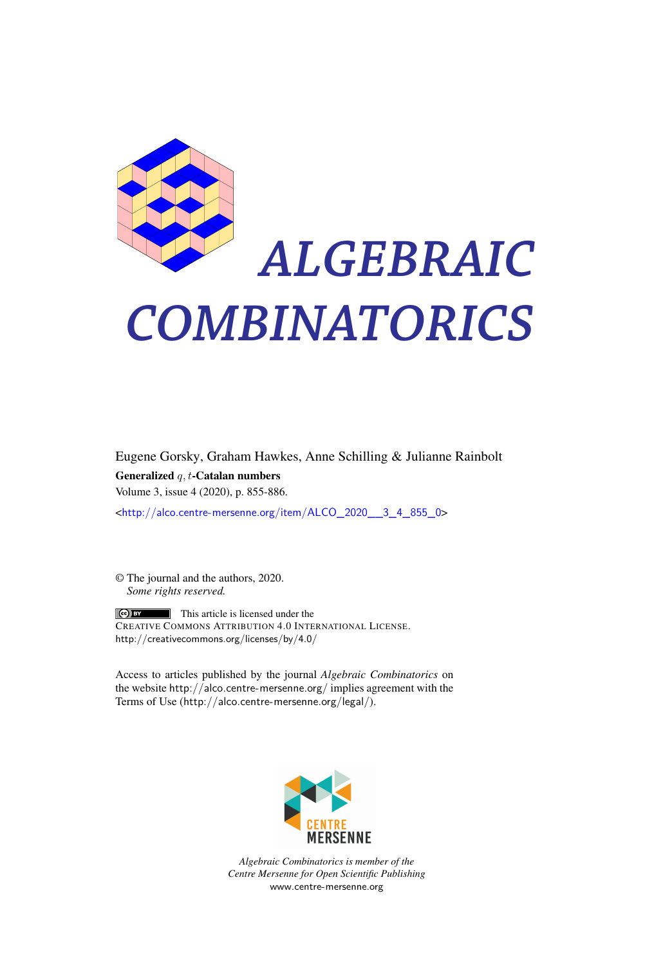

# *ALGEBRAIC COMBINATORICS*

Eugene Gorsky, Graham Hawkes, Anne Schilling & Julianne Rainbolt Generalized *q, t*-Catalan numbers Volume 3, issue 4 (2020), p. 855-886.

<[http://alco.centre-mersenne.org/item/ALCO\\_2020\\_\\_3\\_4\\_855\\_0](http://alco.centre-mersenne.org/item/ALCO_2020__3_4_855_0)>

© The journal and the authors, 2020. *Some rights reserved.*

This article is licensed under the CREATIVE COMMONS ATTRIBUTION 4.0 INTERNATIONAL LICENSE. <http://creativecommons.org/licenses/by/4.0/>

Access to articles published by the journal *Algebraic Combinatorics* on the website <http://alco.centre-mersenne.org/> implies agreement with the Terms of Use (<http://alco.centre-mersenne.org/legal/>).



*Algebraic Combinatorics is member of the Centre Mersenne for Open Scientific Publishing* <www.centre-mersenne.org>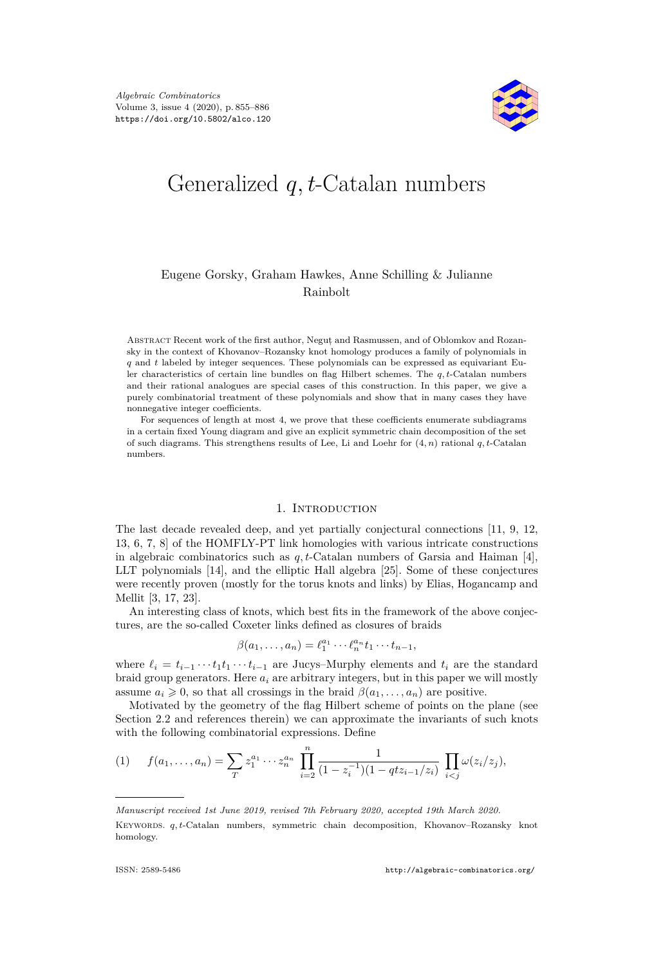

# Generalized *q, t*-Catalan numbers

## Eugene Gorsky, Graham Hawkes, Anne Schilling & Julianne Rainbolt

Abstract Recent work of the first author, Negut, and Rasmussen, and of Oblomkov and Rozansky in the context of Khovanov–Rozansky knot homology produces a family of polynomials in *q* and *t* labeled by integer sequences. These polynomials can be expressed as equivariant Euler characteristics of certain line bundles on flag Hilbert schemes. The *q, t*-Catalan numbers and their rational analogues are special cases of this construction. In this paper, we give a purely combinatorial treatment of these polynomials and show that in many cases they have nonnegative integer coefficients.

For sequences of length at most 4, we prove that these coefficients enumerate subdiagrams in a certain fixed Young diagram and give an explicit symmetric chain decomposition of the set of such diagrams. This strengthens results of Lee, Li and Loehr for (4*, n*) rational *q, t*-Catalan numbers.

#### 1. INTRODUCTION

The last decade revealed deep, and yet partially conjectural connections [\[11,](#page-31-0) [9,](#page-31-1) [12,](#page-31-2) [13,](#page-31-3) [6,](#page-31-4) [7,](#page-31-5) [8\]](#page-31-6) of the HOMFLY-PT link homologies with various intricate constructions in algebraic combinatorics such as  $q, t$ -Catalan numbers of Garsia and Haiman [\[4\]](#page-31-7), LLT polynomials [\[14\]](#page-31-8), and the elliptic Hall algebra [\[25\]](#page-31-9). Some of these conjectures were recently proven (mostly for the torus knots and links) by Elias, Hogancamp and Mellit [\[3,](#page-31-10) [17,](#page-31-11) [23\]](#page-31-12).

An interesting class of knots, which best fits in the framework of the above conjectures, are the so-called Coxeter links defined as closures of braids

$$
\beta(a_1,\ldots,a_n)=\ell_1^{a_1}\cdots\ell_n^{a_n}t_1\cdots t_{n-1},
$$

where  $\ell_i = t_{i-1} \cdots t_1 t_1 \cdots t_{i-1}$  are Jucys–Murphy elements and  $t_i$  are the standard braid group generators. Here  $a_i$  are arbitrary integers, but in this paper we will mostly assume  $a_i \geq 0$ , so that all crossings in the braid  $\beta(a_1, \ldots, a_n)$  are positive.

Motivated by the geometry of the flag Hilbert scheme of points on the plane (see Section [2.2](#page-4-0) and references therein) we can approximate the invariants of such knots with the following combinatorial expressions. Define

$$
(1) \t f(a_1,\ldots,a_n) = \sum_{T} z_1^{a_1} \cdots z_n^{a_n} \prod_{i=2}^n \frac{1}{(1-z_i^{-1})(1-qtz_{i-1}/z_i)} \prod_{i
$$

*Manuscript received 1st June 2019, revised 7th February 2020, accepted 19th March 2020.* Keywords. *q, t*-Catalan numbers, symmetric chain decomposition, Khovanov–Rozansky knot homology.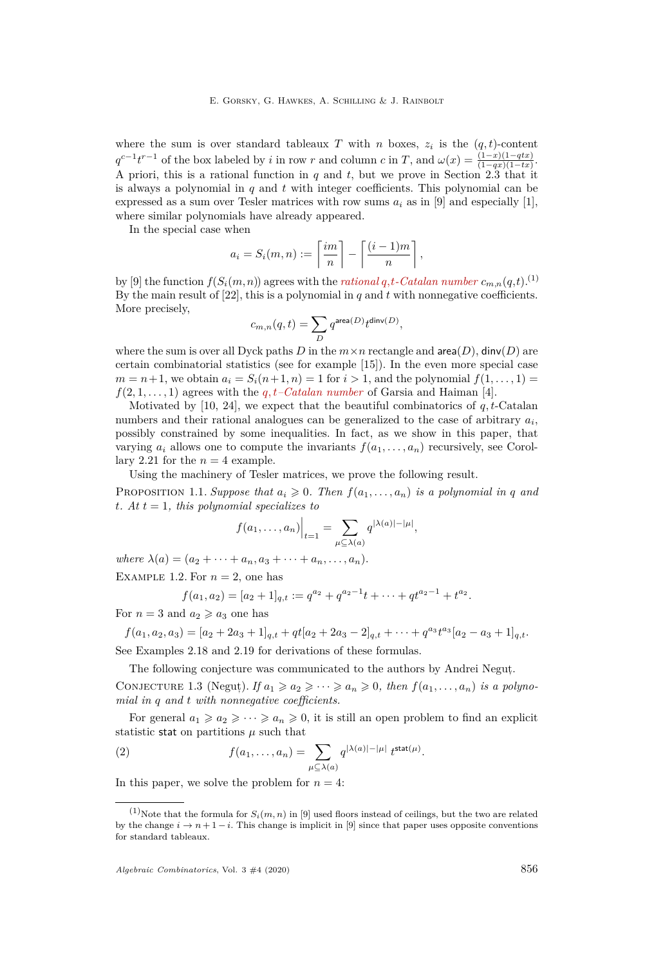where the sum is over standard tableaux *T* with *n* boxes,  $z_i$  is the  $(q, t)$ -content  $q^{c-1}t^{r-1}$  of the box labeled by *i* in row *r* and column *c* in *T*, and  $\omega(x) = \frac{(1-x)(1-qtx)}{(1-qx)(1-tx)}$ . A priori, this is a rational function in *q* and *t*, but we prove in Section [2.3](#page-6-0) that it is always a polynomial in *q* and *t* with integer coefficients. This polynomial can be expressed as a sum over Tesler matrices with row sums  $a_i$  as in [\[9\]](#page-31-1) and especially [\[1\]](#page-31-13), where similar polynomials have already appeared.

In the special case when

$$
a_i = S_i(m, n) := \left\lceil \frac{im}{n} \right\rceil - \left\lceil \frac{(i-1)m}{n} \right\rceil,
$$

by [\[9\]](#page-31-1) the function  $f(S_i(m,n))$  agrees with the *rational*  $q,t$ -*Catalan number*  $c_{m,n}(q,t)$ .<sup>(1)</sup> By the main result of  $[22]$ , this is a polynomial in *q* and *t* with nonnegative coefficients. More precisely,

$$
c_{m,n}(q,t)=\sum_{D}q^{\text{area}(D)}t^{\text{dinv}(D)},
$$

where the sum is over all Dyck paths *D* in the  $m \times n$  rectangle and  $area(D)$ ,  $dinv(D)$  are certain combinatorial statistics (see for example [\[15\]](#page-31-15)). In the even more special case  $m = n + 1$ , we obtain  $a_i = S_i(n+1, n) = 1$  for  $i > 1$ , and the polynomial  $f(1, \ldots, 1) =$  $f(2, 1, \ldots, 1)$  agrees with the  $q, t$ *–Catalan number* of Garsia and Haiman [\[4\]](#page-31-7).

Motivated by [\[10,](#page-31-16) [24\]](#page-31-17), we expect that the beautiful combinatorics of *q, t*-Catalan numbers and their rational analogues can be generalized to the case of arbitrary  $a_i$ , possibly constrained by some inequalities. In fact, as we show in this paper, that varying  $a_i$  allows one to compute the invariants  $f(a_1, \ldots, a_n)$  recursively, see Corol-lary [2.21](#page-11-0) for the  $n = 4$  example.

Using the machinery of Tesler matrices, we prove the following result.

PROPOSITION 1.1. *Suppose that*  $a_i \geq 0$ . *Then*  $f(a_1, \ldots, a_n)$  *is a polynomial in q and*  $t$ *. At*  $t = 1$ *, this polynomial specializes to* 

$$
f(a_1,\ldots,a_n)\Big|_{t=1}=\sum_{\mu\subseteq\lambda(a)}q^{|\lambda(a)|-|\mu|},
$$

 $where \lambda(a) = (a_2 + \cdots + a_n, a_3 + \cdots + a_n, \ldots, a_n).$ 

<span id="page-2-1"></span>EXAMPLE 1.2. For  $n = 2$ , one has

$$
f(a_1, a_2) = [a_2 + 1]_{q,t} := q^{a_2} + q^{a_2 - 1}t + \dots + qt^{a_2 - 1} + t^{a_2}.
$$

For  $n = 3$  and  $a_2 \geq a_3$  one has

$$
f(a_1, a_2, a_3) = [a_2 + 2a_3 + 1]_{q,t} + qt[a_2 + 2a_3 - 2]_{q,t} + \dots + q^{a_3}t^{a_3}[a_2 - a_3 + 1]_{q,t}.
$$
  
See Examples 2.18 and 2.19 for derivations of these formulas.

The following conjecture was communicated to the authors by Andrei Negut,.

<span id="page-2-2"></span>CONJECTURE 1.3 (Negut). *If*  $a_1 \geq a_2 \geq \cdots \geq a_n \geq 0$ , then  $f(a_1, \ldots, a_n)$  is a polyno*mial in q and t with nonnegative coefficients.*

For general  $a_1 \geq a_2 \geq \cdots \geq a_n \geq 0$ , it is still an open problem to find an explicit statistic stat on partitions  $\mu$  such that

<span id="page-2-0"></span>(2) 
$$
f(a_1,\ldots,a_n) = \sum_{\mu \subseteq \lambda(a)} q^{|\lambda(a)|-|\mu|} t^{\text{stat}(\mu)}.
$$

In this paper, we solve the problem for  $n = 4$ :

<sup>&</sup>lt;sup>(1)</sup>Note that the formula for  $S_i(m, n)$  in [\[9\]](#page-31-1) used floors instead of ceilings, but the two are related by the change  $i \to n+1-i$ . This change is implicit in [\[9\]](#page-31-1) since that paper uses opposite conventions for standard tableaux.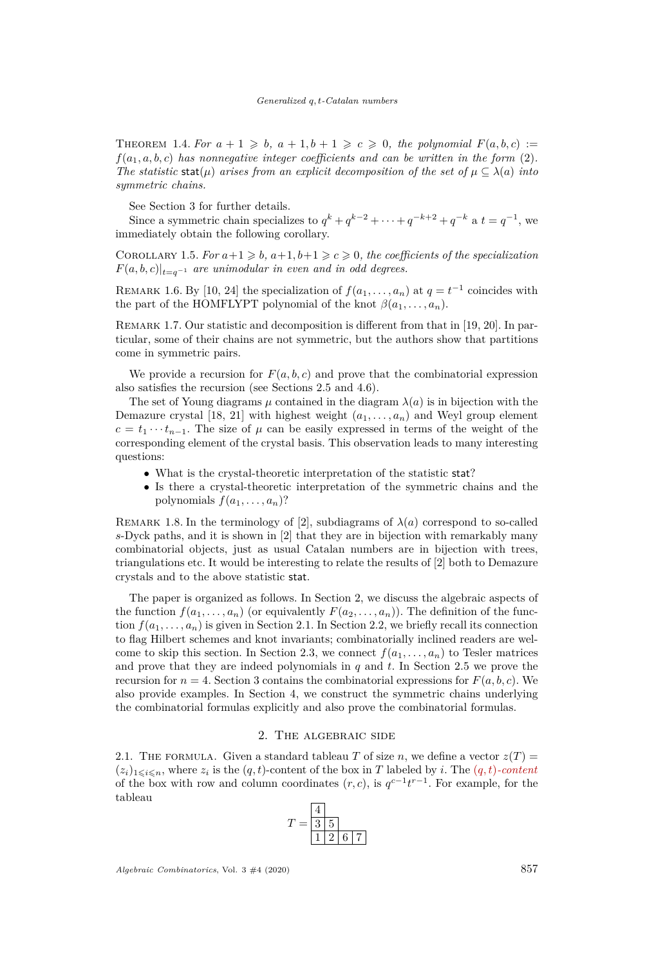THEOREM 1.4. For  $a + 1 \geq b$ ,  $a + 1$ ,  $b + 1 \geq c \geq 0$ , the polynomial  $F(a, b, c) :=$ *f*(*a*1*, a, b, c*) *has nonnegative integer coefficients and can be written in the form* [\(2\)](#page-2-0)*. The statistic* stat( $\mu$ ) *arises from an explicit decomposition of the set of*  $\mu \subseteq \lambda(a)$  *into symmetric chains.*

See Section [3](#page-13-0) for further details.

Since a symmetric chain specializes to  $q^k + q^{k-2} + \cdots + q^{-k+2} + q^{-k}$  a  $t = q^{-1}$ , we immediately obtain the following corollary.

COROLLARY 1.5. *For*  $a+1 \geq b$ ,  $a+1$ ,  $b+1 \geq c \geq 0$ , the coefficients of the specialization  $F(a, b, c)|_{t=a^{-1}}$  *are unimodular in even and in odd degrees.* 

REMARK 1.6. By [\[10,](#page-31-16) [24\]](#page-31-17) the specialization of  $f(a_1, \ldots, a_n)$  at  $q = t^{-1}$  coincides with the part of the HOMFLYPT polynomial of the knot  $\beta(a_1, \ldots, a_n)$ .

REMARK 1.7. Our statistic and decomposition is different from that in [\[19,](#page-31-18) [20\]](#page-31-19). In particular, some of their chains are not symmetric, but the authors show that partitions come in symmetric pairs.

We provide a recursion for  $F(a, b, c)$  and prove that the combinatorial expression also satisfies the recursion (see Sections [2.5](#page-10-2) and [4.6\)](#page-28-0).

The set of Young diagrams  $\mu$  contained in the diagram  $\lambda(a)$  is in bijection with the Demazure crystal [\[18,](#page-31-20) [21\]](#page-31-21) with highest weight  $(a_1, \ldots, a_n)$  and Weyl group element  $c = t_1 \cdots t_{n-1}$ . The size of  $\mu$  can be easily expressed in terms of the weight of the corresponding element of the crystal basis. This observation leads to many interesting questions:

- What is the crystal-theoretic interpretation of the statistic stat?
- Is there a crystal-theoretic interpretation of the symmetric chains and the polynomials  $f(a_1, \ldots, a_n)$ ?

REMARK 1.8. In the terminology of [\[2\]](#page-31-22), subdiagrams of  $\lambda(a)$  correspond to so-called *s*-Dyck paths, and it is shown in [\[2\]](#page-31-22) that they are in bijection with remarkably many combinatorial objects, just as usual Catalan numbers are in bijection with trees, triangulations etc. It would be interesting to relate the results of [\[2\]](#page-31-22) both to Demazure crystals and to the above statistic stat.

The paper is organized as follows. In Section [2,](#page-3-0) we discuss the algebraic aspects of the function  $f(a_1, \ldots, a_n)$  (or equivalently  $F(a_2, \ldots, a_n)$ ). The definition of the function  $f(a_1, \ldots, a_n)$  is given in Section [2.1.](#page-3-1) In Section [2.2,](#page-4-0) we briefly recall its connection to flag Hilbert schemes and knot invariants; combinatorially inclined readers are wel-come to skip this section. In Section [2.3,](#page-6-0) we connect  $f(a_1, \ldots, a_n)$  to Tesler matrices and prove that they are indeed polynomials in *q* and *t*. In Section [2.5](#page-10-2) we prove the recursion for  $n = 4$ . Section [3](#page-13-0) contains the combinatorial expressions for  $F(a, b, c)$ . We also provide examples. In Section [4,](#page-16-0) we construct the symmetric chains underlying the combinatorial formulas explicitly and also prove the combinatorial formulas.

#### 2. The algebraic side

<span id="page-3-1"></span><span id="page-3-0"></span>2.1. THE FORMULA. Given a standard tableau *T* of size *n*, we define a vector  $z(T)$  =  $(z_i)_{1\leq i\leq n}$ , where  $z_i$  is the  $(q, t)$ -content of the box in *T* labeled by *i*. The  $(q, t)$ -content of the box with row and column coordinates  $(r, c)$ , is  $q^{c-1}t^{r-1}$ . For example, for the tableau

$$
T = \frac{\frac{4}{3} \cdot 5}{1 \cdot 2 \cdot 6 \cdot 7}
$$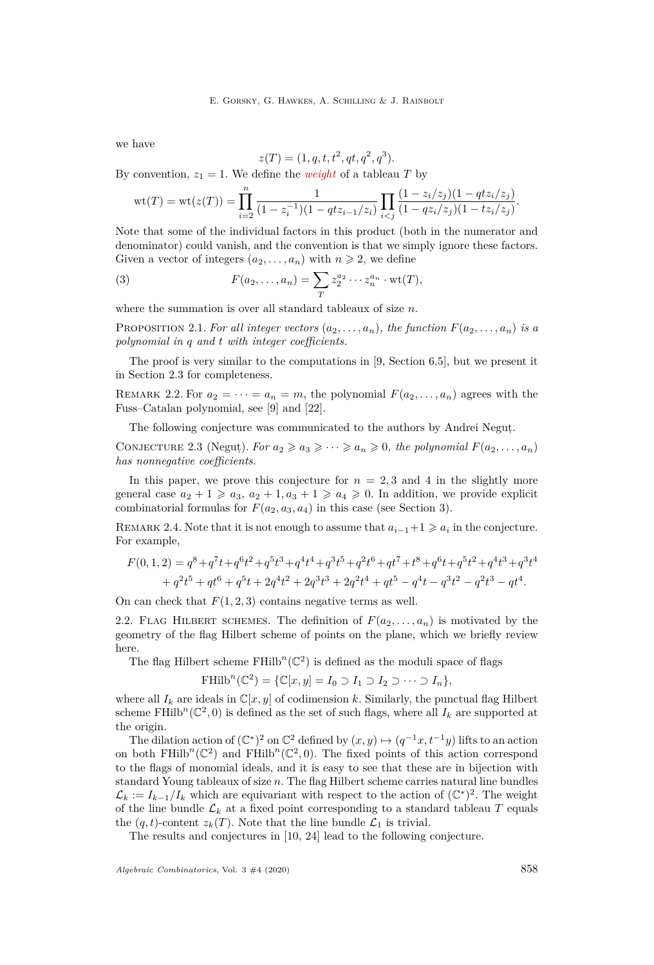we have

$$
z(T) = (1, q, t, t^2, qt, q^2, q^3).
$$

By convention,  $z_1 = 1$ . We define the *weight* of a tableau *T* by

$$
\operatorname{wt}(T) = \operatorname{wt}(z(T)) = \prod_{i=2}^n \frac{1}{(1 - z_i^{-1})(1 - qtz_{i-1}/z_i)} \prod_{i < j} \frac{(1 - z_i/z_j)(1 - qtz_i/z_j)}{(1 - qz_i/z_j)(1 - tz_i/z_j)}.
$$

Note that some of the individual factors in this product (both in the numerator and denominator) could vanish, and the convention is that we simply ignore these factors. Given a vector of integers  $(a_2, \ldots, a_n)$  with  $n \geq 2$ , we define

<span id="page-4-1"></span>(3) 
$$
F(a_2,\ldots,a_n)=\sum_T z_2^{a_2}\cdots z_n^{a_n}\cdot \text{wt}(T),
$$

where the summation is over all standard tableaux of size *n*.

<span id="page-4-2"></span>PROPOSITION 2.1. For all integer vectors  $(a_2, \ldots, a_n)$ , the function  $F(a_2, \ldots, a_n)$  is a *polynomial in q and t with integer coefficients.*

The proof is very similar to the computations in [\[9,](#page-31-1) Section 6.5], but we present it in Section [2.3](#page-6-0) for completeness.

REMARK 2.2. For  $a_2 = \cdots = a_n = m$ , the polynomial  $F(a_2, \ldots, a_n)$  agrees with the Fuss–Catalan polynomial, see [\[9\]](#page-31-1) and [\[22\]](#page-31-14).

The following conjecture was communicated to the authors by Andrei Negut,.

CONJECTURE 2.3 (Negut). *For*  $a_2 \geq a_3 \geq \cdots \geq a_n \geq 0$ , the polynomial  $F(a_2, \ldots, a_n)$ *has nonnegative coefficients.*

In this paper, we prove this conjecture for  $n = 2, 3$  and 4 in the slightly more general case  $a_2 + 1 \geq a_3$ ,  $a_2 + 1$ ,  $a_3 + 1 \geq a_4 \geq 0$ . In addition, we provide explicit combinatorial formulas for  $F(a_2, a_3, a_4)$  in this case (see Section [3\)](#page-13-0).

REMARK 2.4. Note that it is not enough to assume that  $a_{i-1}+1 \geq a_i$  in the conjecture. For example,

$$
F(0,1,2) = q^8 + q^7t + q^6t^2 + q^5t^3 + q^4t^4 + q^3t^5 + q^2t^6 + qt^7 + t^8 + q^6t + q^5t^2 + q^4t^3 + q^3t^4
$$
  
+ 
$$
q^2t^5 + qt^6 + q^5t + 2q^4t^2 + 2q^3t^3 + 2q^2t^4 + qt^5 - q^4t - q^3t^2 - q^2t^3 - qt^4.
$$

On can check that  $F(1, 2, 3)$  contains negative terms as well.

<span id="page-4-0"></span>2.2. FLAG HILBERT SCHEMES. The definition of  $F(a_2, \ldots, a_n)$  is motivated by the geometry of the flag Hilbert scheme of points on the plane, which we briefly review here.

The flag Hilbert scheme  $FHilb^{n}(\mathbb{C}^{2})$  is defined as the moduli space of flags

$$
\mathrm{FHilb}^n(\mathbb{C}^2) = \{ \mathbb{C}[x, y] = I_0 \supset I_1 \supset I_2 \supset \cdots \supset I_n \},
$$

where all  $I_k$  are ideals in  $\mathbb{C}[x, y]$  of codimension k. Similarly, the punctual flag Hilbert scheme FHilb<sup>n</sup>( $\mathbb{C}^2$ , 0) is defined as the set of such flags, where all  $I_k$  are supported at the origin.

The dilation action of  $(\mathbb{C}^*)^2$  on  $\mathbb{C}^2$  defined by  $(x, y) \mapsto (q^{-1}x, t^{-1}y)$  lifts to an action on both  $FHilb<sup>n</sup>(\mathbb{C}^2)$  and  $FHilb<sup>n</sup>(\mathbb{C}^2, 0)$ . The fixed points of this action correspond to the flags of monomial ideals, and it is easy to see that these are in bijection with standard Young tableaux of size *n*. The flag Hilbert scheme carries natural line bundles  $\mathcal{L}_k := I_{k-1}/I_k$  which are equivariant with respect to the action of  $(\mathbb{C}^*)^2$ . The weight of the line bundle  $\mathcal{L}_k$  at a fixed point corresponding to a standard tableau  $T$  equals the  $(q, t)$ -content  $z_k(T)$ . Note that the line bundle  $\mathcal{L}_1$  is trivial.

The results and conjectures in [\[10,](#page-31-16) [24\]](#page-31-17) lead to the following conjecture.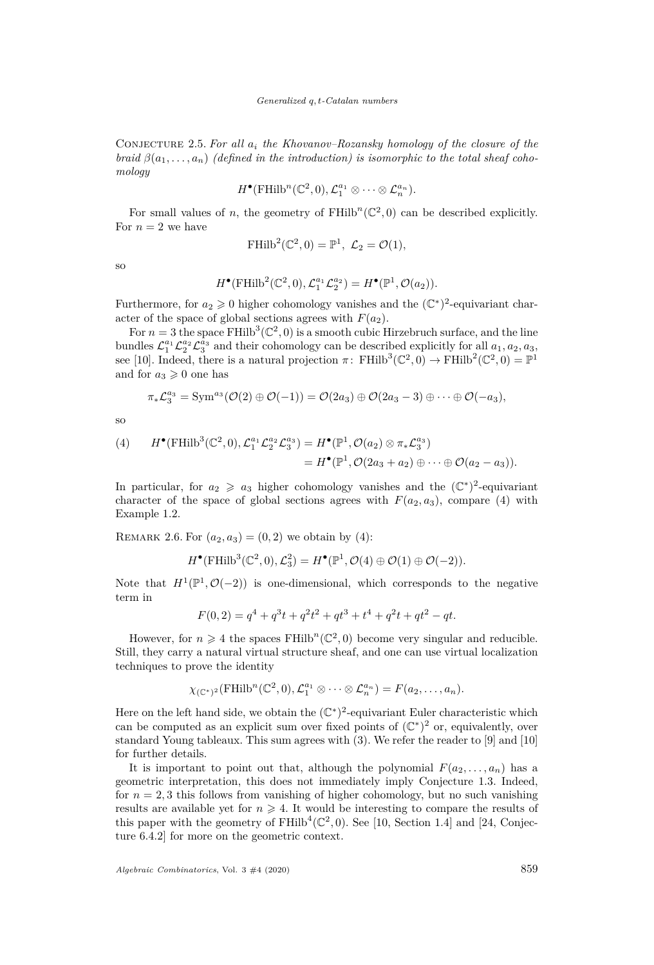Conjecture 2.5. *For all a<sup>i</sup> the Khovanov–Rozansky homology of the closure of the braid*  $\beta(a_1, \ldots, a_n)$  (defined in the introduction) is isomorphic to the total sheaf coho*mology*

$$
H^{\bullet}(\mathrm{FHilb}^n(\mathbb{C}^2,0),\mathcal{L}_1^{a_1} \otimes \cdots \otimes \mathcal{L}_n^{a_n}).
$$

For small values of *n*, the geometry of  $FHilb^{n}(\mathbb{C}^{2}, 0)$  can be described explicitly. For  $n=2$  we have

$$
\mathrm{FHilb}^2(\mathbb{C}^2, 0) = \mathbb{P}^1, \ \mathcal{L}_2 = \mathcal{O}(1),
$$

so

$$
H^{\bullet}(\mathrm{FHilb}^2(\mathbb{C}^2,0),\mathcal{L}_1^{a_1}\mathcal{L}_2^{a_2})=H^{\bullet}(\mathbb{P}^1,\mathcal{O}(a_2)).
$$

Furthermore, for  $a_2 \geq 0$  higher cohomology vanishes and the  $(\mathbb{C}^*)^2$ -equivariant character of the space of global sections agrees with  $F(a_2)$ .

For  $n = 3$  the space FHilb<sup>3</sup>( $\mathbb{C}^2$ , 0) is a smooth cubic Hirzebruch surface, and the line bundles  $\mathcal{L}_1^{a_1} \mathcal{L}_2^{a_2} \mathcal{L}_3^{a_3}$  and their cohomology can be described explicitly for all  $a_1, a_2, a_3$ , see [\[10\]](#page-31-16). Indeed, there is a natural projection  $\pi$ : FHilb<sup>3</sup>( $\mathbb{C}^2$ , 0)  $\to$  FHilb<sup>2</sup>( $\mathbb{C}^2$ , 0) =  $\mathbb{P}^1$ and for  $a_3 \geqslant 0$  one has

$$
\pi_* \mathcal{L}_3^{a_3} = \text{Sym}^{a_3}(\mathcal{O}(2) \oplus \mathcal{O}(-1)) = \mathcal{O}(2a_3) \oplus \mathcal{O}(2a_3 - 3) \oplus \cdots \oplus \mathcal{O}(-a_3),
$$

so

<span id="page-5-0"></span>(4) 
$$
H^{\bullet}(\mathrm{FHilb}^3(\mathbb{C}^2,0),\mathcal{L}_1^{a_1}\mathcal{L}_2^{a_2}\mathcal{L}_3^{a_3}) = H^{\bullet}(\mathbb{P}^1,\mathcal{O}(a_2)\otimes\pi_*\mathcal{L}_3^{a_3})
$$

$$
= H^{\bullet}(\mathbb{P}^1,\mathcal{O}(2a_3+a_2)\oplus\cdots\oplus\mathcal{O}(a_2-a_3)).
$$

In particular, for  $a_2 \geq a_3$  higher cohomology vanishes and the  $(\mathbb{C}^*)^2$ -equivariant character of the space of global sections agrees with  $F(a_2, a_3)$ , compare [\(4\)](#page-5-0) with Example [1.2.](#page-2-1)

REMARK 2.6. For  $(a_2, a_3) = (0, 2)$  we obtain by [\(4\)](#page-5-0):

$$
H^{\bullet}(\mathrm{FHilb}^3(\mathbb{C}^2,0),\mathcal{L}_3^2) = H^{\bullet}(\mathbb{P}^1,\mathcal{O}(4) \oplus \mathcal{O}(1) \oplus \mathcal{O}(-2)).
$$

Note that  $H^1(\mathbb{P}^1, \mathcal{O}(-2))$  is one-dimensional, which corresponds to the negative term in

$$
F(0,2) = q^4 + q^3t + q^2t^2 + qt^3 + t^4 + q^2t + qt^2 - qt.
$$

However, for  $n \geq 4$  the spaces FHilb<sup>n</sup>( $\mathbb{C}^2$ , 0) become very singular and reducible. Still, they carry a natural virtual structure sheaf, and one can use virtual localization techniques to prove the identity

$$
\chi_{(\mathbb{C}^*)^2}(\mathrm{FHilb}^n(\mathbb{C}^2,0),\mathcal{L}_1^{a_1} \otimes \cdots \otimes \mathcal{L}_n^{a_n}) = F(a_2,\ldots,a_n).
$$

Here on the left hand side, we obtain the  $(\mathbb{C}^*)^2$ -equivariant Euler characteristic which can be computed as an explicit sum over fixed points of  $(\mathbb{C}^*)^2$  or, equivalently, over standard Young tableaux. This sum agrees with [\(3\)](#page-4-1). We refer the reader to [\[9\]](#page-31-1) and [\[10\]](#page-31-16) for further details.

It is important to point out that, although the polynomial  $F(a_2, \ldots, a_n)$  has a geometric interpretation, this does not immediately imply Conjecture [1.3.](#page-2-2) Indeed, for  $n = 2, 3$  this follows from vanishing of higher cohomology, but no such vanishing results are available yet for  $n \geqslant 4$ . It would be interesting to compare the results of this paper with the geometry of  $FHilb^{4}(\mathbb{C}^{2}, 0)$ . See [\[10,](#page-31-16) Section 1.4] and [\[24,](#page-31-17) Conjecture 6.4.2] for more on the geometric context.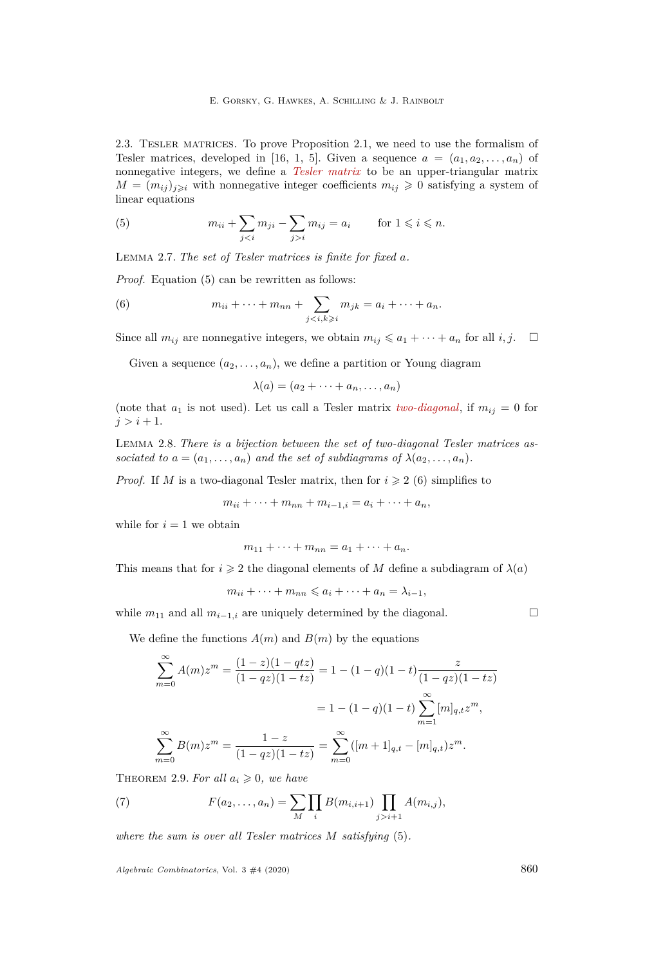<span id="page-6-0"></span>2.3. Tesler matrices. To prove Proposition [2.1,](#page-4-2) we need to use the formalism of Tesler matrices, developed in [\[16,](#page-31-23) [1,](#page-31-13) [5\]](#page-31-24). Given a sequence  $a = (a_1, a_2, \ldots, a_n)$  of nonnegative integers, we define a *Tesler matrix* to be an upper-triangular matrix  $M = (m_{ij})_{j \geqslant i}$  with nonnegative integer coefficients  $m_{ij} \geqslant 0$  satisfying a system of linear equations

<span id="page-6-1"></span>(5) 
$$
m_{ii} + \sum_{ji} m_{ij} = a_i \quad \text{for } 1 \leq i \leq n.
$$

<span id="page-6-4"></span>Lemma 2.7. *The set of Tesler matrices is finite for fixed a.*

*Proof.* Equation [\(5\)](#page-6-1) can be rewritten as follows:

<span id="page-6-2"></span>(6) 
$$
m_{ii} + \cdots + m_{nn} + \sum_{j
$$

Since all  $m_{ij}$  are nonnegative integers, we obtain  $m_{ij} \leq a_1 + \cdots + a_n$  for all *i*, *j*.  $\Box$ 

Given a sequence  $(a_2, \ldots, a_n)$ , we define a partition or Young diagram

$$
\lambda(a)=(a_2+\cdots+a_n,\ldots,a_n)
$$

(note that  $a_1$  is not used). Let us call a Tesler matrix *two-diagonal*, if  $m_{ij} = 0$  for  $j > i + 1$ .

<span id="page-6-5"></span>Lemma 2.8. *There is a bijection between the set of two-diagonal Tesler matrices associated to*  $a = (a_1, \ldots, a_n)$  *and the set of subdiagrams of*  $\lambda(a_2, \ldots, a_n)$ *.* 

*Proof.* If *M* is a two-diagonal Tesler matrix, then for  $i \geq 2$  [\(6\)](#page-6-2) simplifies to

$$
m_{ii} + \dots + m_{nn} + m_{i-1,i} = a_i + \dots + a_n,
$$

while for  $i = 1$  we obtain

$$
m_{11}+\cdots+m_{nn}=a_1+\cdots+a_n.
$$

This means that for  $i \geq 2$  the diagonal elements of *M* define a subdiagram of  $\lambda(a)$ 

$$
m_{ii} + \cdots + m_{nn} \leqslant a_i + \cdots + a_n = \lambda_{i-1},
$$

while  $m_{11}$  and all  $m_{i-1,i}$  are uniquely determined by the diagonal.  $\Box$ 

We define the functions  $A(m)$  and  $B(m)$  by the equations

$$
\sum_{m=0}^{\infty} A(m)z^m = \frac{(1-z)(1-qtz)}{(1-qz)(1-tz)} = 1 - (1-q)(1-t)\frac{z}{(1-qz)(1-tz)}
$$

$$
= 1 - (1-q)(1-t)\sum_{m=1}^{\infty} [m]_{q,t}z^m,
$$

$$
\sum_{m=0}^{\infty} B(m)z^m = \frac{1-z}{(1-qz)(1-tz)} = \sum_{m=0}^{\infty} ([m+1]_{q,t} - [m]_{q,t})z^m.
$$

THEOREM 2.9. For all  $a_i \geq 0$ , we have

<span id="page-6-3"></span>(7) 
$$
F(a_2,...,a_n) = \sum_{M} \prod_{i} B(m_{i,i+1}) \prod_{j>i+1} A(m_{i,j}),
$$

*where the sum is over all Tesler matrices M satisfying* [\(5\)](#page-6-1)*.*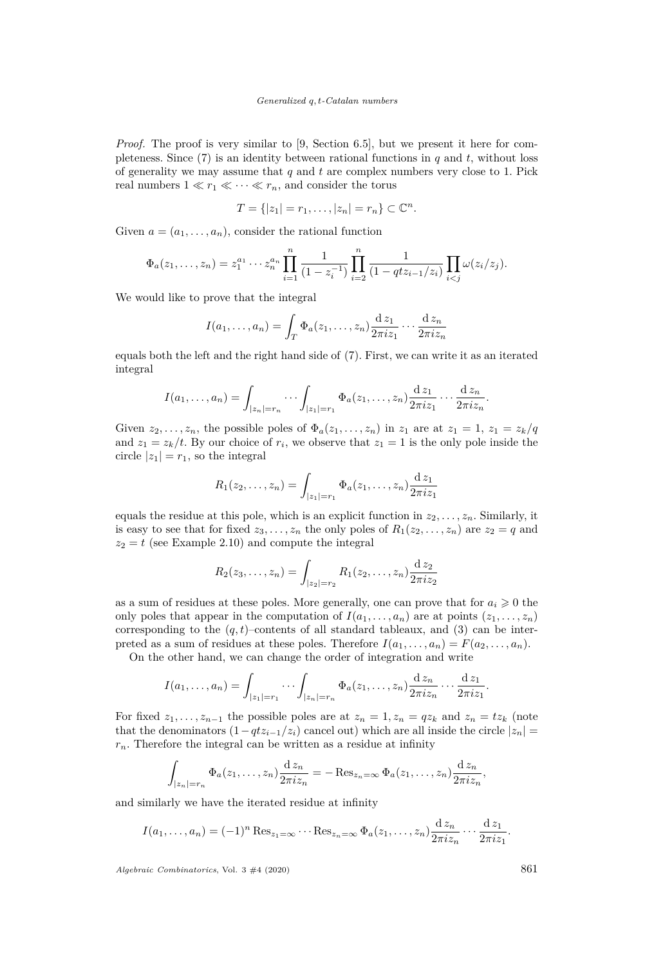*Proof.* The proof is very similar to [\[9,](#page-31-1) Section 6.5], but we present it here for completeness. Since  $(7)$  is an identity between rational functions in *q* and *t*, without loss of generality we may assume that *q* and *t* are complex numbers very close to 1. Pick real numbers  $1 \ll r_1 \ll \cdots \ll r_n$ , and consider the torus

$$
T = \{ |z_1| = r_1, \ldots, |z_n| = r_n \} \subset \mathbb{C}^n.
$$

Given  $a = (a_1, \ldots, a_n)$ , consider the rational function

$$
\Phi_a(z_1,\ldots,z_n) = z_1^{a_1}\cdots z_n^{a_n} \prod_{i=1}^n \frac{1}{(1-z_i^{-1})} \prod_{i=2}^n \frac{1}{(1-qtz_{i-1}/z_i)} \prod_{i
$$

We would like to prove that the integral

$$
I(a_1,\ldots,a_n) = \int_T \Phi_a(z_1,\ldots,z_n) \frac{\mathrm{d} z_1}{2\pi i z_1} \cdots \frac{\mathrm{d} z_n}{2\pi i z_n}
$$

equals both the left and the right hand side of [\(7\)](#page-6-3). First, we can write it as an iterated integral

$$
I(a_1,\ldots,a_n)=\int_{|z_n|=r_n}\cdots\int_{|z_1|=r_1}\Phi_a(z_1,\ldots,z_n)\frac{\mathrm{d}\,z_1}{2\pi i z_1}\cdots\frac{\mathrm{d}\,z_n}{2\pi i z_n}.
$$

Given  $z_2, \ldots, z_n$ , the possible poles of  $\Phi_a(z_1, \ldots, z_n)$  in  $z_1$  are at  $z_1 = 1, z_1 = z_k/q$ and  $z_1 = z_k/t$ . By our choice of  $r_i$ , we observe that  $z_1 = 1$  is the only pole inside the circle  $|z_1| = r_1$ , so the integral

$$
R_1(z_2,\ldots,z_n) = \int_{|z_1|=r_1} \Phi_a(z_1,\ldots,z_n) \frac{dz_1}{2\pi iz_1}
$$

equals the residue at this pole, which is an explicit function in  $z_2, \ldots, z_n$ . Similarly, it is easy to see that for fixed  $z_3, \ldots, z_n$  the only poles of  $R_1(z_2, \ldots, z_n)$  are  $z_2 = q$  and  $z_2 = t$  (see Example [2.10\)](#page-8-0) and compute the integral

$$
R_2(z_3,\ldots,z_n) = \int_{|z_2|=r_2} R_1(z_2,\ldots,z_n) \frac{\mathrm{d} z_2}{2\pi i z_2}
$$

as a sum of residues at these poles. More generally, one can prove that for  $a_i \geq 0$  the only poles that appear in the computation of  $I(a_1, \ldots, a_n)$  are at points  $(z_1, \ldots, z_n)$ corresponding to the  $(q, t)$ –contents of all standard tableaux, and  $(3)$  can be interpreted as a sum of residues at these poles. Therefore  $I(a_1, \ldots, a_n) = F(a_2, \ldots, a_n)$ .

On the other hand, we can change the order of integration and write

$$
I(a_1,\ldots,a_n)=\int_{|z_1|=r_1}\cdots\int_{|z_n|=r_n}\Phi_a(z_1,\ldots,z_n)\frac{\mathrm{d} z_n}{2\pi i z_n}\cdots\frac{\mathrm{d} z_1}{2\pi i z_1}.
$$

For fixed  $z_1, \ldots, z_{n-1}$  the possible poles are at  $z_n = 1, z_n = qz_k$  and  $z_n = tz_k$  (note that the denominators  $(1 - qtz_{i-1}/z_i)$  cancel out) which are all inside the circle  $|z_n|$  $r_n$ . Therefore the integral can be written as a residue at infinity

$$
\int_{|z_n|=r_n} \Phi_a(z_1,\ldots,z_n) \frac{\mathrm{d} z_n}{2\pi i z_n} = -\operatorname{Res}_{z_n=\infty} \Phi_a(z_1,\ldots,z_n) \frac{\mathrm{d} z_n}{2\pi i z_n},
$$

and similarly we have the iterated residue at infinity

$$
I(a_1,\ldots,a_n) = (-1)^n \operatorname{Res}_{z_1=\infty} \cdots \operatorname{Res}_{z_n=\infty} \Phi_a(z_1,\ldots,z_n) \frac{\mathrm{d} z_n}{2\pi i z_n} \cdots \frac{\mathrm{d} z_1}{2\pi i z_1}.
$$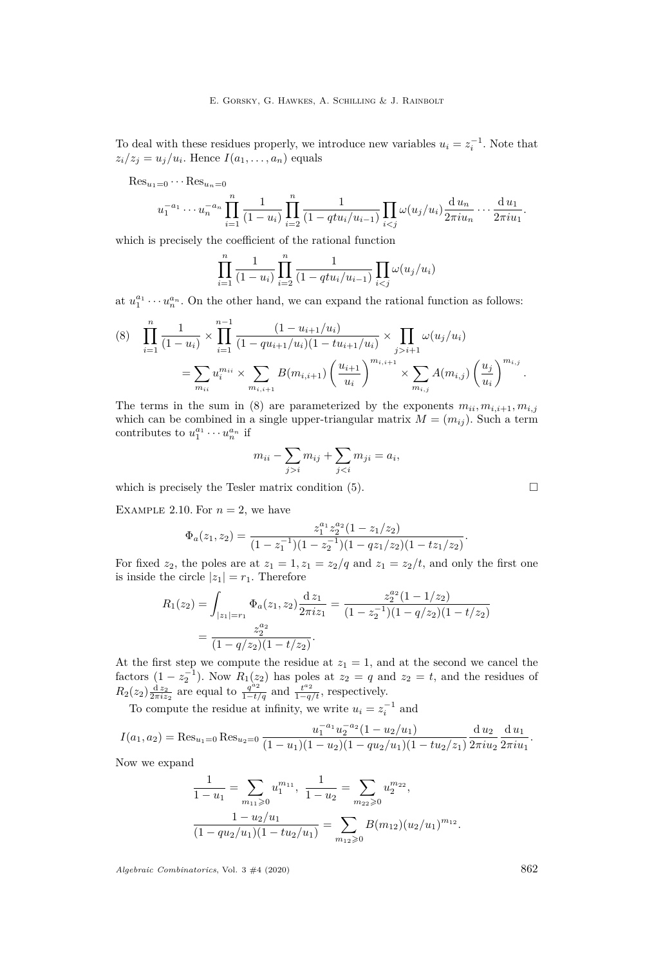To deal with these residues properly, we introduce new variables  $u_i = z_i^{-1}$ . Note that  $z_i/z_j = u_j/u_i$ . Hence  $I(a_1, \ldots, a_n)$  equals

Res<sub>u<sub>1</sub>=0</sub> ··· Res<sub>u<sub>n</sub>=0</sub>  

$$
u_1^{-a_1} \cdots u_n^{-a_n} \prod_{i=1}^n \frac{1}{(1-u_i)} \prod_{i=2}^n \frac{1}{(1-qtu_i/u_{i-1})} \prod_{i < j} \omega(u_j/u_i) \frac{du_n}{2\pi i u_n} \cdots \frac{du_1}{2\pi i u_1}.
$$

which is precisely the coefficient of the rational function

$$
\prod_{i=1}^{n} \frac{1}{(1-u_i)} \prod_{i=2}^{n} \frac{1}{(1 - qtu_i/u_{i-1})} \prod_{i < j} \omega(u_j/u_i)
$$

at  $u_1^{a_1} \cdots u_n^{a_n}$ . On the other hand, we can expand the rational function as follows:

<span id="page-8-1"></span>
$$
(8) \quad \prod_{i=1}^{n} \frac{1}{(1-u_i)} \times \prod_{i=1}^{n-1} \frac{(1-u_{i+1}/u_i)}{(1-qu_{i+1}/u_i)(1-tu_{i+1}/u_i)} \times \prod_{j>i+1} \omega(u_j/u_i)
$$

$$
= \sum_{m_{ii}} u_i^{m_{ii}} \times \sum_{m_{i,i+1}} B(m_{i,i+1}) \left(\frac{u_{i+1}}{u_i}\right)^{m_{i,i+1}} \times \sum_{m_{i,j}} A(m_{i,j}) \left(\frac{u_j}{u_i}\right)^{m_{i,j}}.
$$

The terms in the sum in [\(8\)](#page-8-1) are parameterized by the exponents  $m_{ii}, m_{i,i+1}, m_{i,j}$ which can be combined in a single upper-triangular matrix  $M = (m_{ij})$ . Such a term contributes to  $u_1^{a_1} \cdots u_n^{a_n}$  if

$$
m_{ii} - \sum_{j>i} m_{ij} + \sum_{j
$$

which is precisely the Tesler matrix condition  $(5)$ .

<span id="page-8-0"></span>EXAMPLE 2.10. For  $n = 2$ , we have

$$
\Phi_a(z_1, z_2) = \frac{z_1^{a_1} z_2^{a_2} (1 - z_1/z_2)}{(1 - z_1^{-1})(1 - z_2^{-1})(1 - q z_1/z_2)(1 - t z_1/z_2)}.
$$

For fixed  $z_2$ , the poles are at  $z_1 = 1, z_1 = z_2/q$  and  $z_1 = z_2/t$ , and only the first one is inside the circle  $|z_1| = r_1$ . Therefore

$$
R_1(z_2) = \int_{|z_1|=r_1} \Phi_a(z_1, z_2) \frac{dz_1}{2\pi i z_1} = \frac{z_2^{a_2} (1 - 1/z_2)}{(1 - z_2^{-1})(1 - q/z_2)(1 - t/z_2)}
$$
  
= 
$$
\frac{z_2^{a_2}}{(1 - q/z_2)(1 - t/z_2)}.
$$

At the first step we compute the residue at  $z_1 = 1$ , and at the second we cancel the factors  $(1 - z_2^{-1})$ . Now  $R_1(z_2)$  has poles at  $z_2 = q$  and  $z_2 = t$ , and the residues of  $R_2(z_2) \frac{dz_2}{2\pi i z_2}$  are equal to  $\frac{q^{a_2}}{1-t/q}$  and  $\frac{t^{a_2}}{1-q/t}$ , respectively.

To compute the residue at infinity, we write  $u_i = z_i^{-1}$  and

$$
I(a_1, a_2) = \text{Res}_{u_1=0} \text{Res}_{u_2=0} \frac{u_1^{-a_1} u_2^{-a_2} (1 - u_2/u_1)}{(1 - u_1)(1 - u_2)(1 - qu_2/u_1)(1 - tu_2/z_1)} \frac{d u_2}{2\pi i u_2} \frac{d u_1}{2\pi i u_1}.
$$

Now we expand

$$
\frac{1}{1-u_1} = \sum_{m_{11}\geq 0} u_1^{m_{11}}, \quad \frac{1}{1-u_2} = \sum_{m_{22}\geq 0} u_2^{m_{22}},
$$

$$
\frac{1-u_2/u_1}{(1-qu_2/u_1)(1-tu_2/u_1)} = \sum_{m_{12}\geq 0} B(m_{12})(u_2/u_1)^{m_{12}}.
$$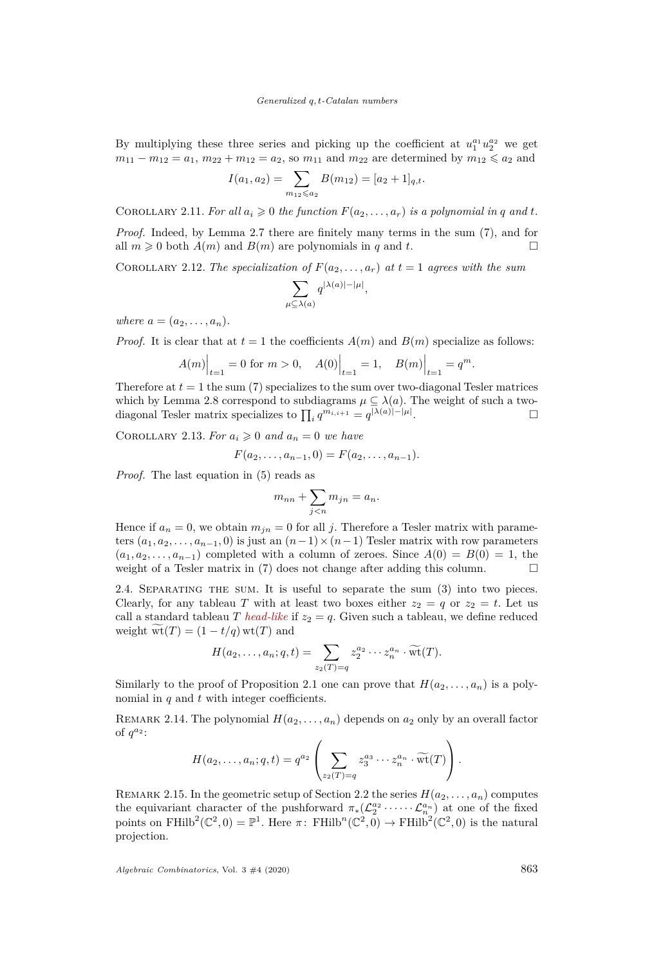By multiplying these three series and picking up the coefficient at  $u_1^{a_1} u_2^{a_2}$  we get  $m_{11} - m_{12} = a_1$ ,  $m_{22} + m_{12} = a_2$ , so  $m_{11}$  and  $m_{22}$  are determined by  $m_{12} \le a_2$  and

$$
I(a_1, a_2) = \sum_{m_{12} \leq a_2} B(m_{12}) = [a_2 + 1]_{q,t}.
$$

COROLLARY 2.11. For all  $a_i \geqslant 0$  the function  $F(a_2, \ldots, a_r)$  is a polynomial in q and t.

*Proof.* Indeed, by Lemma [2.7](#page-6-4) there are finitely many terms in the sum [\(7\)](#page-6-3), and for all  $m \geq 0$  both  $A(m)$  and  $B(m)$  are polynomials in *q* and *t*.

COROLLARY 2.12. The specialization of  $F(a_2, \ldots, a_r)$  at  $t = 1$  agrees with the sum

$$
\sum_{\mu \subseteq \lambda(a)} q^{|\lambda(a)|-|\mu|},
$$

*where*  $a = (a_2, \ldots, a_n)$ .

*Proof.* It is clear that at  $t = 1$  the coefficients  $A(m)$  and  $B(m)$  specialize as follows:

$$
A(m)\Big|_{t=1} = 0 \text{ for } m > 0, \quad A(0)\Big|_{t=1} = 1, \quad B(m)\Big|_{t=1} = q^m.
$$

Therefore at  $t = 1$  the sum [\(7\)](#page-6-3) specializes to the sum over two-diagonal Tesler matrices which by Lemma [2.8](#page-6-5) correspond to subdiagrams  $\mu \subseteq \lambda(a)$ . The weight of such a twodiagonal Tesler matrix specializes to  $\prod_i q^{m_{i,i+1}} = q^{|\lambda(a)|-|\mu|}$ . — Процессиональные производствование и производствование и производствование и производствование и производс<br>В 1990 году в 1990 году в 1990 году в 1990 году в 1990 году в 1990 году в 1990 году в 1990 году в 1990 году в<br>

<span id="page-9-1"></span>COROLLARY 2.13. For  $a_i \geq 0$  and  $a_n = 0$  we have

$$
F(a_2,\ldots,a_{n-1},0)=F(a_2,\ldots,a_{n-1}).
$$

*Proof.* The last equation in [\(5\)](#page-6-1) reads as

$$
m_{nn} + \sum_{j < n} m_{jn} = a_n.
$$

Hence if  $a_n = 0$ , we obtain  $m_{in} = 0$  for all *j*. Therefore a Tesler matrix with parameters  $(a_1, a_2, \ldots, a_{n-1}, 0)$  is just an  $(n-1) \times (n-1)$  Tesler matrix with row parameters  $(a_1, a_2, \ldots, a_{n-1})$  completed with a column of zeroes. Since  $A(0) = B(0) = 1$ , the weight of a Tesler matrix in  $(7)$  does not change after adding this column.  $\Box$ 

2.4. Separating the sum. It is useful to separate the sum [\(3\)](#page-4-1) into two pieces. Clearly, for any tableau *T* with at least two boxes either  $z_2 = q$  or  $z_2 = t$ . Let us call a standard tableau *T head-like* if  $z_2 = q$ . Given such a tableau, we define reduced weight  $wt(T) = (1 - t/q) wt(T)$  and

$$
H(a_2,\ldots,a_n;q,t)=\sum_{z_2(T)=q}z_2^{a_2}\cdots z_n^{a_n}\cdot \widetilde{\mathrm{wt}}(T).
$$

Similarly to the proof of Proposition [2.1](#page-4-2) one can prove that  $H(a_2, \ldots, a_n)$  is a polynomial in *q* and *t* with integer coefficients.

<span id="page-9-0"></span>REMARK 2.14. The polynomial  $H(a_2, \ldots, a_n)$  depends on  $a_2$  only by an overall factor of  $q^{a_2}$ :

$$
H(a_2,\ldots,a_n;q,t)=q^{a_2}\left(\sum_{z_2(T)=q}z_3^{a_3}\cdots z_n^{a_n}\cdot \widetilde{\mathrm{wt}}(T)\right).
$$

REMARK 2.15. In the geometric setup of Section [2.2](#page-4-0) the series  $H(a_2, \ldots, a_n)$  computes the equivariant character of the pushforward  $\pi_*(\mathcal{L}_2^{a_2} \cdots \cdots \mathcal{L}_{n}^{a_n})$  at one of the fixed points on FHilb<sup>2</sup>( $\mathbb{C}^2$ , 0) =  $\mathbb{P}^1$ . Here  $\pi$ : FHilb<sup>n</sup>( $\mathbb{C}^2$ ,  $\overline{0}$ )  $\to$  FHilb<sup>2</sup>( $\mathbb{C}^2$ , 0) is the natural projection.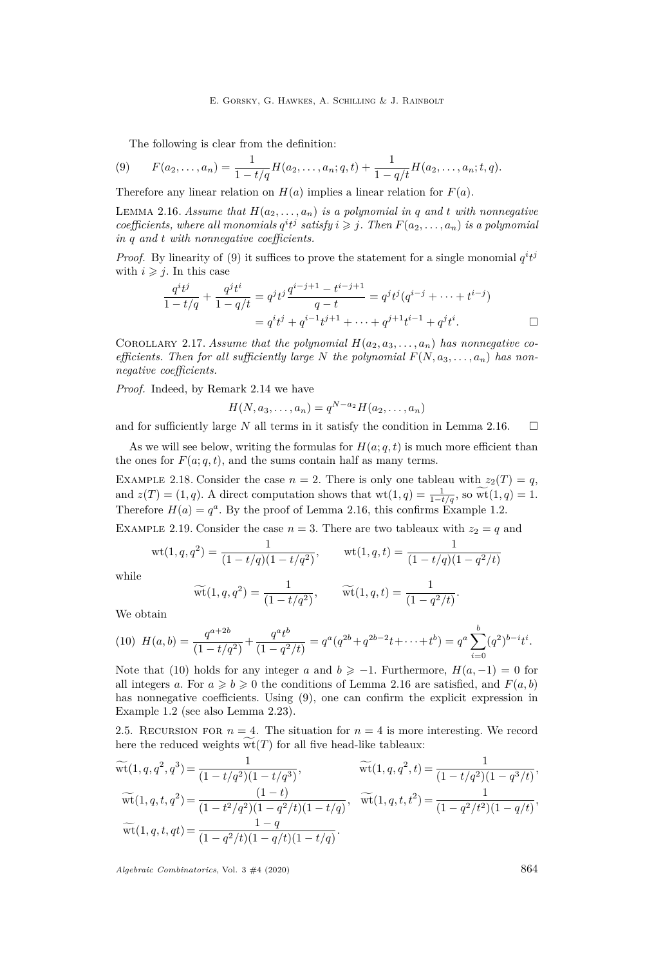E. Gorsky, G. Hawkes, A. Schilling & J. Rainbolt

<span id="page-10-3"></span>The following is clear from the definition:

(9) 
$$
F(a_2,...,a_n) = \frac{1}{1-t/q}H(a_2,...,a_n;q,t) + \frac{1}{1-q/t}H(a_2,...,a_n;t,q).
$$

Therefore any linear relation on  $H(a)$  implies a linear relation for  $F(a)$ .

<span id="page-10-4"></span>LEMMA 2.16. Assume that  $H(a_2, \ldots, a_n)$  is a polynomial in q and t with nonnegative *coefficients, where all monomials*  $q^i t^j$  *satisfy*  $i \geq j$ *. Then*  $F(a_2, \ldots, a_n)$  *is a polynomial in q and t with nonnegative coefficients.*

*Proof.* By linearity of [\(9\)](#page-10-3) it suffices to prove the statement for a single monomial  $q^i t^j$ with  $i \geq j$ . In this case

$$
\frac{q^{i}t^{j}}{1-t/q} + \frac{q^{j}t^{i}}{1-q/t} = q^{j}t^{j}\frac{q^{i-j+1}-t^{i-j+1}}{q-t} = q^{j}t^{j}(q^{i-j}+\cdots+t^{i-j})
$$

$$
= q^{i}t^{j} + q^{i-1}t^{j+1}+\cdots+q^{j+1}t^{i-1} + q^{j}t^{i}.
$$

COROLLARY 2.17. Assume that the polynomial  $H(a_2, a_3, \ldots, a_n)$  has nonnegative co*efficients. Then for all sufficiently large N the polynomial*  $F(N, a_3, \ldots, a_n)$  *has nonnegative coefficients.*

*Proof.* Indeed, by Remark [2.14](#page-9-0) we have

$$
H(N, a_3, \ldots, a_n) = q^{N-a_2} H(a_2, \ldots, a_n)
$$

and for sufficiently large N all terms in it satisfy the condition in Lemma [2.16.](#page-10-4)  $\Box$ 

As we will see below, writing the formulas for  $H(a; a, t)$  is much more efficient than the ones for  $F(a; q, t)$ , and the sums contain half as many terms.

<span id="page-10-0"></span>EXAMPLE 2.18. Consider the case  $n = 2$ . There is only one tableau with  $z_2(T) = q$ , and  $z(T) = (1, q)$ . A direct computation shows that wt $(1, q) = \frac{1}{1-t/q}$ , so  $\widetilde{\text{wt}}(1, q) = 1$ . Therefore  $H(a) = q^a$ . By the proof of Lemma [2.16,](#page-10-4) this confirms Example [1.2.](#page-2-1)

<span id="page-10-1"></span>EXAMPLE 2.19. Consider the case  $n = 3$ . There are two tableaux with  $z_2 = q$  and

$$
wt(1, q, q^{2}) = \frac{1}{(1 - t/q)(1 - t/q^{2})}, \qquad wt(1, q, t) = \frac{1}{(1 - t/q)(1 - q^{2}/t)}
$$

while

$$
\widetilde{\text{wt}}(1, q, q^2) = \frac{1}{(1 - t/q^2)}, \qquad \widetilde{\text{wt}}(1, q, t) = \frac{1}{(1 - q^2/t)}.
$$

We obtain

<span id="page-10-5"></span>
$$
(10) \ \ H(a,b) = \frac{q^{a+2b}}{(1-t/q^2)} + \frac{q^a t^b}{(1-q^2/t)} = q^a (q^{2b} + q^{2b-2}t + \dots + t^b) = q^a \sum_{i=0}^b (q^2)^{b-i} t^i.
$$

Note that [\(10\)](#page-10-5) holds for any integer *a* and  $b \ge -1$ . Furthermore,  $H(a, -1) = 0$  for all integers *a*. For  $a \ge b \ge 0$  the conditions of Lemma [2.16](#page-10-4) are satisfied, and  $F(a, b)$ has nonnegative coefficients. Using [\(9\)](#page-10-3), one can confirm the explicit expression in Example [1.2](#page-2-1) (see also Lemma [2.23\)](#page-12-0).

<span id="page-10-2"></span>2.5. RECURSION FOR  $n = 4$ . The situation for  $n = 4$  is more interesting. We record here the reduced weights  $\overline{\text{wt}}(T)$  for all five head-like tableaux:

$$
\widetilde{\text{wt}}(1, q, q^2, q^3) = \frac{1}{(1 - t/q^2)(1 - t/q^3)}, \qquad \widetilde{\text{wt}}(1, q, q^2, t) = \frac{1}{(1 - t/q^2)(1 - q^3/t)},
$$
\n
$$
\widetilde{\text{wt}}(1, q, t, q^2) = \frac{(1 - t)}{(1 - t^2/q^2)(1 - q^2/t)(1 - t/q)}, \quad \widetilde{\text{wt}}(1, q, t, t^2) = \frac{1}{(1 - q^2/t^2)(1 - q/t)},
$$
\n
$$
\widetilde{\text{wt}}(1, q, t, qt) = \frac{1 - q}{(1 - q^2/t)(1 - q/t)(1 - t/q)}.
$$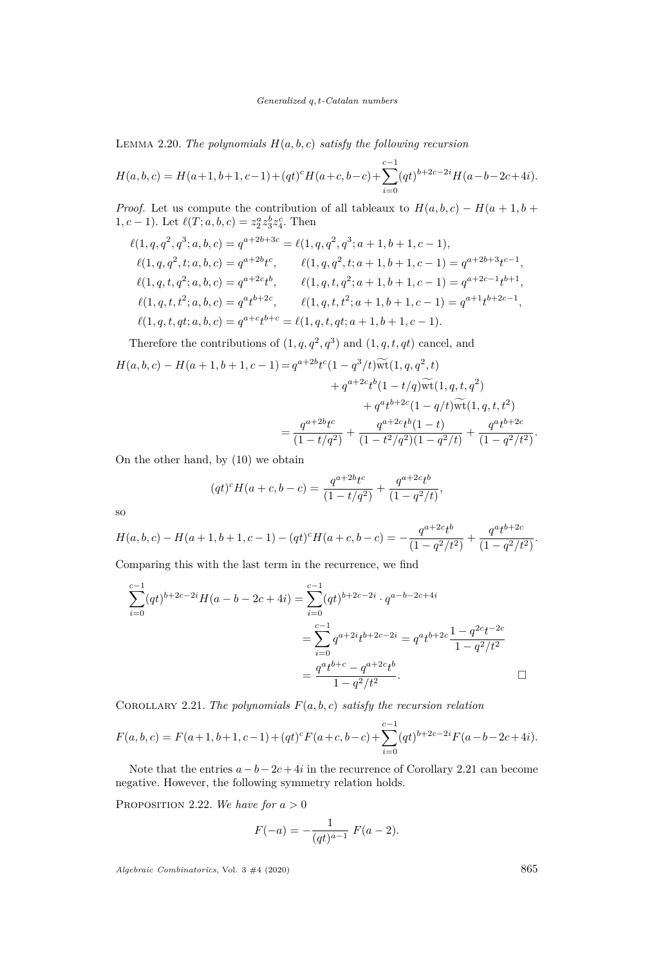LEMMA 2.20. *The polynomials*  $H(a, b, c)$  *satisfy the following recursion* 

$$
H(a,b,c) = H(a+1,b+1,c-1) + (qt)^{c}H(a+c,b-c) + \sum_{i=0}^{c-1} (qt)^{b+2c-2i}H(a-b-2c+4i).
$$

*Proof.* Let us compute the contribution of all tableaux to  $H(a, b, c) - H(a + 1, b + c)$ 1,  $c - 1$ ). Let  $\ell(T; a, b, c) = z_2^a z_3^b z_4^c$ . Then

$$
\ell(1, q, q^2, q^3; a, b, c) = q^{a+2b+3c} = \ell(1, q, q^2, q^3; a+1, b+1, c-1),
$$
  
\n
$$
\ell(1, q, q^2, t; a, b, c) = q^{a+2b}t^c, \qquad \ell(1, q, q^2, t; a+1, b+1, c-1) = q^{a+2b+3}t^{c-1},
$$
  
\n
$$
\ell(1, q, t, q^2; a, b, c) = q^{a+2c}t^b, \qquad \ell(1, q, t, q^2; a+1, b+1, c-1) = q^{a+2c-1}t^{b+1},
$$
  
\n
$$
\ell(1, q, t, t^2; a, b, c) = q^{a}t^{b+2c}, \qquad \ell(1, q, t, t^2; a+1, b+1, c-1) = q^{a+1}t^{b+2c-1},
$$
  
\n
$$
\ell(1, q, t, qt; a, b, c) = q^{a+c}t^{b+c} = \ell(1, q, t, qt; a+1, b+1, c-1).
$$

Therefore the contributions of  $(1, q, q^2, q^3)$  and  $(1, q, t, qt)$  cancel, and

$$
H(a, b, c) - H(a + 1, b + 1, c - 1) = q^{a + 2b} t^c (1 - q^3 / t) \widetilde{\text{wt}}(1, q, q^2, t)
$$
  
+  $q^{a + 2c} t^b (1 - t/q) \widetilde{\text{wt}}(1, q, t, q^2)$   
+  $q^{a} t^{b + 2c} (1 - q/t) \widetilde{\text{wt}}(1, q, t, t^2)$   
=  $\frac{q^{a + 2b} t^c}{(1 - t/q^2)} + \frac{q^{a + 2c} t^b (1 - t)}{(1 - t^2/q^2)(1 - q^2 / t)} + \frac{q^{a} t^{b + 2c}}{(1 - q^2 / t^2)}.$ 

On the other hand, by [\(10\)](#page-10-5) we obtain

$$
(qt)^{c}H(a+c,b-c) = \frac{q^{a+2b}t^{c}}{(1-t/q^{2})} + \frac{q^{a+2c}t^{b}}{(1-q^{2}/t)},
$$

so

$$
H(a,b,c) - H(a+1,b+1,c-1) - (qt)^c H(a+c,b-c) = -\frac{q^{a+2c}t^b}{(1-q^2/t^2)} + \frac{q^at^{b+2c}}{(1-q^2/t^2)}.
$$

Comparing this with the last term in the recurrence, we find

$$
\sum_{i=0}^{c-1} (qt)^{b+2c-2i} H(a-b-2c+4i) = \sum_{i=0}^{c-1} (qt)^{b+2c-2i} \cdot q^{a-b-2c+4i}
$$

$$
= \sum_{i=0}^{c-1} q^{a+2i} t^{b+2c-2i} = q^a t^{b+2c} \frac{1-q^{2c}t^{-2c}}{1-q^2/t^2}
$$

$$
= \frac{q^a t^{b+c} - q^{a+2c} t^b}{1-q^2/t^2}.
$$

<span id="page-11-0"></span>COROLLARY 2.21. *The polynomials*  $F(a, b, c)$  *satisfy the recursion relation* 

$$
F(a,b,c) = F(a+1,b+1,c-1) + (qt)^{c} F(a+c,b-c) + \sum_{i=0}^{c-1} (qt)^{b+2c-2i} F(a-b-2c+4i).
$$

Note that the entries  $a - b - 2c + 4i$  in the recurrence of Corollary [2.21](#page-11-0) can become negative. However, the following symmetry relation holds.

<span id="page-11-1"></span>PROPOSITION 2.22. We have for  $a > 0$ 

$$
F(-a) = -\frac{1}{(qt)^{a-1}} F(a-2).
$$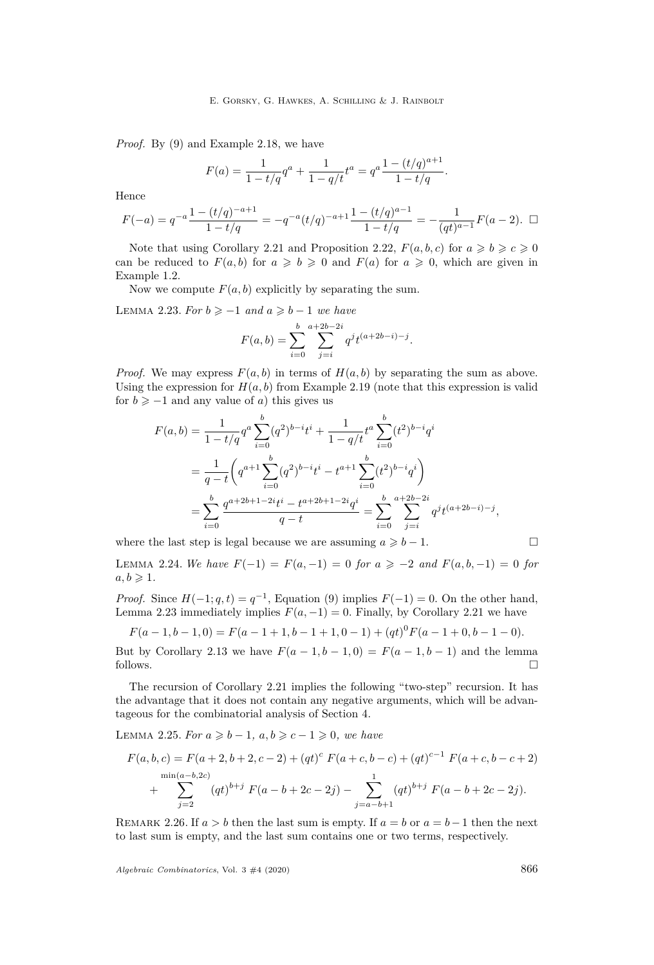*Proof.* By [\(9\)](#page-10-3) and Example [2.18,](#page-10-0) we have

$$
F(a) = \frac{1}{1 - t/q}q^{a} + \frac{1}{1 - q/t}t^{a} = q^{a} \frac{1 - (t/q)^{a+1}}{1 - t/q}.
$$

Hence

$$
F(-a) = q^{-a} \frac{1 - (t/q)^{-a+1}}{1 - t/q} = -q^{-a} (t/q)^{-a+1} \frac{1 - (t/q)^{a-1}}{1 - t/q} = -\frac{1}{(qt)^{a-1}} F(a-2). \quad \Box
$$

Note that using Corollary [2.21](#page-11-0) and Proposition [2.22,](#page-11-1)  $F(a, b, c)$  for  $a \ge b \ge c \ge 0$ can be reduced to  $F(a, b)$  for  $a \ge b \ge 0$  and  $F(a)$  for  $a \ge 0$ , which are given in Example [1.2.](#page-2-1)

Now we compute  $F(a, b)$  explicitly by separating the sum.

<span id="page-12-0"></span>LEMMA 2.23. For  $b \ge -1$  and  $a \ge b-1$  we have

$$
F(a,b) = \sum_{i=0}^{b} \sum_{j=i}^{a+2b-2i} q^{j} t^{(a+2b-i)-j}.
$$

*Proof.* We may express  $F(a, b)$  in terms of  $H(a, b)$  by separating the sum as above. Using the expression for  $H(a, b)$  from Example [2.19](#page-10-1) (note that this expression is valid for  $b \ge -1$  and any value of *a*) this gives us

$$
F(a,b) = \frac{1}{1 - t/q} q^a \sum_{i=0}^b (q^2)^{b-i} t^i + \frac{1}{1 - q/t} t^a \sum_{i=0}^b (t^2)^{b-i} q^i
$$
  
= 
$$
\frac{1}{q - t} \left( q^{a+1} \sum_{i=0}^b (q^2)^{b-i} t^i - t^{a+1} \sum_{i=0}^b (t^2)^{b-i} q^i \right)
$$
  
= 
$$
\sum_{i=0}^b \frac{q^{a+2b+1-2i} t^i - t^{a+2b+1-2i} q^i}{q - t} = \sum_{i=0}^b \sum_{j=i}^{a+2b-2i} q^j t^{(a+2b-i)-j},
$$

where the last step is legal because we are assuming  $a \geq b - 1$ .

$$
\qquad \qquad \Box
$$

<span id="page-12-2"></span>LEMMA 2.24. *We have*  $F(-1) = F(a, -1) = 0$  *for*  $a \ge -2$  *and*  $F(a, b, -1) = 0$  *for*  $a, b \geqslant 1$ .

*Proof.* Since  $H(-1; q, t) = q^{-1}$ , Equation [\(9\)](#page-10-3) implies  $F(-1) = 0$ . On the other hand, Lemma [2.23](#page-12-0) immediately implies  $F(a, -1) = 0$ . Finally, by Corollary [2.21](#page-11-0) we have

$$
F(a-1,b-1,0) = F(a-1+1,b-1+1,0-1) + (qt)0F(a-1+0,b-1-0).
$$

But by Corollary [2.13](#page-9-1) we have  $F(a-1,b-1,0) = F(a-1,b-1)$  and the lemma follows.  $\Box$ 

The recursion of Corollary [2.21](#page-11-0) implies the following "two-step" recursion. It has the advantage that it does not contain any negative arguments, which will be advantageous for the combinatorial analysis of Section [4.](#page-16-0)

<span id="page-12-1"></span>LEMMA 2.25. *For*  $a \ge b - 1$ ,  $a, b \ge c - 1 \ge 0$ , we have

$$
F(a, b, c) = F(a+2, b+2, c-2) + (qt)^{c} F(a+c, b-c) + (qt)^{c-1} F(a+c, b-c+2)
$$
  

$$
+ \sum_{j=2}^{\min(a-b, 2c)} (qt)^{b+j} F(a-b+2c-2j) - \sum_{j=a-b+1}^{1} (qt)^{b+j} F(a-b+2c-2j).
$$

REMARK 2.26. If  $a > b$  then the last sum is empty. If  $a = b$  or  $a = b - 1$  then the next to last sum is empty, and the last sum contains one or two terms, respectively.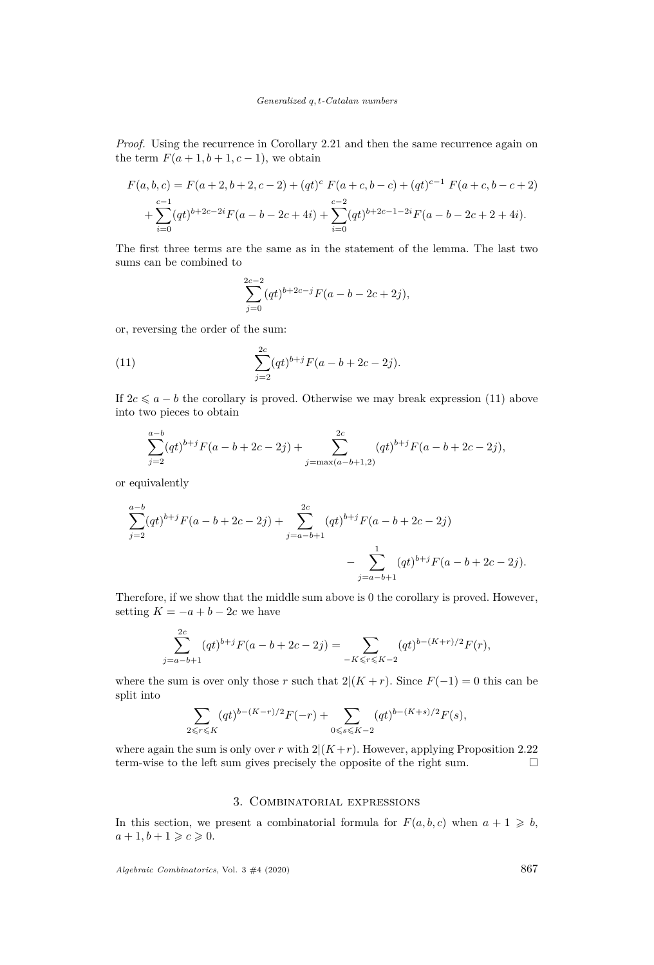*Proof.* Using the recurrence in Corollary [2.21](#page-11-0) and then the same recurrence again on the term  $F(a+1, b+1, c-1)$ , we obtain

$$
F(a, b, c) = F(a+2, b+2, c-2) + (qt)^{c} F(a+c, b-c) + (qt)^{c-1} F(a+c, b-c+2)
$$
  
+ 
$$
\sum_{i=0}^{c-1} (qt)^{b+2c-2i} F(a-b-2c+4i) + \sum_{i=0}^{c-2} (qt)^{b+2c-1-2i} F(a-b-2c+2+4i).
$$

The first three terms are the same as in the statement of the lemma. The last two sums can be combined to

<span id="page-13-1"></span>
$$
\sum_{j=0}^{2c-2} (qt)^{b+2c-j} F(a-b-2c+2j),
$$

or, reversing the order of the sum:

(11) 
$$
\sum_{j=2}^{2c} (qt)^{b+j} F(a-b+2c-2j).
$$

If  $2c \leq a - b$  the corollary is proved. Otherwise we may break expression [\(11\)](#page-13-1) above into two pieces to obtain

$$
\sum_{j=2}^{a-b} (qt)^{b+j} F(a-b+2c-2j) + \sum_{j=\max(a-b+1,2)}^{2c} (qt)^{b+j} F(a-b+2c-2j),
$$

or equivalently

$$
\sum_{j=2}^{a-b} (qt)^{b+j} F(a-b+2c-2j) + \sum_{j=a-b+1}^{2c} (qt)^{b+j} F(a-b+2c-2j) - \sum_{j=a-b+1}^{1} (qt)^{b+j} F(a-b+2c-2j).
$$

Therefore, if we show that the middle sum above is 0 the corollary is proved. However, setting  $K = -a + b - 2c$  we have

$$
\sum_{j=a-b+1}^{2c} (qt)^{b+j} F(a-b+2c-2j) = \sum_{-K \leqslant r \leqslant K-2} (qt)^{b-(K+r)/2} F(r),
$$

where the sum is over only those *r* such that  $2|(K+r)$ . Since  $F(-1) = 0$  this can be split into

$$
\sum_{2 \leqslant r \leqslant K} (qt)^{b-(K-r)/2} F(-r) + \sum_{0 \leqslant s \leqslant K-2} (qt)^{b-(K+s)/2} F(s),
$$

where again the sum is only over  $r$  with  $2|(K+r)$ . However, applying Proposition [2.22](#page-11-1) term-wise to the left sum gives precisely the opposite of the right sum.

### 3. Combinatorial expressions

<span id="page-13-0"></span>In this section, we present a combinatorial formula for  $F(a, b, c)$  when  $a + 1 \geq b$ ,  $a+1, b+1 \geqslant c \geqslant 0.$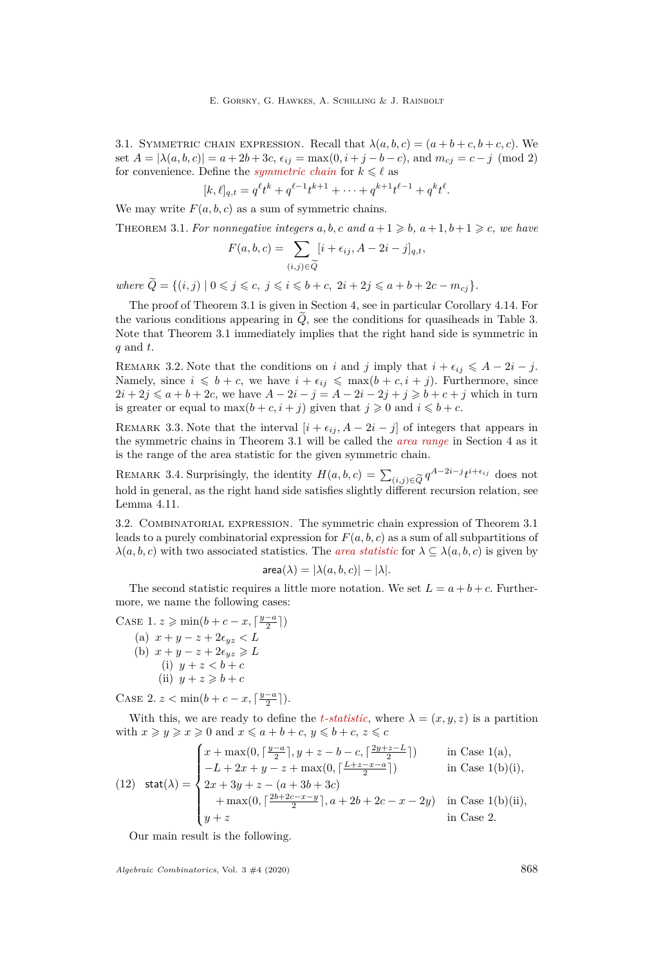3.1. SYMMETRIC CHAIN EXPRESSION. Recall that  $\lambda(a, b, c) = (a + b + c, b + c, c)$ . We set  $A = |\lambda(a, b, c)| = a + 2b + 3c$ ,  $\epsilon_{ij} = \max(0, i + j - b - c)$ , and  $m_{cj} = c - j \pmod{2}$ for convenience. Define the *symmetric chain* for  $k \leq \ell$  as

$$
[k,\ell]_{q,t} = q^{\ell}t^{k} + q^{\ell-1}t^{k+1} + \cdots + q^{k+1}t^{\ell-1} + q^{k}t^{\ell}.
$$

We may write  $F(a, b, c)$  as a sum of symmetric chains.

<span id="page-14-0"></span>THEOREM 3.1. For nonnegative integers  $a, b, c$  and  $a+1 \geq b, a+1, b+1 \geq c$ , we have

$$
F(a, b, c) = \sum_{(i,j)\in \widetilde{Q}} [i + \epsilon_{ij}, A - 2i - j]_{q,t},
$$

 $where \ \tilde{Q} = \{(i, j) \mid 0 \leq j \leq c, \ j \leq i \leq b + c, \ 2i + 2j \leq a + b + 2c - m_{cj}\}.$ 

The proof of Theorem [3.1](#page-14-0) is given in Section [4,](#page-16-0) see in particular Corollary [4.14.](#page-30-0) For the various conditions appearing in  $\tilde{Q}$ , see the conditions for quasiheads in Table [3.](#page-18-0) Note that Theorem [3.1](#page-14-0) immediately implies that the right hand side is symmetric in *q* and *t*.

REMARK 3.2. Note that the conditions on *i* and *j* imply that  $i + \epsilon_{ij} \leq A - 2i - j$ . Namely, since  $i \leq b + c$ , we have  $i + \epsilon_{ij} \leq \max(b + c, i + j)$ . Furthermore, since  $2i + 2j \leq a + b + 2c$ , we have  $A - 2i - j = A - 2i - 2j + j \geq b + c + j$  which in turn is greater or equal to  $\max(b+c, i+j)$  given that  $j \geq 0$  and  $i \leq b+c$ .

REMARK 3.3. Note that the interval  $[i + \epsilon_{ij}, A - 2i - j]$  of integers that appears in the symmetric chains in Theorem [3.1](#page-14-0) will be called the *area range* in Section [4](#page-16-0) as it is the range of the area statistic for the given symmetric chain.

REMARK 3.4. Surprisingly, the identity  $H(a, b, c) = \sum_{(i, j) \in \widetilde{O}} q^{A-2i-j} t^{i+\epsilon_{ij}}$  does not hold in general, as the right hand side satisfies slightly different recursion relation, see Lemma [4.11.](#page-28-1)

<span id="page-14-8"></span>3.2. COMBINATORIAL EXPRESSION. The symmetric chain expression of Theorem [3.1](#page-14-0) leads to a purely combinatorial expression for  $F(a, b, c)$  as a sum of all subpartitions of  $\lambda(a, b, c)$  with two associated statistics. The *area statistic* for  $\lambda \subseteq \lambda(a, b, c)$  is given by

$$
\textsf{area}(\lambda) = |\lambda(a, b, c)| - |\lambda|.
$$

The second statistic requires a little more notation. We set  $L = a + b + c$ . Furthermore, we name the following cases:

*y*−*a*<sup>*a*</sup>

<span id="page-14-3"></span><span id="page-14-2"></span><span id="page-14-1"></span>CASE 1. 
$$
z \ge \min(b + c - x, \lceil \frac{y-a}{2} \rceil)
$$
  
\n(a)  $x + y - z + 2\epsilon_{yz} < L$   
\n(b)  $x + y - z + 2\epsilon_{yz} \ge L$   
\n(i)  $y + z < b + c$   
\n(ii)  $y + z \ge b + c$ 

<span id="page-14-6"></span><span id="page-14-5"></span><span id="page-14-4"></span>CASE 2.  $z < \min(b + c - x, \lceil \frac{y-a}{2} \rceil).$ 

With this, we are ready to define the *t*-statistic, where  $\lambda = (x, y, z)$  is a partition with  $x \ge y \ge x \ge 0$  and  $x \le a + b + c, y \le b + c, z \le c$ 

<span id="page-14-7"></span>(12) 
$$
\text{stat}(\lambda) = \begin{cases} x + \max(0, \lceil \frac{y-a}{2} \rceil, y+z-b-c, \lceil \frac{2y+z-L}{2} \rceil) & \text{in Case 1(a)}, \\ -L + 2x + y - z + \max(0, \lceil \frac{L+z-x-a}{2} \rceil) & \text{in Case 1(b)(i)}, \\ 2x + 3y + z - (a + 3b + 3c) & + \max(0, \lceil \frac{2b+2c-x-y}{2} \rceil, a+2b+2c-x-2y) & \text{in Case 1(b)(ii)}, \\ y + z & \text{in Case 2.} \end{cases}
$$

Our main result is the following.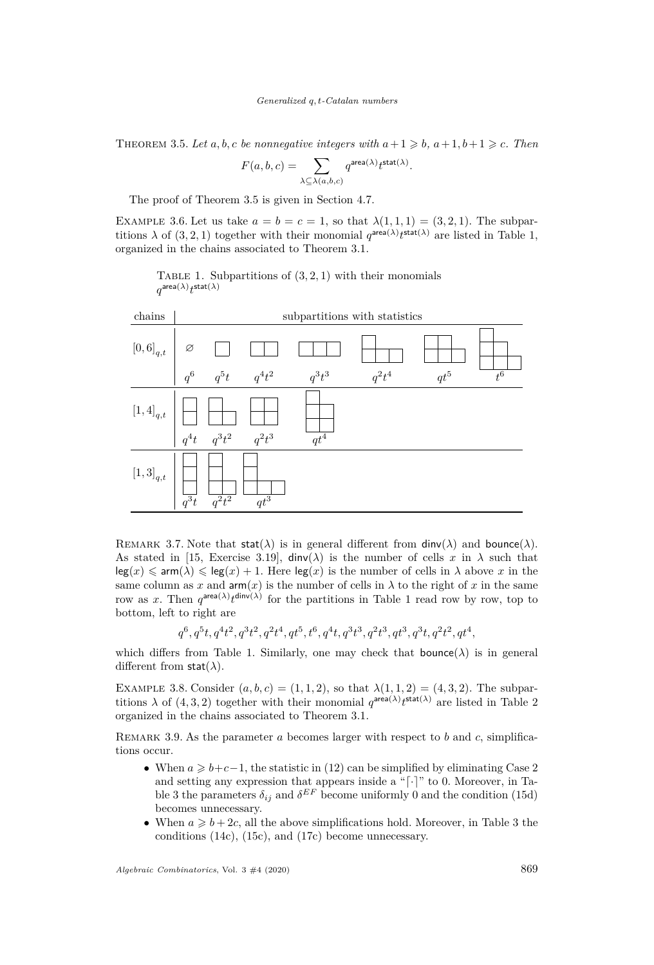<span id="page-15-0"></span>THEOREM 3.5. Let  $a, b, c$  be nonnegative integers with  $a+1 \geq b, a+1, b+1 \geq c$ . Then

$$
F(a, b, c) = \sum_{\lambda \subseteq \lambda(a, b, c)} q^{\text{area}(\lambda)} t^{\text{stat}(\lambda)}.
$$

The proof of Theorem [3.5](#page-15-0) is given in Section [4.7.](#page-30-1)

<span id="page-15-2"></span>EXAMPLE 3.6. Let us take  $a = b = c = 1$ , so that  $\lambda(1, 1, 1) = (3, 2, 1)$ . The subpartitions  $\lambda$  of  $(3, 2, 1)$  together with their monomial  $q^{\text{area}(\lambda)}t^{\text{stat}(\lambda)}$  are listed in Table [1,](#page-15-1) organized in the chains associated to Theorem [3.1.](#page-14-0)

<span id="page-15-1"></span>TABLE 1. Subpartitions of  $(3, 2, 1)$  with their monomials  $q^{\mathsf{area}(\lambda)} t^{\mathsf{stat}(\lambda)}$ 



REMARK 3.7. Note that  $\text{stat}(\lambda)$  is in general different from  $\text{dinv}(\lambda)$  and  $\text{bounce}(\lambda)$ . As stated in [\[15,](#page-31-15) Exercise 3.19],  $\dim(\lambda)$  is the number of cells x in  $\lambda$  such that  $\log(x) \leq \text{arm}(\lambda) \leq \log(x) + 1$ . Here  $\log(x)$  is the number of cells in  $\lambda$  above x in the same column as x and  $arm(x)$  is the number of cells in  $\lambda$  to the right of x in the same row as x. Then  $q^{\text{area}(\lambda)} t^{\text{dinv}(\lambda)}$  for the partitions in Table [1](#page-15-1) read row by row, top to bottom, left to right are

$$
q^6,q^5t,q^4t^2,q^3t^2,q^2t^4,qt^5,t^6,q^4t,q^3t^3,q^2t^3,qt^3,q^3t,q^2t^2,qt^4,
$$

which differs from Table [1.](#page-15-1) Similarly, one may check that **bounce** $(\lambda)$  is in general different from stat(*λ*).

<span id="page-15-3"></span>EXAMPLE 3.8. Consider  $(a, b, c) = (1, 1, 2)$ , so that  $\lambda(1, 1, 2) = (4, 3, 2)$ . The subpartitions  $\lambda$  of (4, 3, [2](#page-16-1)) together with their monomial  $q^{\text{area}(\lambda)}t^{\text{stat}(\lambda)}$  are listed in Table 2 organized in the chains associated to Theorem [3.1.](#page-14-0)

Remark 3.9. As the parameter *a* becomes larger with respect to *b* and *c*, simplifications occur.

- When  $a \geq b+c-1$ , the statistic in [\(12\)](#page-14-7) can be simplified by eliminating Case [2](#page-14-6) and setting any expression that appears inside a " $\lceil \cdot \rceil$ " to 0. Moreover, in Ta-ble [3](#page-18-0) the parameters  $\delta_{ij}$  and  $\delta^{EF}$  become uniformly 0 and the condition [\(15d\)](#page-18-1) becomes unnecessary.
- When  $a \geq b + 2c$ , all the above simplifications hold. Moreover, in Table [3](#page-18-0) the conditions [\(14c\)](#page-18-2), [\(15c\)](#page-18-3), and [\(17c\)](#page-18-4) become unnecessary.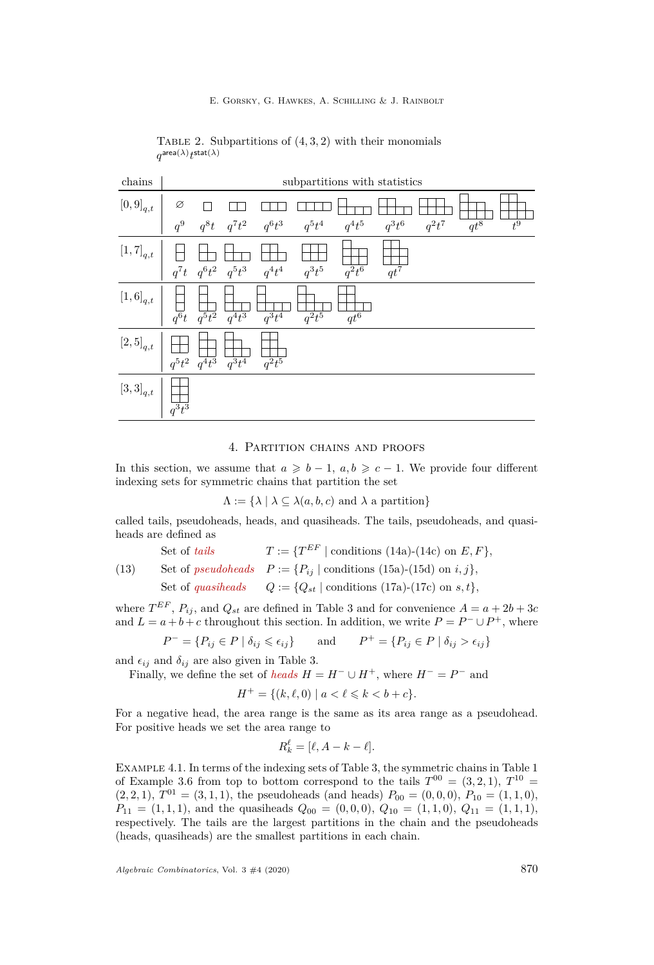<span id="page-16-1"></span>E. Gorsky, G. Hawkes, A. Schilling & J. Rainbolt

| $\text{chains}$                                                                                                                                                                                                                                                                                                                                                                                                                                                                       |                          |                                                                                                                                                                                                                                                                                                                                                   |                                                                                                                               | subpartitions with statistics |                     |                   |          |                   |                  |
|---------------------------------------------------------------------------------------------------------------------------------------------------------------------------------------------------------------------------------------------------------------------------------------------------------------------------------------------------------------------------------------------------------------------------------------------------------------------------------------|--------------------------|---------------------------------------------------------------------------------------------------------------------------------------------------------------------------------------------------------------------------------------------------------------------------------------------------------------------------------------------------|-------------------------------------------------------------------------------------------------------------------------------|-------------------------------|---------------------|-------------------|----------|-------------------|------------------|
| $\left[0,9\right]_{q,t}$                                                                                                                                                                                                                                                                                                                                                                                                                                                              |                          |                                                                                                                                                                                                                                                                                                                                                   | $\begin{array}{ccccc} \varnothing & \Box & \Box & \Box & \Box \Box \cr q^9 & q^8t & q^7t^2 & q^6t^3 & q^5t^4 \cr \end{array}$ |                               |                     |                   |          |                   |                  |
|                                                                                                                                                                                                                                                                                                                                                                                                                                                                                       |                          |                                                                                                                                                                                                                                                                                                                                                   |                                                                                                                               |                               | $q^4t^5$            | $q^3t^6$          | $q^2t^7$ | $\overline{qt^8}$ | $\overline{t^9}$ |
| $[1,7]_{q,t}$                                                                                                                                                                                                                                                                                                                                                                                                                                                                         |                          | $\begin{array}{c cc} \hline \begin{array}{ccc} \hline \begin{array}{ccc} \hline \begin{array}{ccc} \hline \begin{array}{ccc} \hline \begin{array}{ccc} \hline \end{array} & \text{1} & \text{1} & \text{1} & \text{1} \end{array} \\ \hline \end{array} & \begin{array}{ccc} q^7t & q^6t^2 & q^5t^3 & q^4t^4 \end{array} \end{array} \end{array}$ |                                                                                                                               | $q^3t^5$                      | $\overline{q^2t^6}$ | $\overline{qt^7}$ |          |                   |                  |
| $\begin{array}{c c c} \left[1,6\right]_{q,t} & \begin{array}{ c c c }\hline \quad\quad & \quad\quad\\ \hline \quad q^6 t & q^5 t^2 & q^4 t^3 \end{array} \end{array}$                                                                                                                                                                                                                                                                                                                 |                          |                                                                                                                                                                                                                                                                                                                                                   | $\frac{1}{q^3 t^4}$                                                                                                           | $\overline{q^2t^5}$           | $\overline{qt^6}$   |                   |          |                   |                  |
| $[2,5]_{q,t} \ \left  \begin{array}{c} \rule{0pt}{2ex} \\ \rule{0pt}{2ex} \end{array} \right  \ \left  \begin{array}{2ex} \\ \rule{0pt}{2ex} \\ \rule{0pt}{2ex} \end{array} \right  \ \left  \begin{array}{2ex} \\ \rule{0pt}{2ex} \\ \rule{0pt}{2ex} \end{array} \right  \ \left  \begin{array}{2ex} \\ \rule{0pt}{2ex} \\ \rule{0pt}{2ex} \end{array} \right  \ \left  \begin{array}{2ex} \\ \rule{0pt}{2ex} \\ \rule{0pt}{2ex} \end{array} \right  \ \left  \begin{array}{2ex} \\$ |                          |                                                                                                                                                                                                                                                                                                                                                   | $\frac{1}{q^2t^5}$                                                                                                            |                               |                     |                   |          |                   |                  |
| $\left[3,3\right]_{q,t}$                                                                                                                                                                                                                                                                                                                                                                                                                                                              | $\Big \;\prod_{q^3 t^3}$ |                                                                                                                                                                                                                                                                                                                                                   |                                                                                                                               |                               |                     |                   |          |                   |                  |

TABLE 2. Subpartitions of  $(4, 3, 2)$  with their monomials  $q^{\mathsf{area}(\lambda)} t^{\mathsf{stat}(\lambda)}$ 

#### 4. Partition chains and proofs

<span id="page-16-0"></span>In this section, we assume that  $a \geq b-1$ ,  $a, b \geq c-1$ . We provide four different indexing sets for symmetric chains that partition the set

$$
\Lambda := \{ \lambda \mid \lambda \subseteq \lambda(a, b, c) \text{ and } \lambda \text{ a partition} \}
$$

called tails, pseudoheads, heads, and quasiheads. The tails, pseudoheads, and quasiheads are defined as

| Set of tails      | $T := \{T^{EF} \mid \text{conditions } (14a)-(14c) \text{ on } E, F\},$ |                                                                         |
|-------------------|-------------------------------------------------------------------------|-------------------------------------------------------------------------|
| (13)              | Set of pseudobeads                                                      | $P := \{P_{ij} \mid \text{conditions } (15a)-(15d) \text{ on } i, j\},$ |
| Set of quasiheads | $Q := \{Q_{st} \mid \text{conditions } (17a)-(17c) \text{ on } s, t\},$ |                                                                         |

where  $T^{EF}$ ,  $P_{ij}$ , and  $Q_{st}$  are defined in Table [3](#page-18-0) and for convenience  $A = a + 2b + 3c$ and  $L = a + b + c$  throughout this section. In addition, we write  $P = P^- \cup P^+$ , where

$$
P^- = \{ P_{ij} \in P \mid \delta_{ij} \leqslant \epsilon_{ij} \} \quad \text{and} \quad P^+ = \{ P_{ij} \in P \mid \delta_{ij} > \epsilon_{ij} \}
$$

and  $\epsilon_{ij}$  and  $\delta_{ij}$  are also given in Table [3.](#page-18-0)

Finally, we define the set of *heads*  $H = H^- \cup H^+$ , where  $H^- = P^-$  and

 $H^+ = \{(k, \ell, 0) \mid a < \ell \leq k < b + c\}.$ 

For a negative head, the area range is the same as its area range as a pseudohead. For positive heads we set the area range to

$$
R_k^{\ell} = [\ell, A - k - \ell].
$$

Example 4.1. In terms of the indexing sets of Table [3,](#page-18-0) the symmetric chains in Table [1](#page-15-1) of Example [3.6](#page-15-2) from top to bottom correspond to the tails  $T^{00} = (3, 2, 1), T^{10} =$  $(2,2,1), T^{01} = (3,1,1),$  the pseudoheads (and heads)  $P_{00} = (0,0,0), P_{10} = (1,1,0),$  $P_{11} = (1, 1, 1)$ , and the quasiheads  $Q_{00} = (0, 0, 0), Q_{10} = (1, 1, 0), Q_{11} = (1, 1, 1),$ respectively. The tails are the largest partitions in the chain and the pseudoheads (heads, quasiheads) are the smallest partitions in each chain.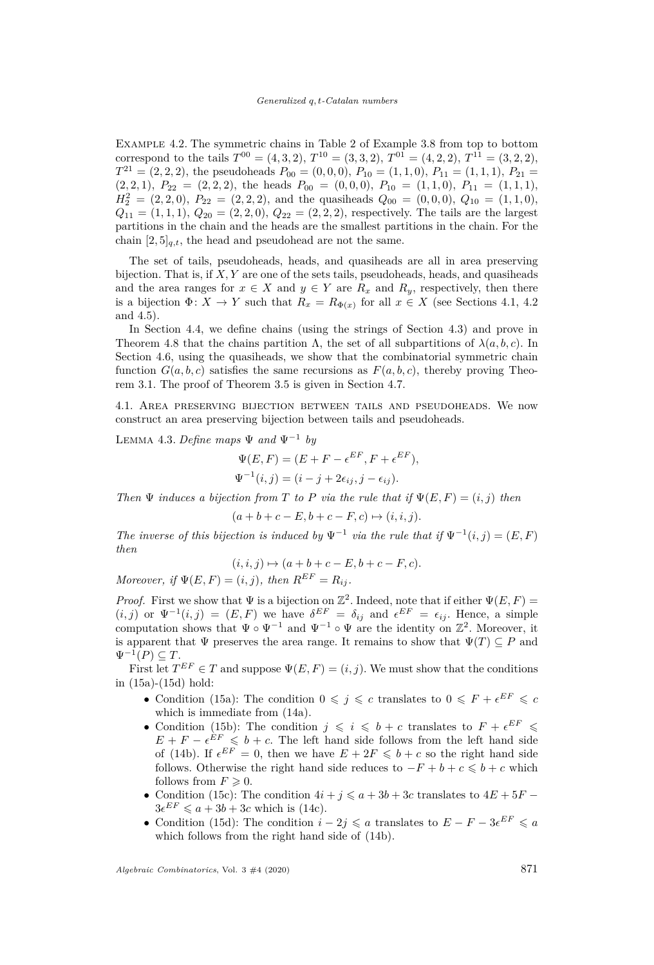Example 4.2. The symmetric chains in Table [2](#page-16-1) of Example [3.8](#page-15-3) from top to bottom correspond to the tails  $T^{00} = (4, 3, 2), T^{10} = (3, 3, 2), T^{01} = (4, 2, 2), T^{11} = (3, 2, 2),$  $T^{21} = (2, 2, 2)$ , the pseudoheads  $P_{00} = (0, 0, 0)$ ,  $P_{10} = (1, 1, 0)$ ,  $P_{11} = (1, 1, 1)$ ,  $P_{21} =$  $(P_{2}, (2, 1), P_{22} = (2, 2, 2),$  the heads  $P_{00} = (0, 0, 0), P_{10} = (1, 1, 0), P_{11} = (1, 1, 1),$  $H_2^2 = (2, 2, 0), P_{22} = (2, 2, 2),$  and the quasiheads  $Q_{00} = (0, 0, 0), Q_{10} = (1, 1, 0),$  $Q_{11} = (1, 1, 1), Q_{20} = (2, 2, 0), Q_{22} = (2, 2, 2),$  respectively. The tails are the largest partitions in the chain and the heads are the smallest partitions in the chain. For the chain  $[2, 5]_{q,t}$ , the head and pseudohead are not the same.

The set of tails, pseudoheads, heads, and quasiheads are all in area preserving bijection. That is, if *X, Y* are one of the sets tails, pseudoheads, heads, and quasiheads and the area ranges for  $x \in X$  and  $y \in Y$  are  $R_x$  and  $R_y$ , respectively, then there is a bijection  $\Phi: X \to Y$  such that  $R_x = R_{\Phi(x)}$  for all  $x \in X$  (see Sections [4.1,](#page-17-0) [4.2](#page-18-8)) and [4.5\)](#page-24-0).

In Section [4.4,](#page-23-0) we define chains (using the strings of Section [4.3\)](#page-20-0) and prove in Theorem [4.8](#page-23-1) that the chains partition  $\Lambda$ , the set of all subpartitions of  $\lambda(a, b, c)$ . In Section [4.6,](#page-28-0) using the quasiheads, we show that the combinatorial symmetric chain function  $G(a, b, c)$  satisfies the same recursions as  $F(a, b, c)$ , thereby proving Theorem [3.1.](#page-14-0) The proof of Theorem [3.5](#page-15-0) is given in Section [4.7.](#page-30-1)

<span id="page-17-0"></span>4.1. Area preserving bijection between tails and pseudoheads. We now construct an area preserving bijection between tails and pseudoheads.

LEMMA 4.3. *Define maps*  $\Psi$  *and*  $\Psi^{-1}$  *by* 

$$
\Psi(E, F) = (E + F - \epsilon^{EF}, F + \epsilon^{EF}),
$$
  

$$
\Psi^{-1}(i, j) = (i - j + 2\epsilon_{ij}, j - \epsilon_{ij}).
$$

*Then*  $\Psi$  *induces a bijection from T to P via the rule that if*  $\Psi(E, F) = (i, j)$  *then* 

$$
(a+b+c-E, b+c-F, c) \mapsto (i, i, j).
$$

*The inverse of this bijection is induced by*  $\Psi^{-1}$  *via the rule that if*  $\Psi^{-1}(i, j) = (E, F)$ *then*

$$
(i,i,j)\mapsto (a+b+c-E, b+c-F, c).
$$

*Moreover, if*  $\Psi(E, F) = (i, j)$ *, then*  $R^{EF} = R_{ij}$ *.* 

*Proof.* First we show that  $\Psi$  is a bijection on  $\mathbb{Z}^2$ . Indeed, note that if either  $\Psi(E, F)$  =  $(i, j)$  or  $\Psi^{-1}(i, j) = (E, F)$  we have  $\delta^{EF} = \delta_{ij}$  and  $\epsilon^{EF} = \epsilon_{ij}$ . Hence, a simple computation shows that  $\Psi \circ \Psi^{-1}$  and  $\Psi^{-1} \circ \Psi$  are the identity on  $\mathbb{Z}^2$ . Moreover, it is apparent that  $\Psi$  preserves the area range. It remains to show that  $\Psi(T) \subseteq P$  and  $\Psi^{-1}(P) \subseteq T$ .

First let  $T^{EF} \in T$  and suppose  $\Psi(E, F) = (i, j)$ . We must show that the conditions in [\(15a\)](#page-18-6)-[\(15d\)](#page-18-1) hold:

- Condition [\(15a\)](#page-18-6): The condition  $0 \leq j \leq c$  translates to  $0 \leq F + \epsilon^{EF} \leq c$ which is immediate from [\(14a\)](#page-18-5).
- Condition [\(15b\)](#page-18-9): The condition  $j \leqslant i \leqslant b + c$  translates to  $F + \epsilon^{EF} \leqslant$  $E + F - \epsilon^{EF} \leq b + c$ . The left hand side follows from the left hand side of [\(14b\)](#page-18-10). If  $\epsilon^{EF} = 0$ , then we have  $E + 2F \le b + c$  so the right hand side follows. Otherwise the right hand side reduces to  $-F + b + c \le b + c$  which follows from  $F \geq 0$ .
- Condition [\(15c\)](#page-18-3): The condition  $4i + j \leq a + 3b + 3c$  translates to  $4E + 5F$   $3\epsilon^{EF} \leqslant a + 3b + 3c$  which is [\(14c\)](#page-18-2).
- Condition [\(15d\)](#page-18-1): The condition  $i 2j \leq a$  translates to  $E F 3\epsilon^{EF} \leq a$ which follows from the right hand side of [\(14b\)](#page-18-10).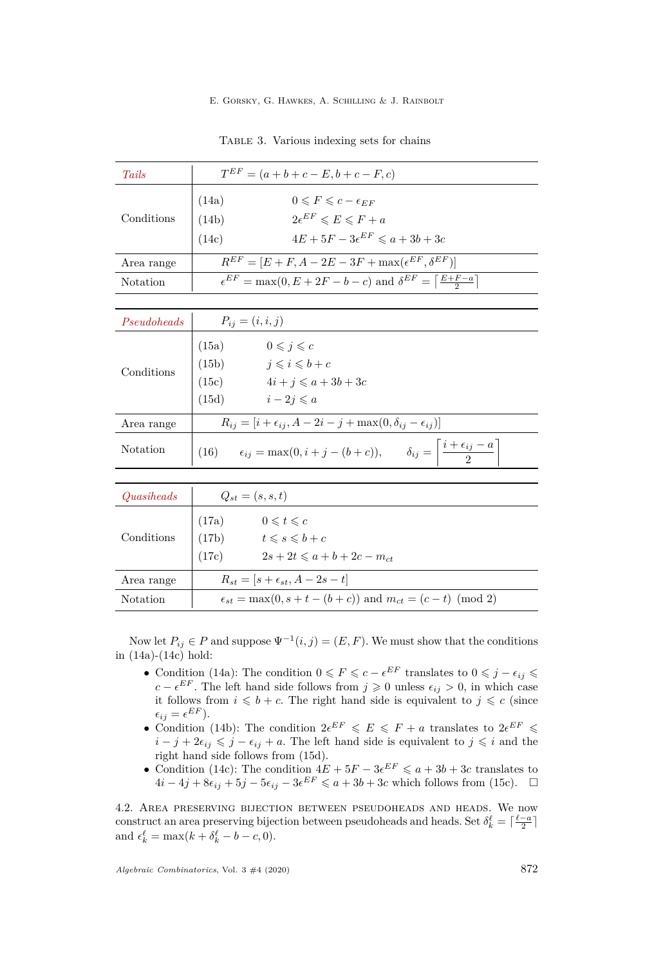<span id="page-18-10"></span><span id="page-18-5"></span><span id="page-18-2"></span><span id="page-18-0"></span>

| TABLE 3. Various indexing sets for chains |  |  |  |
|-------------------------------------------|--|--|--|
|                                           |  |  |  |

<span id="page-18-9"></span><span id="page-18-6"></span><span id="page-18-3"></span><span id="page-18-1"></span>

| Tails       | $T^{EF} = (a+b+c-E, b+c-F, c)$                                                                                                                  |  |  |  |
|-------------|-------------------------------------------------------------------------------------------------------------------------------------------------|--|--|--|
| Conditions  | $0 \leq F \leq c - \epsilon_{FF}$<br>(14a)<br>$2e^{EF} \leq E \leq F + a$<br>(14b)<br>$4E + 5F - 3\epsilon^{EF} \leqslant a + 3b + 3c$<br>(14c) |  |  |  |
| Area range  | $R^{EF} = [E + F, A - 2E - 3F + \max(\epsilon^{EF}, \delta^{EF})]$                                                                              |  |  |  |
| Notation    | $\epsilon^{EF} = \max(0, E + 2F - b - c)$ and $\delta^{EF} = \left[\frac{E + F - a}{2}\right]$                                                  |  |  |  |
|             |                                                                                                                                                 |  |  |  |
| Pseudoheads | $P_{ij} = (i, i, j)$                                                                                                                            |  |  |  |
| Conditions  | $0 \leqslant i \leqslant c$<br>(15a)<br>(15b) $j \leqslant i \leqslant b + c$<br>(15c) $4i + j \leq a + 3b + 3c$<br>$i-2j\leqslant a$<br>(15d)  |  |  |  |
| Area range  | $R_{ij} = [i + \epsilon_{ij}, A - 2i - j + \max(0, \delta_{ij} - \epsilon_{ij})]$                                                               |  |  |  |
| Notation    | $\epsilon_{ij} = \max(0, i + j - (b + c)), \qquad \delta_{ij} = \left  \frac{i + \epsilon_{ij} - a}{2} \right $<br>(16)                         |  |  |  |
|             |                                                                                                                                                 |  |  |  |
| Quasiheads  | $Q_{st} = (s, s, t)$                                                                                                                            |  |  |  |
| Conditions  | $(17a)$ $0 \leqslant t \leqslant c$<br>(17b)<br>$t \leq s \leq b+c$<br>$2s + 2t \leq a + b + 2c - m_{ct}$<br>(17c)                              |  |  |  |
| Area range  | $R_{st} = [s + \epsilon_{st}, A - 2s - t]$                                                                                                      |  |  |  |
| Notation    | $\epsilon_{st} = \max(0, s + t - (b + c))$ and $m_{ct} = (c - t) \pmod{2}$                                                                      |  |  |  |

<span id="page-18-12"></span><span id="page-18-11"></span><span id="page-18-7"></span><span id="page-18-4"></span>Now let  $P_{ij} \in P$  and suppose  $\Psi^{-1}(i, j) = (E, F)$ . We must show that the conditions in [\(14a\)](#page-18-5)-[\(14c\)](#page-18-2) hold:

- Condition [\(14a\)](#page-18-5): The condition  $0 \leq F \leq c \epsilon^{EF}$  translates to  $0 \leq j \epsilon_{ij} \leq$ *c* −  $\epsilon^{EF}$ . The left hand side follows from *j* ≥ 0 unless  $\epsilon_{ij}$  > 0, in which case it follows from  $i \leq b + c$ . The right hand side is equivalent to  $j \leq c$  (since  $\epsilon_{ij} = \epsilon^{EF}$ ).
- Condition [\(14b\)](#page-18-10): The condition  $2e^{EF} \leqslant E \leqslant F + a$  translates to  $2e^{EF} \leqslant$  $i - j + 2\epsilon_{ij} \leq j - \epsilon_{ij} + a$ . The left hand side is equivalent to  $j \leq i$  and the right hand side follows from [\(15d\)](#page-18-1).
- Condition [\(14c\)](#page-18-2): The condition  $4E + 5F 3e^{EF} \leq a + 3b + 3c$  translates to  $4i - 4j + 8\epsilon_{ij} + 5j - 5\epsilon_{ij} - 3\epsilon^{EF} \leqslant a + 3b + 3c$  which follows from [\(15c\)](#page-18-3). □

<span id="page-18-8"></span>4.2. Area preserving bijection between pseudoheads and heads. We now construct an area preserving bijection between pseudoheads and heads. Set  $\delta_k^{\ell} = \lceil \frac{\ell-a}{2} \rceil$ and  $\epsilon_k^{\ell} = \max(k + \delta_k^{\ell} - b - c, 0).$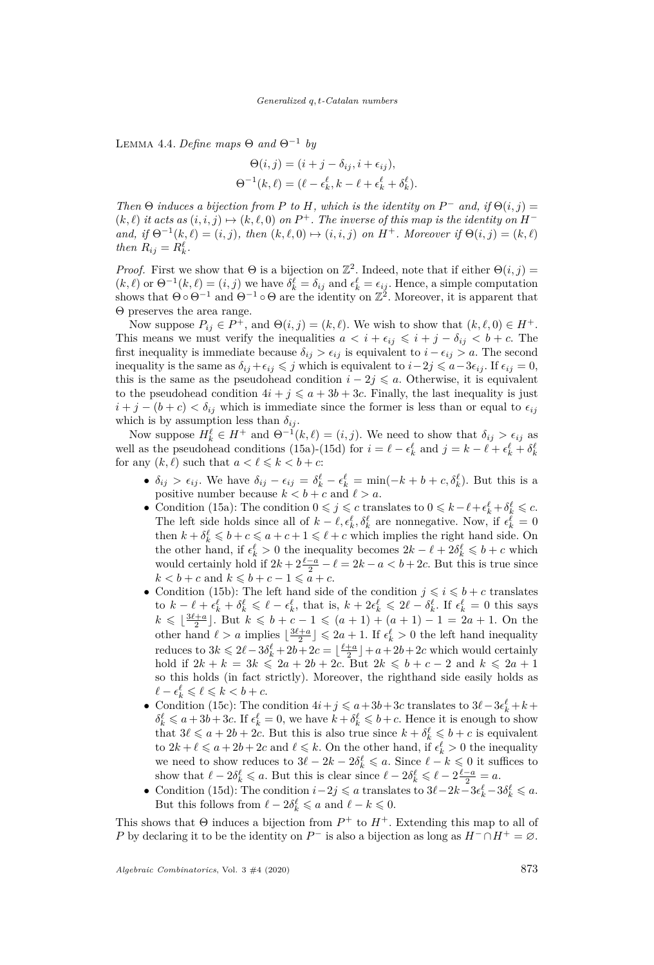Lemma 4.4. *Define maps* Θ *and* Θ−<sup>1</sup> *by*

$$
\Theta(i,j) = (i+j-\delta_{ij}, i+\epsilon_{ij}),
$$
  

$$
\Theta^{-1}(k,\ell) = (\ell-\epsilon_k^{\ell}, k-\ell+\epsilon_k^{\ell}+\delta_k^{\ell}).
$$

*Then*  $\Theta$  *induces a bijection from P to H, which is the identity on*  $P^-$  *and, if*  $\Theta(i, j)$  =  $(k, \ell)$  *it acts as*  $(i, i, j) \mapsto (k, \ell, 0)$  *on*  $P^+$ *. The inverse of this map is the identity on*  $H^$ *and, if*  $\Theta^{-1}(k, \ell) = (i, j)$ *, then*  $(k, \ell, 0) \mapsto (i, i, j)$  *on*  $H^+$ *. Moreover if*  $\Theta(i, j) = (k, \ell)$ *then*  $R_{ij} = R_k^{\ell}$ .

*Proof.* First we show that  $\Theta$  is a bijection on  $\mathbb{Z}^2$ . Indeed, note that if either  $\Theta(i, j)$  =  $(k, \ell)$  or  $\Theta^{-1}(k, \ell) = (i, j)$  we have  $\delta_k^{\ell} = \delta_{ij}$  and  $\epsilon_k^{\ell} = \epsilon_{ij}$ . Hence, a simple computation shows that  $\Theta \circ \Theta^{-1}$  and  $\Theta^{-1} \circ \Theta$  are the identity on  $\mathbb{Z}^2$ . Moreover, it is apparent that Θ preserves the area range.

Now suppose  $P_{ij} \in P^+$ , and  $\Theta(i, j) = (k, \ell)$ . We wish to show that  $(k, \ell, 0) \in H^+$ . This means we must verify the inequalities  $a < i + \epsilon_{ij} \leq i + j - \delta_{ij} < b + c$ . The first inequality is immediate because  $\delta_{ij} > \epsilon_{ij}$  is equivalent to  $i - \epsilon_{ij} > a$ . The second inequality is the same as  $\delta_{ij} + \epsilon_{ij} \leq j$  which is equivalent to  $i - 2j \leq a - 3\epsilon_{ij}$ . If  $\epsilon_{ij} = 0$ , this is the same as the pseudohead condition  $i - 2j \leq a$ . Otherwise, it is equivalent to the pseudohead condition  $4i + j \leq a + 3b + 3c$ . Finally, the last inequality is just  $i + j - (b + c) < \delta_{ij}$  which is immediate since the former is less than or equal to  $\epsilon_{ij}$ which is by assumption less than  $\delta_{ij}$ .

Now suppose  $H_k^{\ell} \in H^+$  and  $\Theta^{-1}(k,\ell) = (i,j)$ . We need to show that  $\delta_{ij} > \epsilon_{ij}$  as well as the pseudohead conditions [\(15a\)](#page-18-6)-[\(15d\)](#page-18-1) for  $i = \ell - \epsilon_k^{\ell}$  and  $j = k - \ell + \epsilon_k^{\ell} + \delta_k^{\ell}$ for any  $(k, \ell)$  such that  $a < \ell \leq k < b + c$ :

- $\delta_{ij} > \epsilon_{ij}$ . We have  $\delta_{ij} \epsilon_{ij} = \delta^{\ell}_k \epsilon^{\ell}_k = \min(-k + b + c, \delta^{\ell}_k)$ . But this is a positive number because  $k < b + c$  and  $\ell > a$ .
- Condition [\(15a\)](#page-18-6): The condition  $0 \leq j \leq c$  translates to  $0 \leq k \ell + \epsilon_k^{\ell} + \delta_k^{\ell} \leq c$ . The left side holds since all of  $k - \ell, \epsilon_k^{\ell}, \delta_k^{\ell}$  are nonnegative. Now, if  $\epsilon_k^{\ell} = 0$ then  $k + \delta_k^{\ell} \leq b + c \leq a + c + 1 \leq \ell + c$  which implies the right hand side. On the other hand, if  $\epsilon_k^{\ell} > 0$  the inequality becomes  $2k - \ell + 2\delta_k^{\ell} \leq b + c$  which would certainly hold if  $2k + 2\frac{\ell-a}{2} - \ell = 2k - a < b + 2c$ . But this is true since  $k < b + c$  and  $k \leq b + c - 1 \leq a + c$ .
- Condition [\(15b\)](#page-18-9): The left hand side of the condition  $j \leqslant i \leqslant b+c$  translates to  $k - \ell + \epsilon_k^{\ell} + \delta_k^{\ell} \leq \ell - \epsilon_k^{\ell}$ , that is,  $k + 2\epsilon_k^{\ell} \leq 2\ell - \delta_k^{\ell}$ . If  $\epsilon_k^{\ell} = 0$  this says  $k \leq \lfloor \frac{3\ell+a}{2} \rfloor$ . But  $k \leq b + c - 1 \leq (a+1) + (a+1) - 1 = 2a + 1$ . On the other hand  $\ell > a$  implies  $\lfloor \frac{3\ell+a}{2} \rfloor \leqslant 2a+1$ . If  $\epsilon_k^{\ell} > 0$  the left hand inequality reduces to  $3k \leq 2\ell - 3\delta_k^{\ell} + 2b + 2c = \lfloor \frac{\ell+a}{2} \rfloor + a + 2b + 2c$  which would certainly hold if  $2k + k = 3k \le 2a + 2b + 2c$ . But  $2k \le b + c - 2$  and  $k \le 2a + 1$ so this holds (in fact strictly). Moreover, the righthand side easily holds as  $\ell - \epsilon_k^{\ell} \leqslant \ell \leqslant k < b + c.$
- Condition [\(15c\)](#page-18-3): The condition  $4i + j \le a + 3b + 3c$  translates to  $3\ell 3\epsilon_k^{\ell} + k + j$  $\delta_k^{\ell} \leq a + 3b + 3c$ . If  $\epsilon_k^{\ell} = 0$ , we have  $k + \delta_k^{\ell} \leq b + c$ . Hence it is enough to show that  $3\ell \leq a + 2b + 2c$ . But this is also true since  $k + \delta_k^{\ell} \leq b + c$  is equivalent to  $2k + \ell \leq a + 2b + 2c$  and  $\ell \leq k$ . On the other hand, if  $\epsilon_k^{\ell} > 0$  the inequality we need to show reduces to  $3\ell - 2k - 2\delta_k^{\ell} \leqslant a$ . Since  $\ell - k \leqslant 0$  it suffices to show that  $\ell - 2\delta_k^{\ell} \leq a$ . But this is clear since  $\ell - 2\delta_k^{\ell} \leq \ell - 2\frac{\ell - a}{2} = a$ .
- $\bullet$  Condition [\(15d\)](#page-18-1): The condition  $i-2j \leq a$  translates to  $3\ell-2k-3\epsilon_k^{\ell}-3\delta_k^{\ell} \leq a$ . But this follows from  $\ell - 2\delta_k^{\ell} \leq a$  and  $\ell - k \leq 0$ .

This shows that  $\Theta$  induces a bijection from  $P^+$  to  $H^+$ . Extending this map to all of *P* by declaring it to be the identity on  $P^-$  is also a bijection as long as  $H^- \cap H^+ = \emptyset$ .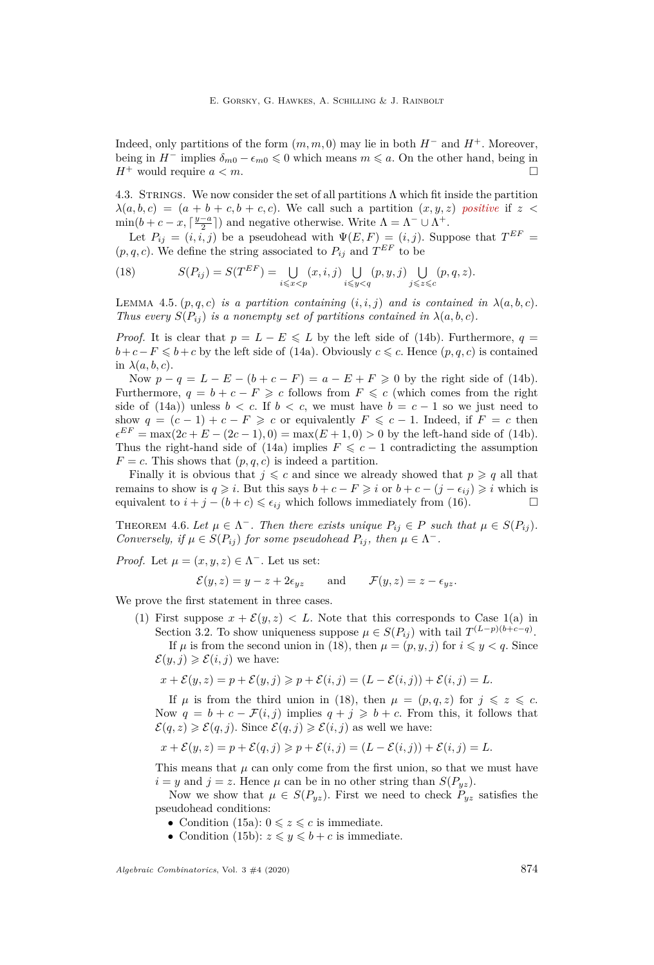Indeed, only partitions of the form  $(m, m, 0)$  may lie in both  $H^-$  and  $H^+$ . Moreover, being in  $H^-$  implies  $\delta_{m0} - \epsilon_{m0} \leq 0$  which means  $m \leq a$ . On the other hand, being in  $H^+$  would require  $a < m$ .

<span id="page-20-0"></span>4.3. STRINGS. We now consider the set of all partitions  $\Lambda$  which fit inside the partition  $\lambda(a, b, c) = (a + b + c, b + c, c)$ . We call such a partition  $(x, y, z)$  positive if  $z <$  $\min(b+c-x, \lceil \frac{y-a}{2} \rceil)$  and negative otherwise. Write  $\Lambda = \Lambda^- \cup \Lambda^+$ .

Let  $P_{ij} = (i, i, j)$  be a pseudohead with  $\Psi(E, F) = (i, j)$ . Suppose that  $T^{EF} =$  $(p, q, c)$ . We define the string associated to  $P_{ij}$  and  $T^{EF}$  to be

<span id="page-20-1"></span>(18) 
$$
S(P_{ij}) = S(T^{EF}) = \bigcup_{i \leq x < p} (x, i, j) \bigcup_{i \leq y < q} (p, y, j) \bigcup_{j \leq z < c} (p, q, z).
$$

LEMMA 4.5.  $(p, q, c)$  *is a partition containing*  $(i, i, j)$  *and is contained in*  $\lambda(a, b, c)$ *. Thus every*  $S(P_{ij})$  *is a nonempty set of partitions contained in*  $\lambda(a, b, c)$ *.* 

*Proof.* It is clear that  $p = L - E \leq L$  by the left side of [\(14b\)](#page-18-10). Furthermore,  $q =$ *b*+*c*−*F* ≤ *b*+*c* by the left side of [\(14a\)](#page-18-5). Obviously *c* ≤ *c*. Hence  $(p, q, c)$  is contained in  $\lambda(a, b, c)$ .

Now  $p - q = L - E - (b + c - F) = a - E + F \ge 0$  by the right side of [\(14b\)](#page-18-10). Furthermore,  $q = b + c - F \geq c$  follows from  $F \leq c$  (which comes from the right side of [\(14a\)](#page-18-5)) unless  $b < c$ . If  $b < c$ , we must have  $b = c - 1$  so we just need to show  $q = (c - 1) + c - F \geq c$  or equivalently  $F \leq c - 1$ . Indeed, if  $F = c$  then  $\epsilon^{EF} = \max(2c + E - (2c - 1), 0) = \max(E + 1, 0) > 0$  by the left-hand side of [\(14b\)](#page-18-10). Thus the right-hand side of [\(14a\)](#page-18-5) implies  $F \leq c - 1$  contradicting the assumption  $F = c$ . This shows that  $(p, q, c)$  is indeed a partition.

Finally it is obvious that  $j \leq c$  and since we already showed that  $p \geq q$  all that remains to show is  $q \geq i$ . But this says  $b + c - F \geq i$  or  $b + c - (j - \epsilon_{ij}) \geq i$  which is equivalent to  $i + j - (b + c) \leq \epsilon_{ij}$  which follows immediately from [\(16\)](#page-18-11).

<span id="page-20-2"></span>THEOREM 4.6. Let  $\mu \in \Lambda^-$ . Then there exists unique  $P_{ij} \in P$  such that  $\mu \in S(P_{ij})$ . *Conversely, if*  $\mu \in S(P_{ij})$  *for some pseudohead*  $P_{ij}$ *, then*  $\mu \in \Lambda^-$ *.* 

*Proof.* Let  $\mu = (x, y, z) \in \Lambda^{-}$ . Let us set:

$$
\mathcal{E}(y, z) = y - z + 2\epsilon_{yz}
$$
 and  $\mathcal{F}(y, z) = z - \epsilon_{yz}$ .

We prove the first statement in three cases.

([1](#page-14-1)) First suppose  $x + \mathcal{E}(y, z) < L$ . Note that this corresponds to Case 1[\(a\)](#page-14-2) in Section [3.2.](#page-14-8) To show uniqueness suppose  $\mu \in S(P_{ij})$  with tail  $T^{(L-p)(b+c-q)}$ .

If  $\mu$  is from the second union in [\(18\)](#page-20-1), then  $\mu = (p, y, j)$  for  $i \leq y < q$ . Since  $\mathcal{E}(y, j) \geqslant \mathcal{E}(i, j)$  we have:

$$
x + \mathcal{E}(y, z) = p + \mathcal{E}(y, j) \geqslant p + \mathcal{E}(i, j) = (L - \mathcal{E}(i, j)) + \mathcal{E}(i, j) = L.
$$

If  $\mu$  is from the third union in [\(18\)](#page-20-1), then  $\mu = (p, q, z)$  for  $j \leq z \leq c$ . Now  $q = b + c - \mathcal{F}(i, j)$  implies  $q + j \geq b + c$ . From this, it follows that  $\mathcal{E}(q, z) \geq \mathcal{E}(q, j)$ . Since  $\mathcal{E}(q, j) \geq \mathcal{E}(i, j)$  as well we have:

$$
x + \mathcal{E}(y, z) = p + \mathcal{E}(q, j) \geq p + \mathcal{E}(i, j) = (L - \mathcal{E}(i, j)) + \mathcal{E}(i, j) = L.
$$

This means that  $\mu$  can only come from the first union, so that we must have  $i = y$  and  $j = z$ . Hence  $\mu$  can be in no other string than  $S(P_{yz})$ .

Now we show that  $\mu \in S(P_{yz})$ . First we need to check  $P_{yz}$  satisfies the pseudohead conditions:

- Condition [\(15a\)](#page-18-6):  $0 \leq z \leq c$  is immediate.
- Condition [\(15b\)](#page-18-9):  $z \leq y \leq b + c$  is immediate.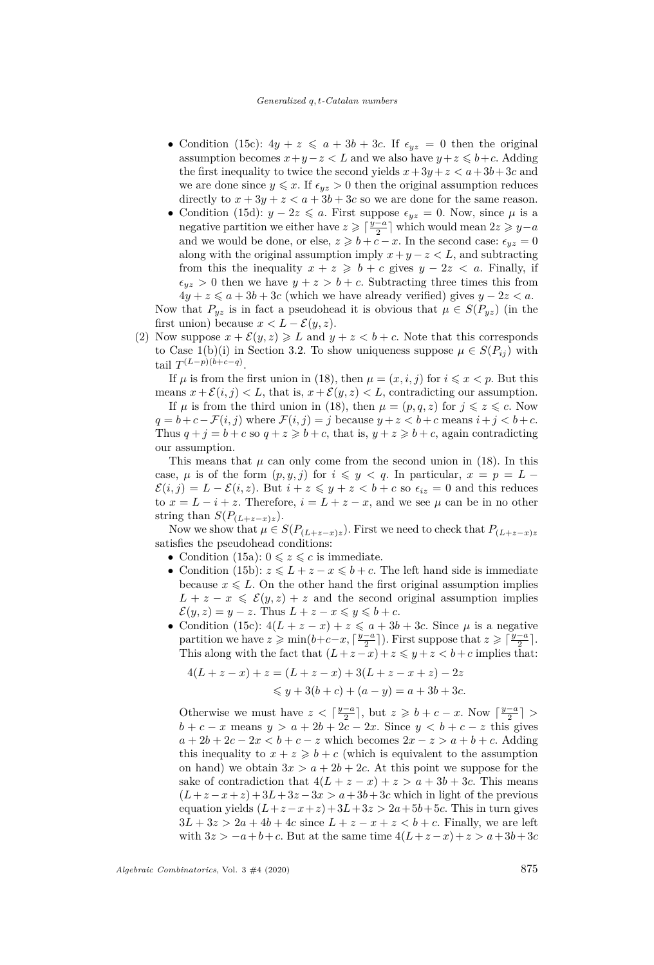#### *Generalized q, t-Catalan numbers*

- Condition [\(15c\)](#page-18-3):  $4y + z \leq a + 3b + 3c$ . If  $\epsilon_{yz} = 0$  then the original assumption becomes  $x + y - z < L$  and we also have  $y + z \leq b + c$ . Adding the first inequality to twice the second yields  $x + 3y + z < a + 3b + 3c$  and we are done since  $y \leq x$ . If  $\epsilon_{yz} > 0$  then the original assumption reduces directly to  $x + 3y + z < a + 3b + 3c$  so we are done for the same reason.
- Condition [\(15d\)](#page-18-1):  $y 2z \leq a$ . First suppose  $\epsilon_{yz} = 0$ . Now, since  $\mu$  is a negative partition we either have  $z \geqslant \lceil \frac{y-a}{2} \rceil$  which would mean  $2z \geqslant y-a$ and we would be done, or else,  $z \geq b + c - x$ . In the second case:  $\epsilon_{yz} = 0$ along with the original assumption imply  $x + y - z < L$ , and subtracting from this the inequality  $x + z \geq b + c$  gives  $y - 2z < a$ . Finally, if  $\epsilon_{yz} > 0$  then we have  $y + z > b + c$ . Subtracting three times this from  $4y + z \leq a + 3b + 3c$  (which we have already verified) gives  $y - 2z < a$ . Now that  $P_{yz}$  is in fact a pseudohead it is obvious that  $\mu \in S(P_{yz})$  (in the

first union) because  $x < L - \mathcal{E}(y, z)$ .

(2) Now suppose  $x + \mathcal{E}(y, z) \ge L$  and  $y + z < b + c$ . Note that this corresponds to Case [1](#page-14-1)[\(b\)](#page-14-3)[\(i\)](#page-14-4) in Section [3.2.](#page-14-8) To show uniqueness suppose  $\mu \in S(P_{ij})$  with tail  $T^{(L-p)(b+c-q)}$ .

If  $\mu$  is from the first union in [\(18\)](#page-20-1), then  $\mu = (x, i, j)$  for  $i \leq x < p$ . But this means  $x + \mathcal{E}(i, j) < L$ , that is,  $x + \mathcal{E}(y, z) < L$ , contradicting our assumption.

If  $\mu$  is from the third union in [\(18\)](#page-20-1), then  $\mu = (p, q, z)$  for  $j \leq z \leq c$ . Now  $q = b + c - \mathcal{F}(i, j)$  where  $\mathcal{F}(i, j) = j$  because  $y + z < b + c$  means  $i + j < b + c$ . Thus  $q + j = b + c$  so  $q + z \geq b + c$ , that is,  $y + z \geq b + c$ , again contradicting our assumption.

This means that  $\mu$  can only come from the second union in [\(18\)](#page-20-1). In this case,  $\mu$  is of the form  $(p, y, j)$  for  $i \leq y < q$ . In particular,  $x = p = L \mathcal{E}(i, j) = L - \mathcal{E}(i, z)$ . But  $i + z \leq y + z < b + c$  so  $\epsilon_{iz} = 0$  and this reduces to  $x = L - i + z$ . Therefore,  $i = L + z - x$ , and we see  $\mu$  can be in no other string than  $S(P_{(L+z-x)z})$ .

Now we show that  $\mu \in S(P_{(L+z-x)z})$ . First we need to check that  $P_{(L+z-x)z}$ satisfies the pseudohead conditions:

- Condition [\(15a\)](#page-18-6):  $0 \leq z \leq c$  is immediate.
- Condition [\(15b\)](#page-18-9):  $z \leq L + z x \leq b + c$ . The left hand side is immediate because  $x \leq L$ . On the other hand the first original assumption implies  $L + z - x \leq \mathcal{E}(y, z) + z$  and the second original assumption implies  $\mathcal{E}(y, z) = y - z$ . Thus  $L + z - x \leq y \leq b + c$ .
- Condition [\(15c\)](#page-18-3):  $4(L + z x) + z \leq a + 3b + 3c$ . Since  $\mu$  is a negative partition we have  $z \geqslant \min(b+c-x, \lceil \frac{y-a}{2} \rceil)$ . First suppose that  $z \geqslant \lceil \frac{y-a}{2} \rceil$ . This along with the fact that  $(L+z-x)+z \leq y+z < b+c$  implies that:

$$
4(L + z - x) + z = (L + z - x) + 3(L + z - x + z) - 2z
$$
  
\n
$$
\leq y + 3(b + c) + (a - y) = a + 3b + 3c.
$$

Otherwise we must have  $z < \lceil \frac{y-a}{2} \rceil$ , but  $z \geq b + c - x$ . Now  $\lceil \frac{y-a}{2} \rceil >$  $b + c - x$  means  $y > a + 2b + 2c - 2x$ . Since  $y < b + c - z$  this gives  $a + 2b + 2c - 2x < b + c - z$  which becomes  $2x - z > a + b + c$ . Adding this inequality to  $x + z \geq b + c$  (which is equivalent to the assumption on hand) we obtain  $3x > a + 2b + 2c$ . At this point we suppose for the sake of contradiction that  $4(L + z - x) + z > a + 3b + 3c$ . This means  $(L+z-x+z) + 3L+3z-3x > a+3b+3c$  which in light of the previous equation yields  $(L+z-x+z)+3L+3z > 2a+5b+5c$ . This in turn gives  $3L + 3z > 2a + 4b + 4c$  since  $L + z - x + z < b + c$ . Finally, we are left with  $3z > -a + b + c$ . But at the same time  $4(L + z - x) + z > a + 3b + 3c$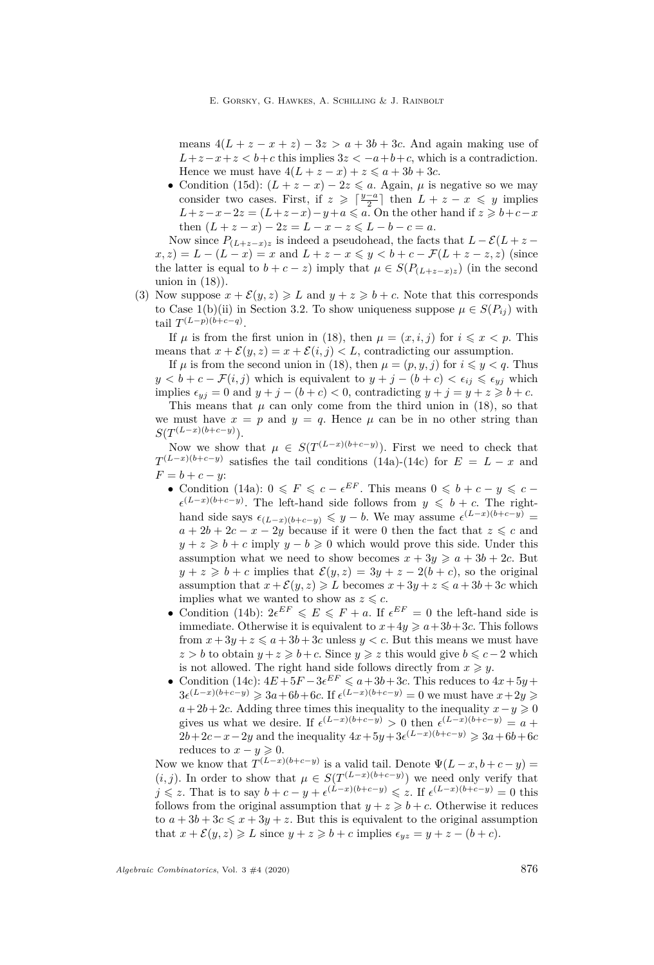E. Gorsky, G. Hawkes, A. Schilling & J. Rainbolt

means  $4(L + z - x + z) - 3z > a + 3b + 3c$ . And again making use of  $L+z-x+z < b+c$  this implies  $3z < -a+b+c$ , which is a contradiction. Hence we must have  $4(L + z - x) + z \leq a + 3b + 3c$ .

• Condition [\(15d\)](#page-18-1):  $(L + z - x) - 2z \leq a$ . Again,  $\mu$  is negative so we may consider two cases. First, if  $z \geqslant \lceil \frac{y-a}{2} \rceil$  then  $L + z - x \leqslant y$  implies  $L+z-x-2z = (L+z-x)-y+a \le a$ . On the other hand if  $z \ge b+c-x$ then  $(L + z - x) - 2z = L - x - z \le L - b - c = a$ .

Now since  $P_{(L+z-x)z}$  is indeed a pseudohead, the facts that  $L - \mathcal{E}(L+z - \mathcal{E}(L+z))$  $f(x, z) = L - (L - x) = x$  and  $L + z - x \le y < b + c - \mathcal{F}(L + z - z, z)$  (since the latter is equal to  $b + c - z$ ) imply that  $\mu \in S(P_{(L+z-x)z})$  (in the second union in  $(18)$ ).

(3) Now suppose  $x + \mathcal{E}(y, z) \geqslant L$  and  $y + z \geqslant b + c$ . Note that this corresponds to Case [1](#page-14-1)[\(b\)](#page-14-3)[\(ii\)](#page-14-5) in Section [3.2.](#page-14-8) To show uniqueness suppose  $\mu \in S(P_{ij})$  with tail  $T^{(L-p)(b+c-q)}$ .

If  $\mu$  is from the first union in [\(18\)](#page-20-1), then  $\mu = (x, i, j)$  for  $i \leqslant x < p$ . This means that  $x + \mathcal{E}(y, z) = x + \mathcal{E}(i, j) < L$ , contradicting our assumption.

If  $\mu$  is from the second union in [\(18\)](#page-20-1), then  $\mu = (p, y, j)$  for  $i \leq y < q$ . Thus  $y < b + c - \mathcal{F}(i, j)$  which is equivalent to  $y + j - (b + c) < \epsilon_{ij} \leq \epsilon_{ij}$  which implies  $\epsilon_{yj} = 0$  and  $y + j - (b + c) < 0$ , contradicting  $y + j = y + z \geq b + c$ .

This means that  $\mu$  can only come from the third union in [\(18\)](#page-20-1), so that we must have  $x = p$  and  $y = q$ . Hence  $\mu$  can be in no other string than  $S(T^{(L-x)(b+c-y)})$ .

Now we show that  $\mu \in S(T^{(L-x)(b+c-y)})$ . First we need to check that  $T^{(L-x)(b+c-y)}$  satisfies the tail conditions [\(14a\)](#page-18-5)-[\(14c\)](#page-18-2) for  $E = L - x$  and  $F = b + c - y$ :

- Condition [\(14a\)](#page-18-5):  $0 \leq F \leq c \epsilon^{EF}$ . This means  $0 \leq b + c y \leq c \epsilon^{(L-x)(b+c-y)}$ . The left-hand side follows from  $y \leq b + c$ . The righthand side says  $\epsilon_{(L-x)(b+c-y)} \leq y - b$ . We may assume  $\epsilon^{(L-x)(b+c-y)}$  $a + 2b + 2c - x - 2y$  because if it were 0 then the fact that  $z \leq c$  and  $y + z \geq b + c$  imply  $y - b \geq 0$  which would prove this side. Under this assumption what we need to show becomes  $x + 3y \ge a + 3b + 2c$ . But  $y + z \geq b + c$  implies that  $\mathcal{E}(y, z) = 3y + z - 2(b + c)$ , so the original assumption that  $x + \mathcal{E}(y, z) \ge L$  becomes  $x + 3y + z \le a + 3b + 3c$  which implies what we wanted to show as  $z \leq c$ .
- Condition [\(14b\)](#page-18-10):  $2e^{EF} \leq E \leq F + a$ . If  $e^{EF} = 0$  the left-hand side is immediate. Otherwise it is equivalent to  $x+4y \geq a+3b+3c$ . This follows from  $x + 3y + z \le a + 3b + 3c$  unless  $y < c$ . But this means we must have *z* > *b* to obtain  $y + z \geq b + c$ . Since  $y \geq z$  this would give  $b \leq c - 2$  which is not allowed. The right hand side follows directly from  $x \geq y$ .
- Condition [\(14c\)](#page-18-2):  $4E + 5F 3e^{EF} \leq a + 3b + 3c$ . This reduces to  $4x + 5y +$ 3 $e^{(L-x)(b+c-y)} \ge 3a+6b+6c$ . If  $e^{(L-x)(b+c-y)} = 0$  we must have  $x+2y \ge 0$  $a + 2b + 2c$ . Adding three times this inequality to the inequality  $x - y \ge 0$ gives us what we desire. If  $\epsilon^{(L-x)(b+c-y)} > 0$  then  $\epsilon^{(L-x)(b+c-y)} = a +$  $2b + 2c - x - 2y$  and the inequality  $4x + 5y + 3e^{(L-x)(b+c-y)} \geq 3a + 6b + 6c$ reduces to  $x - y \geqslant 0$ .

Now we know that  $T^{(L-x)(b+c-y)}$  is a valid tail. Denote  $\Psi(L-x, b+c-y)$  $(i, j)$ . In order to show that  $\mu \in S(T^{(L-x)(b+c-y)})$  we need only verify that *j* ≤ *z*. That is to say  $b + c - y + \epsilon^{(L-x)(b+c-y)} \leq z$ . If  $\epsilon^{(L-x)(b+c-y)} = 0$  this follows from the original assumption that  $y + z \geq b + c$ . Otherwise it reduces to  $a + 3b + 3c \leq x + 3y + z$ . But this is equivalent to the original assumption that  $x + \mathcal{E}(y, z) \geqslant L$  since  $y + z \geqslant b + c$  implies  $\epsilon_{yz} = y + z - (b + c)$ .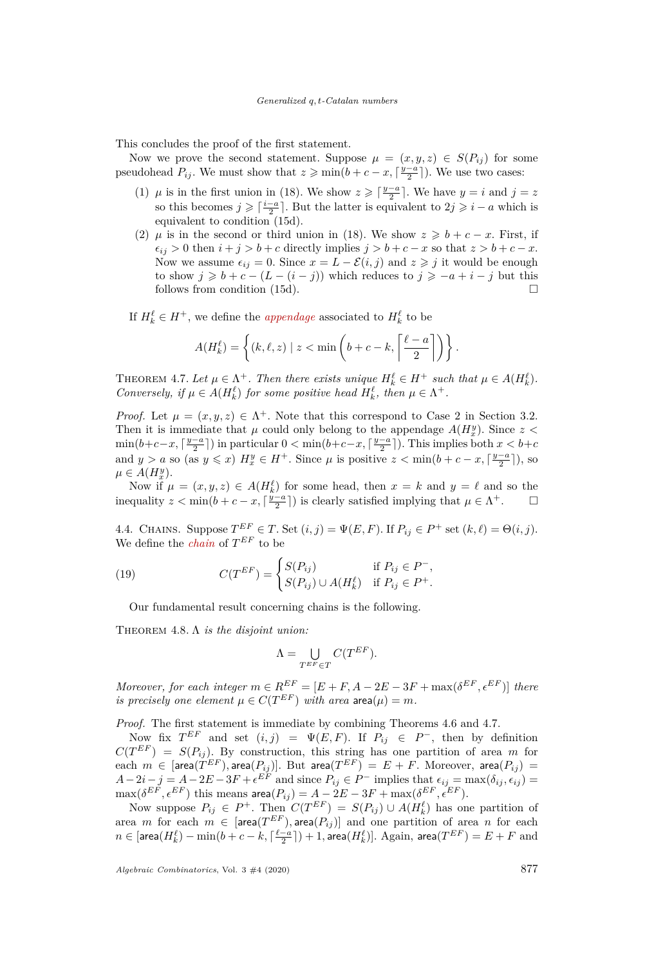This concludes the proof of the first statement.

Now we prove the second statement. Suppose  $\mu = (x, y, z) \in S(P_{ij})$  for some pseudohead  $P_{ij}$ . We must show that  $z \geqslant \min(b + c - x, \lceil \frac{y-a}{2} \rceil)$ . We use two cases:

- (1)  $\mu$  is in the first union in [\(18\)](#page-20-1). We show  $z \geqslant \lceil \frac{y-a}{2} \rceil$ . We have  $y = i$  and  $j = z$ so this becomes  $j \geqslant \lceil \frac{i-a}{2} \rceil$ . But the latter is equivalent to  $2j \geqslant i-a$  which is equivalent to condition [\(15d\)](#page-18-1).
- (2) *µ* is in the second or third union in [\(18\)](#page-20-1). We show  $z \geq b + c x$ . First, if  $\epsilon_{ij} > 0$  then  $i + j > b + c$  directly implies  $j > b + c - x$  so that  $z > b + c - x$ . Now we assume  $\epsilon_{ij} = 0$ . Since  $x = L - \mathcal{E}(i, j)$  and  $z \geq j$  it would be enough to show  $j \geq b + c - (L - (i - j))$  which reduces to  $j \geq -a + i - j$  but this follows from condition [\(15d\)](#page-18-1).

If  $H_k^{\ell} \in H^+$ , we define the *appendage* associated to  $H_k^{\ell}$  to be

$$
A(H_k^{\ell}) = \left\{ (k, \ell, z) \mid z < \min\left(b + c - k, \left\lceil \frac{\ell - a}{2} \right\rceil \right) \right\}.
$$

<span id="page-23-2"></span>THEOREM 4.7. Let  $\mu \in \Lambda^+$ . Then there exists unique  $H_k^{\ell} \in H^+$  such that  $\mu \in A(H_k^{\ell})$ . *Conversely, if*  $\mu \in A(H_k^{\ell})$  *for some positive head*  $H_k^{\ell}$ *, then*  $\mu \in \Lambda^+$ *.* 

*Proof.* Let  $\mu = (x, y, z) \in \Lambda^+$ . Note that this correspond to Case [2](#page-14-6) in Section [3.2.](#page-14-8) Then it is immediate that  $\mu$  could only belong to the appendage  $A(H_x^y)$ . Since  $z$  $\min(b+c-x, \lceil \frac{y-a}{2} \rceil)$  in particular  $0 < \min(b+c-x, \lceil \frac{y-a}{2} \rceil)$ . This implies both  $x < b+c$ and  $y > a$  so (as  $y \leq x$ )  $H_x^y \in H^+$ . Since  $\mu$  is positive  $z < \min(b + c - x, \lceil \frac{y-a}{2} \rceil)$ , so  $\mu \in A(H_x^y).$ 

Now if  $\mu = (x, y, z) \in A(H_k^{\ell})$  for some head, then  $x = k$  and  $y = \ell$  and so the inequality  $z < \min(b + c - x, \lceil \frac{y-a}{2} \rceil)$  is clearly satisfied implying that  $\mu \in \Lambda^+$ .  $\Box$ 

<span id="page-23-0"></span>4.4. CHAINS. Suppose  $T^{EF} \in T$ . Set  $(i, j) = \Psi(E, F)$ . If  $P_{ij} \in P^+$  set  $(k, \ell) = \Theta(i, j)$ . We define the *chain* of *T EF* to be

(19) 
$$
C(T^{EF}) = \begin{cases} S(P_{ij}) & \text{if } P_{ij} \in P^-, \\ S(P_{ij}) \cup A(H_k^{\ell}) & \text{if } P_{ij} \in P^+. \end{cases}
$$

Our fundamental result concerning chains is the following.

<span id="page-23-1"></span>Theorem 4.8. Λ *is the disjoint union:*

$$
\Lambda = \bigcup_{T^{EF} \in T} C(T^{EF}).
$$

*Moreover, for each integer*  $m \in R^{EF} = [E + F, A - 2E - 3F + \max(\delta^{EF}, \epsilon^{EF})]$  *there is precisely one element*  $\mu \in C(T^{EF})$  *with area* area $(\mu) = m$ *.* 

*Proof.* The first statement is immediate by combining Theorems [4.6](#page-20-2) and [4.7.](#page-23-2)

Now fix  $T^{EF}$  and set  $(i, j) = \Psi(E, F)$ . If  $P_{ij} \in P^-$ , then by definition  $C(T^{EF}) = S(P_{ij})$ . By construction, this string has one partition of area *m* for  $\text{each}\ \ m\ \in\ \left[\text{area}(T^{EF}),\text{area}(P_{ij})\right]. \ \ \text{But}\ \ \text{area}(T^{EF})\ =\ E+F. \ \ \text{Moreover,}\ \ \text{area}(P_{ij})\ =\ \ \text{Area}(P_{ij})\ =\ \text{Area}(P_{ij})\ =\ \text{Area}(P_{ij})\ =\ \text{Area}(P_{ij})\ =\ \text{Area}(P_{ij})\ =\ \text{Area}(P_{ij})\ =\ \text{Area}(P_{ij})\ =\ \text{Area}(P_{ij})\ =\ \text{Area}(P_{ij})\ =\ \text{Area}(P_{ij})\ =\ \text{Area}(P_{ij})\ =\ \text{Area}(P_{ij})$  $A-2i-j = A-2E-3F + \epsilon^{EF}$  and since  $P_{ij} \in P^-$  implies that  $\epsilon_{ij} = \max(\delta_{ij}, \epsilon_{ij}) =$  $\max(\delta^{EF}, \epsilon^{EF})$  this means  $\text{area}(P_{ij}) = A - 2E - 3F + \max(\delta^{EF}, \epsilon^{EF}).$ 

Now suppose  $P_{ij} \in P^+$ . Then  $C(T^{EF}) = S(P_{ij}) \cup A(H_k^{\ell})$  has one partition of area *m* for each  $m \in [\text{area}(T^{EF}), \text{area}(P_{ij})]$  and one partition of area *n* for each  $n \in [\textsf{area}(H_k^{\ell}) - \min(b+c-k,\lceil\frac{\ell-a}{2}\rceil) + 1, \textsf{area}(H_k^{\ell})].$  Again,  $\textsf{area}(T^{EF}) = E + F$  and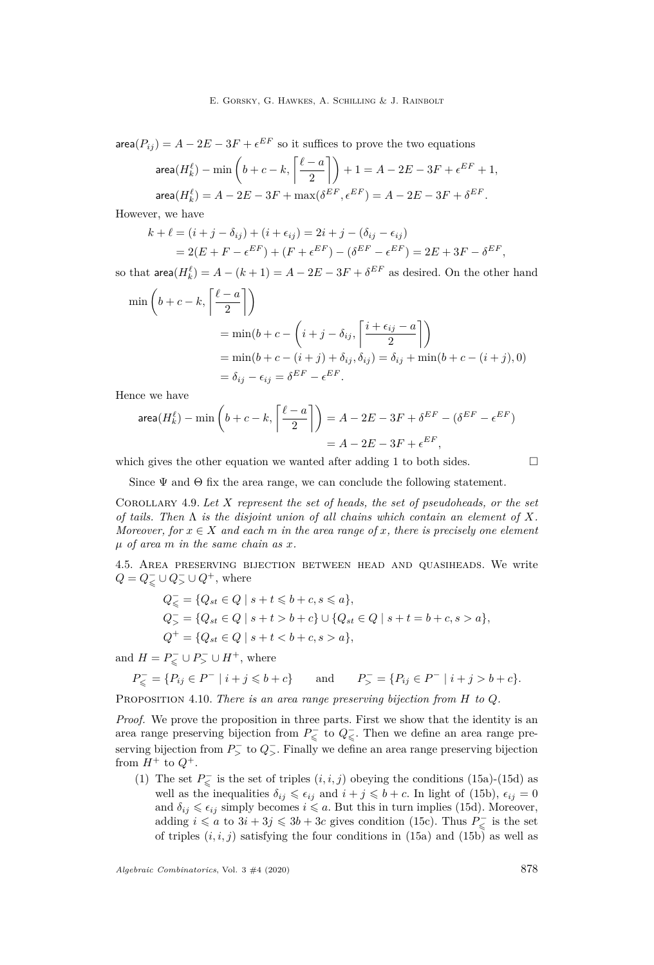area $(P_{ij}) = A - 2E - 3F + \epsilon^{EF}$  so it suffices to prove the two equations

$$
\text{area}(H_k^{\ell}) - \min\left(b + c - k, \left\lceil \frac{\ell - a}{2} \right\rceil\right) + 1 = A - 2E - 3F + \epsilon^{EF} + 1,
$$
  

$$
\text{area}(H_k^{\ell}) = A - 2E - 3F + \max(\delta^{EF}, \epsilon^{EF}) = A - 2E - 3F + \delta^{EF}.
$$

However, we have

$$
k + \ell = (i + j - \delta_{ij}) + (i + \epsilon_{ij}) = 2i + j - (\delta_{ij} - \epsilon_{ij})
$$
  
= 2(E + F - \epsilon^{EF}) + (F + \epsilon^{EF}) - (\delta^{EF} - \epsilon^{EF}) = 2E + 3F - \delta^{EF},

so that  $\textsf{area}(H^{\ell}_k) = A - (k+1) = A - 2E - 3F + \delta^{EF}$  as desired. On the other hand

$$
\begin{aligned}\n\min\left(b+c-k,\left\lceil\frac{\ell-a}{2}\right\rceil\right) &= \min\left(b+c-\left(i+j-\delta_{ij},\left\lceil\frac{i+\epsilon_{ij}-a}{2}\right\rceil\right) \\
&= \min\left(b+c-(i+j)+\delta_{ij},\delta_{ij}\right) = \delta_{ij} + \min\left(b+c-(i+j),0\right) \\
&= \delta_{ij}-\epsilon_{ij} = \delta^{EF}-\epsilon^{EF}.\n\end{aligned}
$$

Hence we have

area
$$
(H_k^{\ell})
$$
 – min $\left(b + c - k, \left\lceil \frac{\ell - a}{2} \right\rceil\right)$  =  $A - 2E - 3F + \delta^{EF} - (\delta^{EF} - \epsilon^{EF})$   
=  $A - 2E - 3F + \epsilon^{EF}$ ,

which gives the other equation we wanted after adding 1 to both sides.  $\Box$ 

Since  $\Psi$  and  $\Theta$  fix the area range, we can conclude the following statement.

<span id="page-24-2"></span>Corollary 4.9. *Let X represent the set of heads, the set of pseudoheads, or the set of tails. Then* Λ *is the disjoint union of all chains which contain an element of X. Moreover, for*  $x \in X$  *and each*  $m$  *in the area range of*  $x$ *, there is precisely one element µ of area m in the same chain as x.*

<span id="page-24-0"></span>4.5. Area preserving bijection between head and quasiheads. We write *Q* =  $Q$ <sub>≤</sub> ∪  $Q$ <sup>−</sup>, ∪  $Q$ <sup>+</sup>, where

$$
Q_{\leq} = \{Q_{st} \in Q \mid s+t \leq b+c, s \leq a\},
$$
  
\n
$$
Q_{>}^{-} = \{Q_{st} \in Q \mid s+t > b+c\} \cup \{Q_{st} \in Q \mid s+t = b+c, s > a\},
$$
  
\n
$$
Q^{+} = \{Q_{st} \in Q \mid s+t < b+c, s > a\},
$$

and  $H = P_{\leqslant}^- \cup P_{\geqslant}^- \cup H^+$ , where

$$
P^-_{\leqslant} = \{ P_{ij} \in P^- \mid i + j \leqslant b + c \} \qquad \text{and} \qquad P^-_{>} = \{ P_{ij} \in P^- \mid i + j > b + c \}.
$$

<span id="page-24-1"></span>Proposition 4.10. *There is an area range preserving bijection from H to Q.*

*Proof.* We prove the proposition in three parts. First we show that the identity is an area range preserving bijection from  $P_{\leq 0}$  to  $Q_{\leq 0}$ . Then we define an area range preserving bijection from  $P^-$  to  $Q^-$ . Finally we define an area range preserving bijection from  $H^+$  to  $Q^+$ .

(1) The set  $P_{\leq}^-$  is the set of triples  $(i, i, j)$  obeying the conditions [\(15a\)](#page-18-6)-[\(15d\)](#page-18-1) as well as the inequalities  $\delta_{ij} \leqslant \epsilon_{ij}$  and  $i + j \leqslant b + c$ . In light of [\(15b\)](#page-18-9),  $\epsilon_{ij} = 0$ and  $\delta_{ij} \leq \epsilon_{ij}$  simply becomes  $i \leq a$ . But this in turn implies [\(15d\)](#page-18-1). Moreover, adding  $i \leq a$  to  $3i + 3j \leq 3b + 3c$  gives condition [\(15c\)](#page-18-3). Thus  $P_{\leq a}^-$  is the set of triples  $(i, i, j)$  satisfying the four conditions in [\(15a\)](#page-18-6) and [\(15b\)](#page-18-9) as well as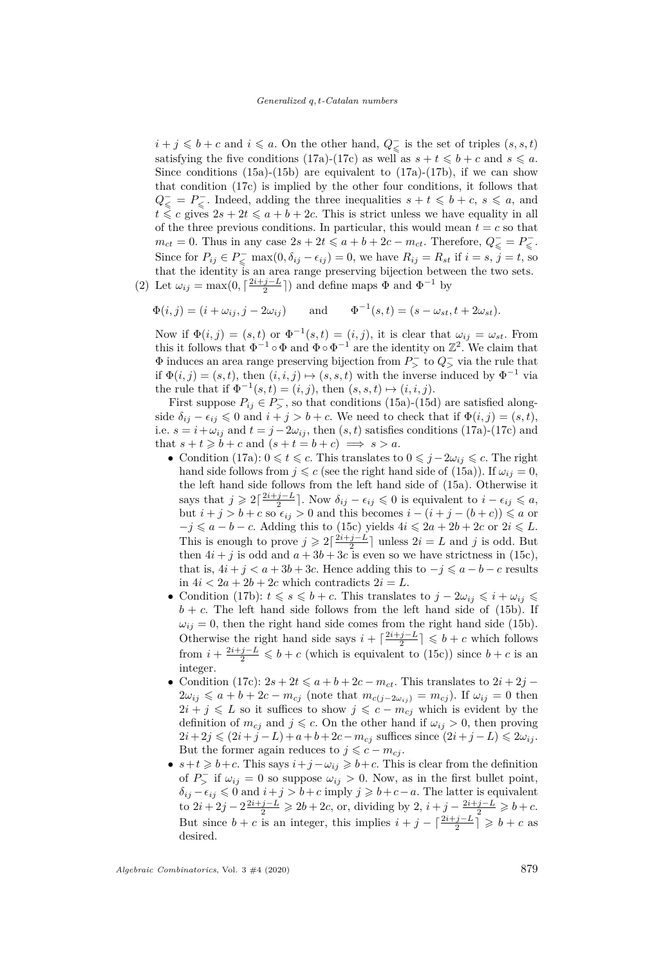*i* + *j* ≤ *b* + *c* and *i* ≤ *a*. On the other hand,  $Q$ <sub>≤</sub> is the set of triples  $(s, s, t)$ satisfying the five conditions [\(17a\)](#page-18-7)-[\(17c\)](#page-18-4) as well as  $s + t \leq b + c$  and  $s \leq a$ . Since conditions  $(15a)-(15b)$  $(15a)-(15b)$  $(15a)-(15b)$  are equivalent to  $(17a)-(17b)$  $(17a)-(17b)$  $(17a)-(17b)$ , if we can show that condition [\(17c\)](#page-18-4) is implied by the other four conditions, it follows that  $Q_{\leq}^- = P_{\leq}^-$ . Indeed, adding the three inequalities  $s + t \leq b + c$ ,  $s \leq a$ , and  $t \leq c$  gives  $2s + 2t \leq a + b + 2c$ . This is strict unless we have equality in all of the three previous conditions. In particular, this would mean  $t = c$  so that  $m_{ct} = 0$ . Thus in any case  $2s + 2t \le a + b + 2c - m_{ct}$ . Therefore,  $Q_{\le} = P_{\le}$ . Since for  $P_{ij} \in P_{\leq}$  max $(0, \delta_{ij} - \epsilon_{ij}) = 0$ , we have  $R_{ij} = R_{st}$  if  $i = s, j = t$ , so that the identity is an area range preserving bijection between the two sets. (2) Let  $\omega_{ij} = \max(0, \lceil \frac{2i+j-L}{2} \rceil)$  and define maps  $\Phi$  and  $\Phi^{-1}$  by

$$
\Phi(i,j) = (i + \omega_{ij}, j - 2\omega_{ij}) \quad \text{and} \quad \Phi^{-1}(s,t) = (s - \omega_{st}, t + 2\omega_{st}).
$$

Now if  $\Phi(i, j) = (s, t)$  or  $\Phi^{-1}(s, t) = (i, j)$ , it is clear that  $\omega_{ij} = \omega_{st}$ . From this it follows that  $\Phi^{-1} \circ \Phi$  and  $\Phi \circ \Phi^{-1}$  are the identity on  $\mathbb{Z}^2$ . We claim that  $\Phi$  induces an area range preserving bijection from  $P$ <sup> $>$ </sup> to  $Q$ <sup> $>$ </sup> via the rule that if  $\Phi(i, j) = (s, t)$ , then  $(i, i, j) \mapsto (s, s, t)$  with the inverse induced by  $\Phi^{-1}$  via the rule that if  $\Phi^{-1}(s,t) = (i, j)$ , then  $(s, s, t) \mapsto (i, i, j)$ .

First suppose  $P_{ij} \in P_{>}^-$ , so that conditions [\(15a\)](#page-18-6)-[\(15d\)](#page-18-1) are satisfied alongside  $\delta_{ij} - \epsilon_{ij} \leq 0$  and  $i + j > b + c$ . We need to check that if  $\Phi(i, j) = (s, t)$ , i.e.  $s = i + \omega_{ij}$  and  $t = j - 2\omega_{ij}$ , then  $(s, t)$  satisfies conditions [\(17a\)](#page-18-7)-[\(17c\)](#page-18-4) and that  $s + t \geq b + c$  and  $(s + t = b + c) \implies s > a$ .

- Condition [\(17a\)](#page-18-7):  $0 \le t \le c$ . This translates to  $0 \le j 2\omega_{ij} \le c$ . The right hand side follows from  $j \leq c$  (see the right hand side of [\(15a\)](#page-18-6)). If  $\omega_{ij} = 0$ , the left hand side follows from the left hand side of [\(15a\)](#page-18-6). Otherwise it says that  $j \geqslant 2\lceil \frac{2i+j-L}{2} \rceil$ . Now  $\delta_{ij} - \epsilon_{ij} \leqslant 0$  is equivalent to  $i - \epsilon_{ij} \leqslant a$ , but  $i + j > b + c$  so  $\epsilon_{ij} > 0$  and this becomes  $i - (i + j - (b + c)) \le a$  or  $-j \leq a - b - c$ . Adding this to [\(15c\)](#page-18-3) yields  $4i \leq 2a + 2b + 2c$  or  $2i \leq L$ . This is enough to prove  $j \ge 2\lceil \frac{2i+j-L}{2} \rceil$  unless  $2i = L$  and  $j$  is odd. But then  $4i + j$  is odd and  $a + 3b + 3c$  is even so we have strictness in [\(15c\)](#page-18-3), that is,  $4i + j < a + 3b + 3c$ . Hence adding this to  $-j \leq a - b - c$  results in  $4i < 2a + 2b + 2c$  which contradicts  $2i = L$ .
- Condition [\(17b\)](#page-18-12):  $t \le s \le b + c$ . This translates to  $j 2\omega_{ij} \le i + \omega_{ij} \le$  $b + c$ . The left hand side follows from the left hand side of [\(15b\)](#page-18-9). If  $\omega_{ij} = 0$ , then the right hand side comes from the right hand side [\(15b\)](#page-18-9). Otherwise the right hand side says  $i + \lceil \frac{2i+j-L}{2} \rceil \leq b + c$  which follows from  $i + \frac{2i+j-L}{2} \leq b + c$  (which is equivalent to [\(15c\)](#page-18-3)) since  $b + c$  is an integer.
- Condition [\(17c\)](#page-18-4):  $2s + 2t \leq a + b + 2c m_{ct}$ . This translates to  $2i + 2j$  $2\omega_{ij} \leq a + b + 2c - m_{cj}$  (note that  $m_{c(j-2\omega_{ji})} = m_{cj}$ ). If  $\omega_{ij} = 0$  then  $2i + j \leq L$  so it suffices to show  $j \leq c - m_{cj}$  which is evident by the definition of  $m_{ci}$  and  $j \leq c$ . On the other hand if  $\omega_{ij} > 0$ , then proving  $2i+2j \leqslant (2i+j-L)+a+b+2c-m_{ci}$  suffices since  $(2i+j-L) \leqslant 2\omega_{ij}$ . But the former again reduces to  $j \leqslant c - m_{cj}$ .
- $s+t \geq b+c$ . This says  $i+j-\omega_{ij} \geq b+c$ . This is clear from the definition of  $P_{\geq}$  if  $\omega_{ij} = 0$  so suppose  $\omega_{ij} > 0$ . Now, as in the first bullet point,  $\delta_{ij} - \epsilon_{ij} \leq 0$  and  $i + j > b + c$  imply  $j \geq b + c - a$ . The latter is equivalent  $\frac{1}{2}$  to  $2i + 2j - 2\frac{2i + j - L}{2} \ge 2b + 2c$ , or, dividing by 2,  $i + j - \frac{2i + j - L}{2} \ge b + c$ . But since  $b + c$  is an integer, this implies  $i + j - \lceil \frac{2i+j-L}{2} \rceil \geq b + c$  as desired.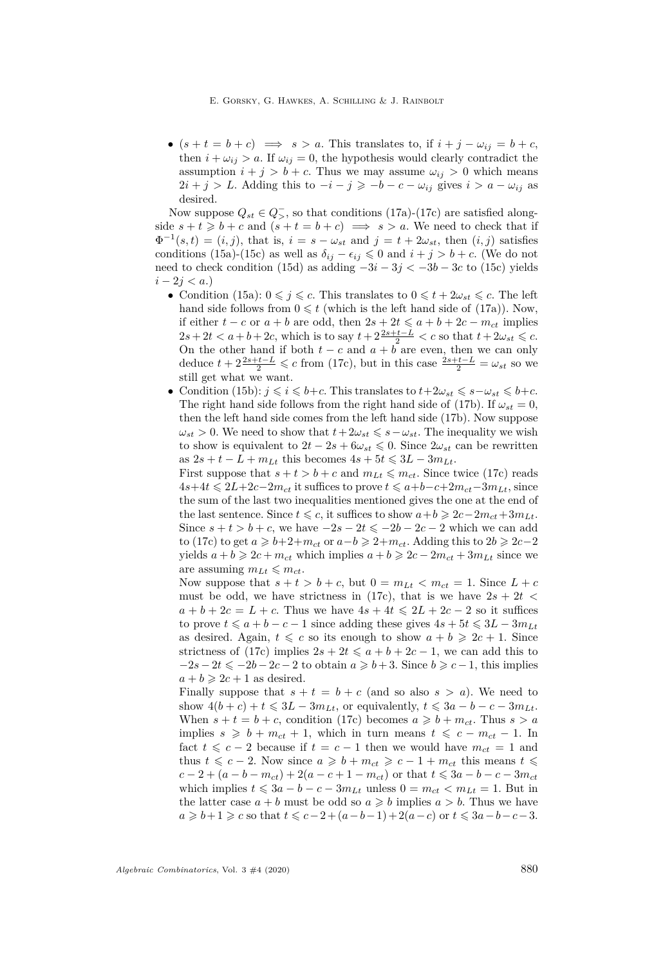E. Gorsky, G. Hawkes, A. Schilling & J. Rainbolt

•  $(s + t = b + c) \implies s > a$ . This translates to, if  $i + j - \omega_{ij} = b + c$ , then  $i + \omega_{ij} > a$ . If  $\omega_{ij} = 0$ , the hypothesis would clearly contradict the assumption  $i + j > b + c$ . Thus we may assume  $\omega_{ij} > 0$  which means  $2i + j > L$ . Adding this to  $-i - j \geq -b - c - \omega_{ij}$  gives  $i > a - \omega_{ij}$  as desired.

Now suppose  $Q_{st} \in Q_{\geq s}$ , so that conditions [\(17a\)](#page-18-7)-[\(17c\)](#page-18-4) are satisfied alongside  $s + t \geq b + c$  and  $(s + t = b + c) \implies s > a$ . We need to check that if  $\Phi^{-1}(s,t) = (i, j)$ , that is,  $i = s - \omega_{st}$  and  $j = t + 2\omega_{st}$ , then  $(i, j)$  satisfies conditions [\(15a\)](#page-18-6)-[\(15c\)](#page-18-3) as well as  $\delta_{ij} - \epsilon_{ij} \leq 0$  and  $i + j > b + c$ . (We do not need to check condition [\(15d\)](#page-18-1) as adding −3*i* − 3*j <* −3*b* − 3*c* to [\(15c\)](#page-18-3) yields *i* − 2*j < a*.)

- Condition [\(15a\)](#page-18-6):  $0 \leq j \leq c$ . This translates to  $0 \leq t + 2\omega_{st} \leq c$ . The left hand side follows from  $0 \leq t$  (which is the left hand side of [\(17a\)](#page-18-7)). Now, if either  $t - c$  or  $a + b$  are odd, then  $2s + 2t \le a + b + 2c - m_{ct}$  implies  $2s + 2t < a + b + 2c$ , which is to say  $t + 2\frac{2s + t - L}{2} < c$  so that  $t + 2\omega_{st} \leqslant c$ . On the other hand if both  $t - c$  and  $a + b$  are even, then we can only deduce  $t + 2\frac{2s+t-L}{2} \leq c$  from [\(17c\)](#page-18-4), but in this case  $\frac{2s+t-L}{2} = \omega_{st}$  so we still get what we want.
- Condition [\(15b\)](#page-18-9):  $j \leq i \leq b+c$ . This translates to  $t+2\omega_{st} \leq s-\omega_{st} \leq b+c$ . The right hand side follows from the right hand side of [\(17b\)](#page-18-12). If  $\omega_{st} = 0$ , then the left hand side comes from the left hand side [\(17b\)](#page-18-12). Now suppose  $\omega_{st} > 0$ . We need to show that  $t + 2\omega_{st} \leq s - \omega_{st}$ . The inequality we wish to show is equivalent to  $2t - 2s + 6\omega_{st} \leq 0$ . Since  $2\omega_{st}$  can be rewritten  $\text{as } 2s + t - L + m_{Lt} \text{ this becomes } 4s + 5t \leq 3L - 3m_{Lt}.$

First suppose that  $s + t > b + c$  and  $m_{Lt} \leq m_{ct}$ . Since twice [\(17c\)](#page-18-4) reads  $4s+4t ≤ 2L+2c-2m_{ct}$  it suffices to prove  $t ≤ a+b-c+2m_{ct}-3m_{Lt}$ , since the sum of the last two inequalities mentioned gives the one at the end of the last sentence. Since  $t \leq c$ , it suffices to show  $a+b \geq 2c-2m_{ct}+3m_{Lt}$ . Since  $s + t > b + c$ , we have  $-2s - 2t \le -2b - 2c - 2$  which we can add to [\(17c\)](#page-18-4) to get *a*  $\geq b+2+m_{ct}$  or *a*−*b*  $\geq 2+m_{ct}$ . Adding this to 2*b*  $\geq 2c-2$ yields  $a + b \geq 2c + m_{ct}$  which implies  $a + b \geq 2c - 2m_{ct} + 3m_{Lt}$  since we are assuming  $m_{Lt} \leq m_{ct}$ .

Now suppose that  $s + t > b + c$ , but  $0 = m_{Lt} < m_{ct} = 1$ . Since  $L + c$ must be odd, we have strictness in [\(17c\)](#page-18-4), that is we have  $2s + 2t <$  $a + b + 2c = L + c$ . Thus we have  $4s + 4t \leq 2L + 2c - 2$  so it suffices to prove  $t \leq a + b - c - 1$  since adding these gives  $4s + 5t \leq 3L - 3m_{Lt}$ as desired. Again,  $t \leq c$  so its enough to show  $a + b \geq 2c + 1$ . Since strictness of [\(17c\)](#page-18-4) implies  $2s + 2t \leq a + b + 2c - 1$ , we can add this to  $-2s - 2t \le -2b - 2c - 2$  to obtain  $a \ge b + 3$ . Since  $b \ge c - 1$ , this implies  $a + b \geqslant 2c + 1$  as desired.

Finally suppose that  $s + t = b + c$  (and so also  $s > a$ ). We need to show  $4(b+c) + t \leq 3L - 3m_{Lt}$ , or equivalently,  $t \leq 3a - b - c - 3m_{Lt}$ . When  $s + t = b + c$ , condition [\(17c\)](#page-18-4) becomes  $a \geq b + m_{ct}$ . Thus  $s > a$ implies  $s \geq b + m_{ct} + 1$ , which in turn means  $t \leq c - m_{ct} - 1$ . In fact  $t \leq c - 2$  because if  $t = c - 1$  then we would have  $m_{ct} = 1$  and thus *t* ≤ *c* − 2. Now since  $a \ge b + m_{ct} \ge c - 1 + m_{ct}$  this means  $t \le$  $c - 2 + (a - b - m_{ct}) + 2(a - c + 1 - m_{ct})$  or that  $t \leq 3a - b - c - 3m_{ct}$ which implies  $t \leq 3a - b - c - 3m_{Lt}$  unless  $0 = m_{ct} < m_{Lt} = 1$ . But in the latter case  $a + b$  must be odd so  $a \geq b$  implies  $a > b$ . Thus we have *a* ≥ *b*+1 ≥ *c* so that  $t \le c - 2 + (a - b - 1) + 2(a - c)$  or  $t \le 3a - b - c - 3$ .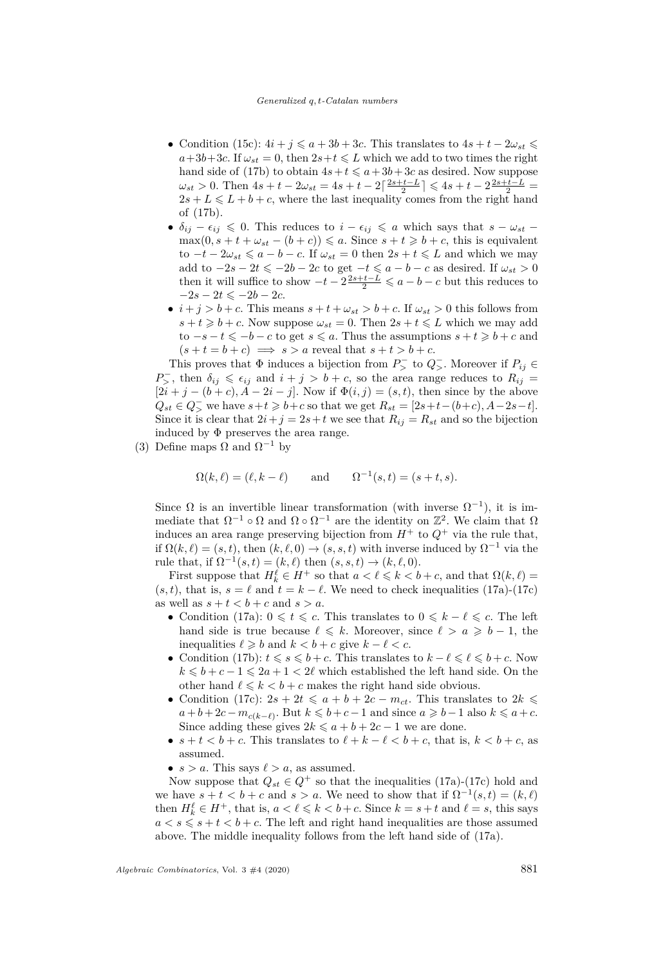#### *Generalized q, t-Catalan numbers*

- Condition [\(15c\)](#page-18-3):  $4i + j \leq a + 3b + 3c$ . This translates to  $4s + t 2\omega_{st} \leq$  $a+3b+3c$ . If  $\omega_{st} = 0$ , then  $2s+t \leq L$  which we add to two times the right hand side of [\(17b\)](#page-18-12) to obtain  $4s + t \leq a + 3b + 3c$  as desired. Now suppose  $\omega_{st} > 0$ . Then  $4s + t - 2\omega_{st} = 4s + t - 2\left[\frac{2s + t - L}{2}\right] \leq 4s + t - 2\frac{2s + t - L}{2} =$  $2s + L \leq L + b + c$ , where the last inequality comes from the right hand of [\(17b\)](#page-18-12).
- $\delta_{ij} \epsilon_{ij} \leq 0$ . This reduces to  $i \epsilon_{ij} \leq a$  which says that  $s \omega_{st}$  $\max(0, s + t + \omega_{st} - (b + c)) \leq a$ . Since  $s + t \geq b + c$ , this is equivalent  $\text{to } -t - 2\omega_{st} \leqslant a - b - c$ . If  $\omega_{st} = 0$  then  $2s + t \leqslant L$  and which we may add to  $-2s - 2t \le -2b - 2c$  to get  $-t \le a - b - c$  as desired. If  $\omega_{st} > 0$ then it will suffice to show  $-t-2\frac{2s+t-L}{2} \leq a-b-c$  but this reduces to  $-2s - 2t \le -2b - 2c$ .
- $i + j > b + c$ . This means  $s + t + \omega_{st} > b + c$ . If  $\omega_{st} > 0$  this follows from  $s + t \geq b + c$ . Now suppose  $\omega_{st} = 0$ . Then  $2s + t \leq L$  which we may add  $\text{to } -s - t \leqslant -b - c$  to get  $s \leqslant a$ . Thus the assumptions  $s + t \geqslant b + c$  and  $(s+t=b+c) \implies s > a$  reveal that  $s+t > b+c$ .

This proves that  $\Phi$  induces a bijection from  $P^-$  to  $Q^-$ . Moreover if  $P_{ij} \in$  $P_{>}^-$ , then  $\delta_{ij} \leq \epsilon_{ij}$  and  $i + j > b + c$ , so the area range reduces to  $R_{ij}$  =  $[2i + j - (b + c), A - 2i - j]$ . Now if  $\Phi(i, j) = (s, t)$ , then since by the above  $Q_{st} \in Q$ <sub>></sub> we have  $s + t \geq b + c$  so that we get  $R_{st} = [2s + t - (b + c), A - 2s - t]$ . Since it is clear that  $2i + j = 2s + t$  we see that  $R_{ij} = R_{st}$  and so the bijection induced by  $\Phi$  preserves the area range.

(3) Define maps  $\Omega$  and  $\Omega^{-1}$  by

$$
\Omega(k,\ell) = (\ell, k - \ell) \quad \text{and} \quad \Omega^{-1}(s,t) = (s+t, s).
$$

Since  $\Omega$  is an invertible linear transformation (with inverse  $\Omega^{-1}$ ), it is immediate that  $\Omega^{-1} \circ \Omega$  and  $\Omega \circ \Omega^{-1}$  are the identity on  $\mathbb{Z}^2$ . We claim that  $\Omega$ induces an area range preserving bijection from  $H^+$  to  $Q^+$  via the rule that, if  $\Omega(k,\ell) = (s,t)$ , then  $(k,\ell,0) \to (s,s,t)$  with inverse induced by  $\Omega^{-1}$  via the rule that, if  $\Omega^{-1}(s,t) = (k,\ell)$  then  $(s, s, t) \to (k,\ell, 0)$ .

First suppose that  $H_k^{\ell} \in H^+$  so that  $a < \ell \leq k < b + c$ , and that  $\Omega(k, \ell) =$  $(s, t)$ , that is,  $s = \ell$  and  $t = k - \ell$ . We need to check inequalities [\(17a\)](#page-18-7)-[\(17c\)](#page-18-4) as well as  $s + t < b + c$  and  $s > a$ .

- Condition [\(17a\)](#page-18-7):  $0 \leq t \leq c$ . This translates to  $0 \leq k \ell \leq c$ . The left hand side is true because  $\ell \leq k$ . Moreover, since  $\ell > a \geq b - 1$ , the inequalities  $\ell \geq b$  and  $k < b + c$  give  $k - \ell < c$ .
- Condition [\(17b\)](#page-18-12):  $t \le s \le b + c$ . This translates to  $k \ell \le \ell \le b + c$ . Now  $k \leq b + c - 1 \leq 2a + 1 < 2\ell$  which established the left hand side. On the other hand  $\ell \leq k < b + c$  makes the right hand side obvious.
- Condition [\(17c\)](#page-18-4):  $2s + 2t \leq a + b + 2c m_{ct}$ . This translates to  $2k \leq$  $a + b + 2c - m_{c(k-\ell)}$ . But  $k \leq b + c - 1$  and since  $a \geq b - 1$  also  $k \leq a + c$ . Since adding these gives  $2k \leq a+b+2c-1$  we are done.
- $s + t < b + c$ . This translates to  $\ell + k \ell < b + c$ , that is,  $k < b + c$ , as assumed.
- $s > a$ . This says  $\ell > a$ , as assumed.

Now suppose that  $Q_{st} \in Q^+$  so that the inequalities [\(17a\)](#page-18-7)-[\(17c\)](#page-18-4) hold and we have  $s + t < b + c$  and  $s > a$ . We need to show that if  $\Omega^{-1}(s,t) = (k, \ell)$ then  $H_k^{\ell} \in H^+$ , that is,  $a < \ell \leq k < b+c$ . Since  $k = s+t$  and  $\ell = s$ , this says  $a < s \leqslant s + t < b + c$ . The left and right hand inequalities are those assumed above. The middle inequality follows from the left hand side of [\(17a\)](#page-18-7).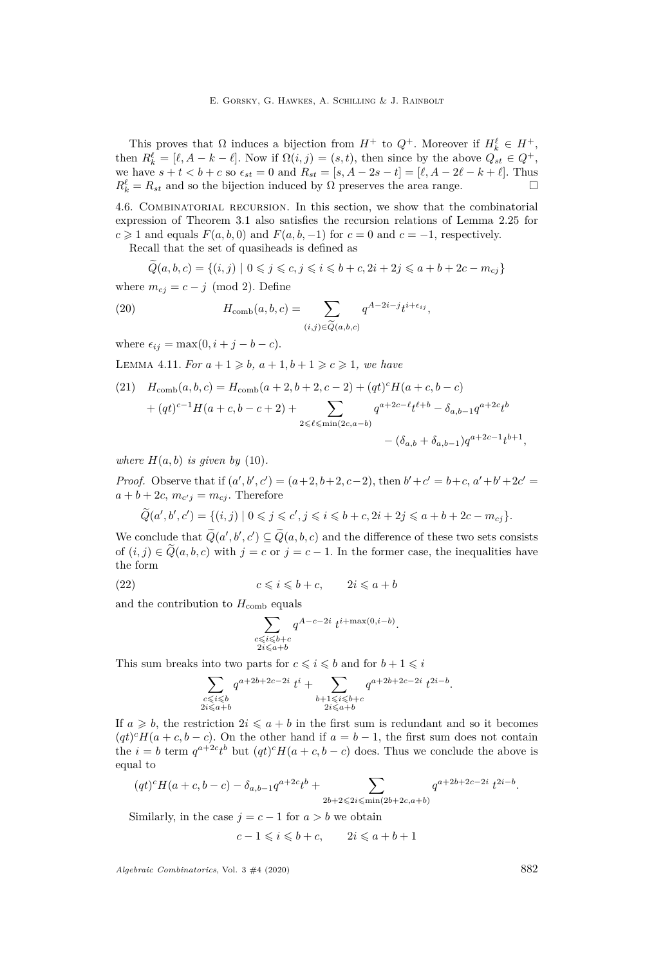This proves that  $\Omega$  induces a bijection from  $H^+$  to  $Q^+$ . Moreover if  $H_k^{\ell} \in H^+$ , then  $R^{\ell}_{k} = [\ell, A - k - \ell]$ . Now if  $\Omega(i, j) = (s, t)$ , then since by the above  $Q_{st} \in Q^{+}$ , we have  $s + t < b + c$  so  $\epsilon_{st} = 0$  and  $R_{st} = [s, A - 2s - t] = [\ell, A - 2\ell - k + \ell]$ . Thus  $R^{\ell}_k = R_{st}$  and so the bijection induced by  $\Omega$  preserves the area range.

<span id="page-28-0"></span>4.6. Combinatorial recursion. In this section, we show that the combinatorial expression of Theorem [3.1](#page-14-0) also satisfies the recursion relations of Lemma [2.25](#page-12-1) for  $c \geq 1$  and equals  $F(a, b, 0)$  and  $F(a, b, -1)$  for  $c = 0$  and  $c = -1$ , respectively.

Recall that the set of quasiheads is defined as

<span id="page-28-2"></span>
$$
\widetilde{Q}(a, b, c) = \{(i, j) \mid 0 \leq j \leq c, j \leq i \leq b + c, 2i + 2j \leq a + b + 2c - m_{cj}\}\
$$

where  $m_{ci} = c - j \pmod{2}$ . Define

(20) 
$$
H_{\text{comb}}(a, b, c) = \sum_{(i,j) \in \widetilde{Q}(a, b, c)} q^{A - 2i - j} t^{i + \epsilon_{ij}},
$$

where  $\epsilon_{ij} = \max(0, i + j - b - c)$ .

<span id="page-28-1"></span>LEMMA 4.11. *For*  $a + 1 \geq b$ ,  $a + 1$ ,  $b + 1 \geq c \geq 1$ , we have

(21) 
$$
H_{\text{comb}}(a, b, c) = H_{\text{comb}}(a+2, b+2, c-2) + (qt)^{c}H(a+c, b-c)
$$

$$
+ (qt)^{c-1}H(a+c, b-c+2) + \sum_{2 \leq \ell \leq \min(2c, a-b)} q^{a+2c-\ell}t^{\ell+b} - \delta_{a,b-1}q^{a+2c}t^{b}
$$

$$
- (\delta_{a,b} + \delta_{a,b-1})q^{a+2c-1}t^{b+1},
$$

*where*  $H(a, b)$  *is given by* [\(10\)](#page-10-5).

*Proof.* Observe that if  $(a', b', c') = (a+2, b+2, c-2)$ , then  $b' + c' = b + c, a' + b' + 2c' = b'$  $a + b + 2c$ ,  $m_{c'j} = m_{cj}$ . Therefore

$$
\widetilde{Q}(a',b',c') = \{(i,j) \mid 0 \leq j \leq c', j \leq i \leq b+c, 2i+2j \leq a+b+2c-m_{cj}\}.
$$

We conclude that  $\widetilde{Q}(a',b',c') \subseteq \widetilde{Q}(a,b,c)$  and the difference of these two sets consists of  $(i, j) \in \tilde{Q}(a, b, c)$  with  $j = c$  or  $j = c - 1$ . In the former case, the inequalities have the form

(22) 
$$
c \leqslant i \leqslant b + c, \qquad 2i \leqslant a + b
$$

and the contribution to  $H_{\text{comb}}$  equals

$$
\sum_{\substack{c \le i \le b+c \\ 2i \le a+b}} q^{A-c-2i} t^{i+\max(0,i-b)}.
$$

This sum breaks into two parts for  $c \leqslant i \leqslant b$  and for  $b+1 \leqslant i$ 

$$
\sum_{\substack{c\leqslant i\leqslant b\\ 2i\leqslant a+b}}q^{a+2b+2c-2i}\ t^{i}+\sum_{\substack{b+1\leqslant i\leqslant b+c\\ 2i\leqslant a+b}}q^{a+2b+2c-2i}\ t^{2i-b}.
$$

If  $a \geq b$ , the restriction  $2i \leq a + b$  in the first sum is redundant and so it becomes  $(qt)^c H(a+c, b-c)$ . On the other hand if  $a = b-1$ , the first sum does not contain the  $i = b$  term  $q^{a+2c}t^b$  but  $(qt)^c H(a+c, b-c)$  does. Thus we conclude the above is equal to

$$
(qt)^c H(a+c, b-c) - \delta_{a,b-1} q^{a+2c} t^b + \sum_{2b+2 \leqslant 2i \leqslant \min(2b+2c, a+b)} q^{a+2b+2c-2i} t^{2i-b}.
$$

Similarly, in the case  $j = c - 1$  for  $a > b$  we obtain

$$
c - 1 \leqslant i \leqslant b + c, \qquad 2i \leqslant a + b + 1
$$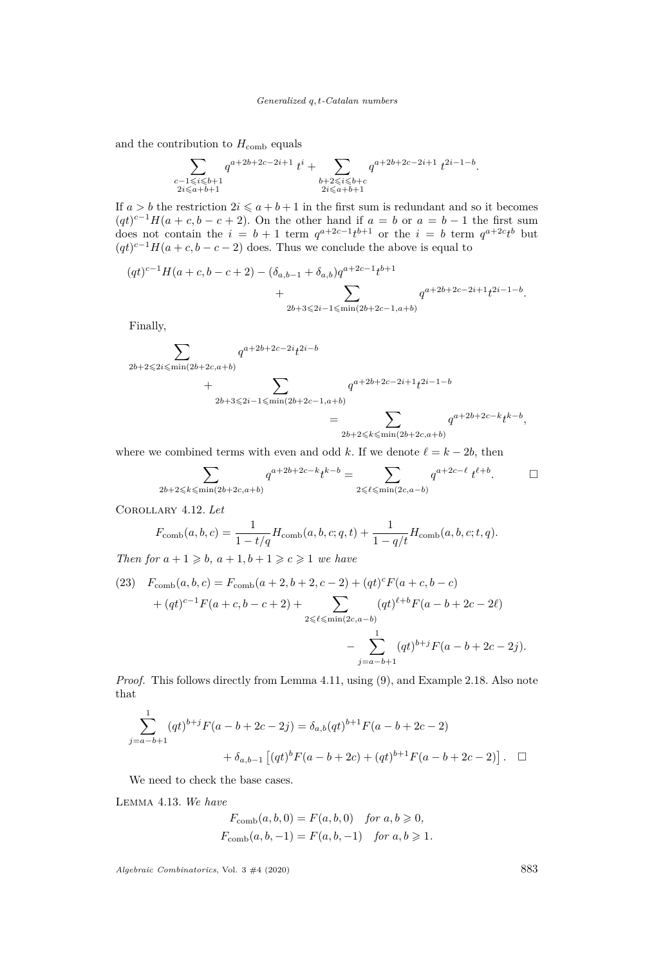#### *Generalized q, t-Catalan numbers*

and the contribution to  $H_{\text{comb}}$  equals

$$
\sum_{\substack{c-1 \leqslant i \leqslant b+1 \\ 2i \leqslant a+b+1}} q^{a+2b+2c-2i+1} t^i + \sum_{\substack{b+2 \leqslant i \leqslant b+c \\ 2i \leqslant a+b+1}} q^{a+2b+2c-2i+1} t^{2i-1-b}.
$$

If  $a > b$  the restriction  $2i \leq a + b + 1$  in the first sum is redundant and so it becomes  $(qt)^{c-1}H(a+c, b-c+2)$ . On the other hand if  $a = b$  or  $a = b-1$  the first sum does not contain the  $i = b + 1$  term  $q^{a+2c-1}t^{b+1}$  or the  $i = b$  term  $q^{a+2c}t^b$  but  $(qt)^{c-1}H(a+c, b-c-2)$  does. Thus we conclude the above is equal to

$$
(qt)^{c-1}H(a+c,b-c+2) - (\delta_{a,b-1} + \delta_{a,b})q^{a+2c-1}t^{b+1} + \sum_{2b+3 \le 2i-1 \le \min(2b+2c-1,a+b)} q^{a+2b+2c-2i+1}t^{2i-1-b}.
$$

Finally,

$$
\sum_{2b+2 \le 2i \le \min(2b+2c,a+b)} q^{a+2b+2c-2i} t^{2i-b}
$$
  
+ 
$$
\sum_{2b+3 \le 2i-1 \le \min(2b+2c-1,a+b)} q^{a+2b+2c-2i+1} t^{2i-1-b}
$$
  
= 
$$
\sum_{2b+2 \le k \le \min(2b+2c,a+b)} q^{a+2b+2c-k} t^{k-b},
$$

where we combined terms with even and odd *k*. If we denote  $\ell = k - 2b$ , then

$$
\sum_{2b+2\leq k\leq \min(2b+2c,a+b)} q^{a+2b+2c-k} t^{k-b} = \sum_{2\leq \ell \leq \min(2c,a-b)} q^{a+2c-\ell} t^{\ell+b}.
$$

<span id="page-29-0"></span>Corollary 4.12. *Let*

$$
F_{\text{comb}}(a, b, c) = \frac{1}{1 - t/q} H_{\text{comb}}(a, b, c; q, t) + \frac{1}{1 - q/t} H_{\text{comb}}(a, b, c; t, q).
$$

*Then for*  $a + 1 \ge b$ ,  $a + 1$ ,  $b + 1 \ge c \ge 1$  *we have* 

(23) 
$$
F_{\text{comb}}(a, b, c) = F_{\text{comb}}(a+2, b+2, c-2) + (qt)^{c} F(a+c, b-c)
$$

$$
+ (qt)^{c-1} F(a+c, b-c+2) + \sum_{2 \leq \ell \leq \min(2c, a-b)} (qt)^{\ell+b} F(a-b+2c-2\ell)
$$

$$
- \sum_{j=a-b+1}^{1} (qt)^{b+j} F(a-b+2c-2j).
$$

*Proof.* This follows directly from Lemma [4.11,](#page-28-1) using [\(9\)](#page-10-3), and Example [2.18.](#page-10-0) Also note that

$$
\sum_{j=a-b+1}^{1} (qt)^{b+j} F(a-b+2c-2j) = \delta_{a,b}(qt)^{b+1} F(a-b+2c-2)
$$
  
+  $\delta_{a,b-1} [(qt)^{b} F(a-b+2c) + (qt)^{b+1} F(a-b+2c-2)].$ 

We need to check the base cases.

<span id="page-29-1"></span>Lemma 4.13. *We have*

$$
F_{\text{comb}}(a, b, 0) = F(a, b, 0) \text{ for } a, b \ge 0,
$$
  

$$
F_{\text{comb}}(a, b, -1) = F(a, b, -1) \text{ for } a, b \ge 1.
$$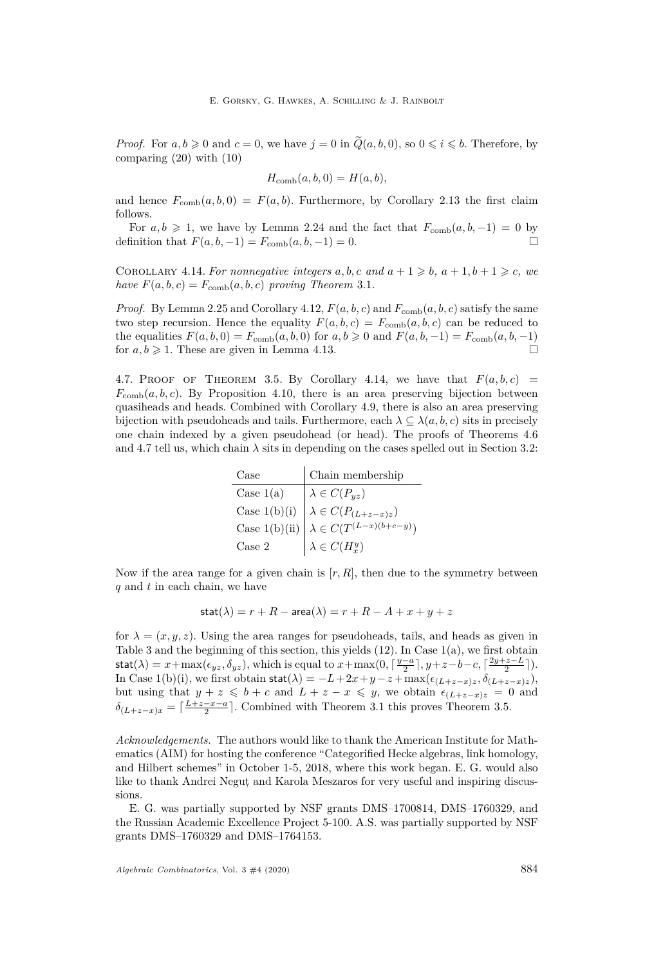*Proof.* For  $a, b \ge 0$  and  $c = 0$ , we have  $j = 0$  in  $\tilde{Q}(a, b, 0)$ , so  $0 \le i \le b$ . Therefore, by comparing [\(20\)](#page-28-2) with [\(10\)](#page-10-5)

$$
H_{\text{comb}}(a, b, 0) = H(a, b),
$$

and hence  $F_{\text{comb}}(a, b, 0) = F(a, b)$ . Furthermore, by Corollary [2.13](#page-9-1) the first claim follows.

For  $a, b \geq 1$ , we have by Lemma [2.24](#page-12-2) and the fact that  $F_{\text{comb}}(a, b, -1) = 0$  by definition that  $F(a, b, -1) = F_{\text{comb}}(a, b, -1) = 0.$ 

<span id="page-30-0"></span>COROLLARY 4.14. For nonnegative integers  $a, b, c$  and  $a + 1 \geq b, a + 1, b + 1 \geq c, we$ *have*  $F(a, b, c) = F_{\text{comb}}(a, b, c)$  *proving Theorem [3.1](#page-14-0).* 

*Proof.* By Lemma [2.25](#page-12-1) and Corollary [4.12,](#page-29-0)  $F(a, b, c)$  and  $F_{\text{comb}}(a, b, c)$  satisfy the same two step recursion. Hence the equality  $F(a, b, c) = F_{\text{comb}}(a, b, c)$  can be reduced to the equalities  $F(a, b, 0) = F_{\text{comb}}(a, b, 0)$  for  $a, b \ge 0$  and  $F(a, b, -1) = F_{\text{comb}}(a, b, -1)$ for  $a, b \geq 1$ . These are given in Lemma [4.13.](#page-29-1)

<span id="page-30-1"></span>4.7. PROOF OF THEOREM [3.5](#page-15-0). By Corollary [4.14,](#page-30-0) we have that  $F(a, b, c)$  =  $F_{\text{comb}}(a, b, c)$ . By Proposition [4.10,](#page-24-1) there is an area preserving bijection between quasiheads and heads. Combined with Corollary [4.9,](#page-24-2) there is also an area preserving bijection with pseudoheads and tails. Furthermore, each  $\lambda \subseteq \lambda(a, b, c)$  sits in precisely one chain indexed by a given pseudohead (or head). The proofs of Theorems [4.6](#page-20-2) and [4.7](#page-23-2) tell us, which chain  $\lambda$  sits in depending on the cases spelled out in Section [3.2:](#page-14-8)

| Case   | Chain membership                                                                                                                                               |
|--------|----------------------------------------------------------------------------------------------------------------------------------------------------------------|
|        | Case 1(a)<br>Case 1(b)(i) $\lambda \in \overline{C(P_{yz})}$<br>Case 1(b)(ii) $\lambda \in C(P_{(L+z-x)z})$<br>Case 1(b)(ii) $\lambda \in C(T^{(L-x)(b+c-y)})$ |
|        |                                                                                                                                                                |
|        |                                                                                                                                                                |
| Case 2 | $\lambda \in C(H_x^y)$                                                                                                                                         |

Now if the area range for a given chain is  $[r, R]$ , then due to the symmetry between *q* and *t* in each chain, we have

$$
stat(\lambda) = r + R - area(\lambda) = r + R - A + x + y + z
$$

for  $\lambda = (x, y, z)$ . Using the area ranges for pseudoheads, tails, and heads as given in Table [3](#page-18-0) and the beginning of this section, this yields [\(12\)](#page-14-7). In Case [1](#page-14-1)[\(a\),](#page-14-2) we first obtain  $\text{stat}(\lambda) = x + \max(\epsilon_{yz}, \delta_{yz}),$  which is equal to  $x + \max(0, \lceil \frac{y-a}{2} \rceil, y+z-b-c, \lceil \frac{2y+z-L}{2} \rceil).$ In Case [1](#page-14-1)[\(b\)](#page-14-3)[\(i\),](#page-14-4) we first obtain  $\text{stat}(\lambda) = -L + 2x + y - z + \max(\epsilon_{(L+z-x)z}, \delta_{(L+z-x)z})$ , but using that  $y + z \leq b + c$  and  $L + z - x \leq y$ , we obtain  $\epsilon_{(L+z-x)z} = 0$  and  $\delta_{(L+z-x)x} = \lceil \frac{L+z-x-a}{2} \rceil$ . Combined with Theorem [3.1](#page-14-0) this proves Theorem [3.5.](#page-15-0)

*Acknowledgements.* The authors would like to thank the American Institute for Mathematics (AIM) for hosting the conference "Categorified Hecke algebras, link homology, and Hilbert schemes" in October 1-5, 2018, where this work began. E. G. would also like to thank Andrei Negut, and Karola Meszaros for very useful and inspiring discussions.

E. G. was partially supported by NSF grants DMS–1700814, DMS–1760329, and the Russian Academic Excellence Project 5-100. A.S. was partially supported by NSF grants DMS–1760329 and DMS–1764153.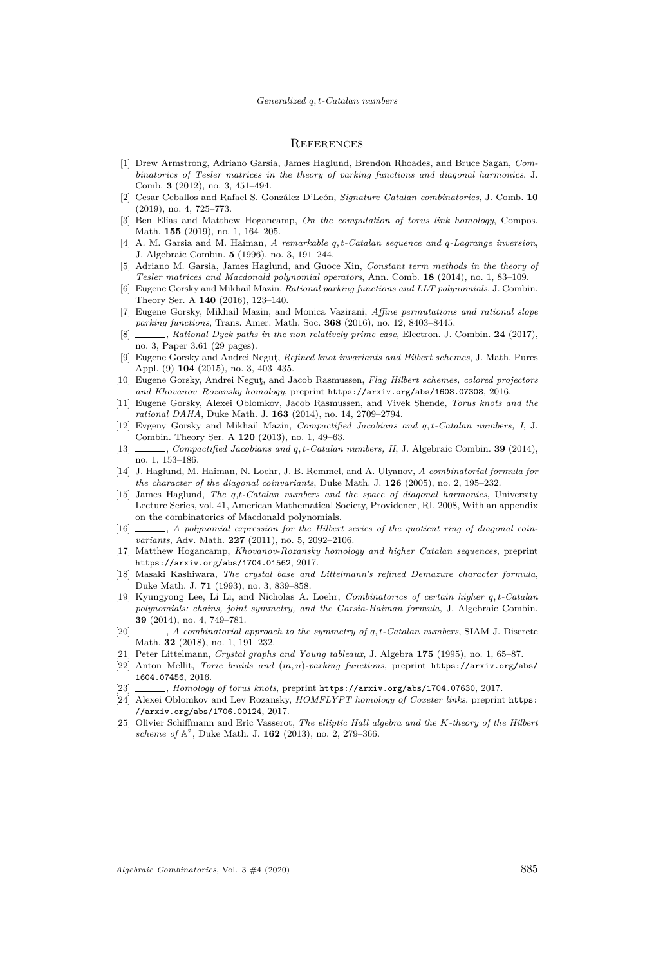#### **REFERENCES**

- <span id="page-31-13"></span>[1] Drew Armstrong, Adriano Garsia, James Haglund, Brendon Rhoades, and Bruce Sagan, *Combinatorics of Tesler matrices in the theory of parking functions and diagonal harmonics*, J. Comb. **3** (2012), no. 3, 451–494.
- <span id="page-31-22"></span>[2] Cesar Ceballos and Rafael S. González D'León, *Signature Catalan combinatorics*, J. Comb. **10** (2019), no. 4, 725–773.
- <span id="page-31-10"></span>[3] Ben Elias and Matthew Hogancamp, *On the computation of torus link homology*, Compos. Math. **155** (2019), no. 1, 164–205.
- <span id="page-31-7"></span>[4] A. M. Garsia and M. Haiman, *A remarkable q, t-Catalan sequence and q-Lagrange inversion*, J. Algebraic Combin. **5** (1996), no. 3, 191–244.
- <span id="page-31-24"></span>[5] Adriano M. Garsia, James Haglund, and Guoce Xin, *Constant term methods in the theory of Tesler matrices and Macdonald polynomial operators*, Ann. Comb. **18** (2014), no. 1, 83–109.
- <span id="page-31-4"></span>[6] Eugene Gorsky and Mikhail Mazin, *Rational parking functions and LLT polynomials*, J. Combin. Theory Ser. A **140** (2016), 123–140.
- <span id="page-31-5"></span>[7] Eugene Gorsky, Mikhail Mazin, and Monica Vazirani, *Affine permutations and rational slope parking functions*, Trans. Amer. Math. Soc. **368** (2016), no. 12, 8403–8445.
- <span id="page-31-6"></span>[8] , *Rational Dyck paths in the non relatively prime case*, Electron. J. Combin. **24** (2017), no. 3, Paper 3.61 (29 pages).
- <span id="page-31-1"></span>[9] Eugene Gorsky and Andrei Neguţ, *Refined knot invariants and Hilbert schemes*, J. Math. Pures Appl. (9) **104** (2015), no. 3, 403–435.
- <span id="page-31-16"></span>[10] Eugene Gorsky, Andrei Neguţ, and Jacob Rasmussen, *Flag Hilbert schemes, colored projectors and Khovanov–Rozansky homology*, preprint <https://arxiv.org/abs/1608.07308>, 2016.
- <span id="page-31-0"></span>[11] Eugene Gorsky, Alexei Oblomkov, Jacob Rasmussen, and Vivek Shende, *Torus knots and the rational DAHA*, Duke Math. J. **163** (2014), no. 14, 2709–2794.
- <span id="page-31-2"></span>[12] Evgeny Gorsky and Mikhail Mazin, *Compactified Jacobians and q, t-Catalan numbers, I*, J. Combin. Theory Ser. A **120** (2013), no. 1, 49–63.
- <span id="page-31-3"></span>[13] , *Compactified Jacobians and q, t-Catalan numbers, II*, J. Algebraic Combin. **39** (2014), no. 1, 153–186.
- <span id="page-31-8"></span>[14] J. Haglund, M. Haiman, N. Loehr, J. B. Remmel, and A. Ulyanov, *A combinatorial formula for the character of the diagonal coinvariants*, Duke Math. J. **126** (2005), no. 2, 195–232.
- <span id="page-31-15"></span>[15] James Haglund, *The q,t-Catalan numbers and the space of diagonal harmonics*, University Lecture Series, vol. 41, American Mathematical Society, Providence, RI, 2008, With an appendix on the combinatorics of Macdonald polynomials.
- <span id="page-31-23"></span>[16] , *A polynomial expression for the Hilbert series of the quotient ring of diagonal coinvariants*, Adv. Math. **227** (2011), no. 5, 2092–2106.
- <span id="page-31-11"></span>[17] Matthew Hogancamp, *Khovanov-Rozansky homology and higher Catalan sequences*, preprint <https://arxiv.org/abs/1704.01562>, 2017.
- <span id="page-31-20"></span>[18] Masaki Kashiwara, *The crystal base and Littelmann's refined Demazure character formula*, Duke Math. J. **71** (1993), no. 3, 839–858.
- <span id="page-31-18"></span>[19] Kyungyong Lee, Li Li, and Nicholas A. Loehr, *Combinatorics of certain higher q, t-Catalan polynomials: chains, joint symmetry, and the Garsia-Haiman formula*, J. Algebraic Combin. **39** (2014), no. 4, 749–781.
- <span id="page-31-19"></span>[20] , *A combinatorial approach to the symmetry of q, t-Catalan numbers*, SIAM J. Discrete Math. **32** (2018), no. 1, 191–232.
- <span id="page-31-21"></span>[21] Peter Littelmann, *Crystal graphs and Young tableaux*, J. Algebra **175** (1995), no. 1, 65–87.
- <span id="page-31-14"></span>[22] Anton Mellit, *Toric braids and* (*m, n*)*-parking functions*, preprint [https://arxiv.org/abs/](https://arxiv.org/abs/1604.07456) [1604.07456](https://arxiv.org/abs/1604.07456), 2016.
- <span id="page-31-12"></span>[23] , *Homology of torus knots*, preprint <https://arxiv.org/abs/1704.07630>, 2017.
- <span id="page-31-17"></span>[24] Alexei Oblomkov and Lev Rozansky, *HOMFLYPT homology of Coxeter links*, preprint [https:](https://arxiv.org/abs/1706.00124) [//arxiv.org/abs/1706.00124](https://arxiv.org/abs/1706.00124), 2017.
- <span id="page-31-9"></span>[25] Olivier Schiffmann and Eric Vasserot, *The elliptic Hall algebra and the K-theory of the Hilbert* scheme of  $A^2$ , Duke Math. J. **162** (2013), no. 2, 279–366.